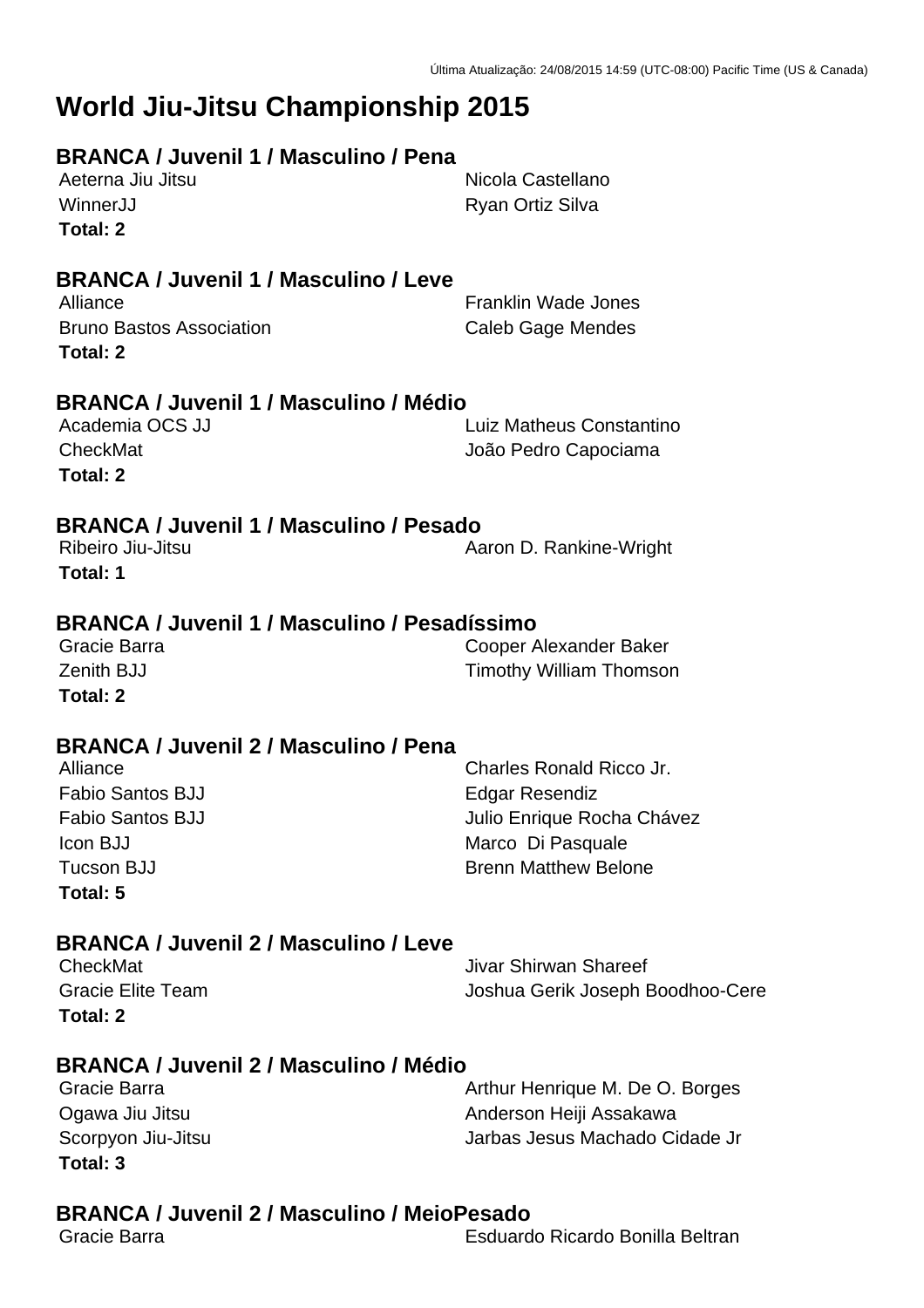# **World Jiu-Jitsu Championship 2015**

# **BRANCA / Juvenil 1 / Masculino / Pena**

**Total: 2**

Aeterna Jiu Jitsu Nicola Castellano WinnerJJ **Ryan Ortiz Silva** 

# **BRANCA / Juvenil 1 / Masculino / Leve**

Bruno Bastos Association **Caleb Gage Mendes Total: 2**

**Franklin Wade Jones** 

# **BRANCA / Juvenil 1 / Masculino / Médio**

Academia OCS JJ Luiz Matheus Constantino CheckMat **CheckMat** João Pedro Capociama **Total: 2**

# **BRANCA / Juvenil 1 / Masculino / Pesado**

**Total: 1**

Ribeiro Jiu-Jitsu **Aaron D. Rankine-Wright** Aaron D. Rankine-Wright

# **BRANCA / Juvenil 1 / Masculino / Pesadíssimo**

Gracie Barra Cooper Alexander Baker **Zenith BJJ Timothy William Thomson Total: 2**

# **BRANCA / Juvenil 2 / Masculino / Pena**

| Alliance                | Charles Ronald Ricco Jr.    |
|-------------------------|-----------------------------|
| <b>Fabio Santos BJJ</b> | Edgar Resendiz              |
| <b>Fabio Santos BJJ</b> | Julio Enrique Rocha Chávez  |
| Icon BJJ                | Marco Di Pasquale           |
| Tucson BJJ              | <b>Brenn Matthew Belone</b> |
| Total: 5                |                             |

# **BRANCA / Juvenil 2 / Masculino / Leve**

| CheckMat                 | Jivar Shirwan Shareef            |
|--------------------------|----------------------------------|
| <b>Gracie Elite Team</b> | Joshua Gerik Joseph Boodhoo-Cere |
| Total: 2                 |                                  |

# **BRANCA / Juvenil 2 / Masculino / Médio**

| Gracie Barra       | Arthur Henrique M. De O. Borges |
|--------------------|---------------------------------|
| Ogawa Jiu Jitsu    | Anderson Heiji Assakawa         |
| Scorpyon Jiu-Jitsu | Jarbas Jesus Machado Cidade Jr  |
| Total: 3           |                                 |

# **BRANCA / Juvenil 2 / Masculino / MeioPesado**

Gracie Barra Esduardo Ricardo Bonilla Beltran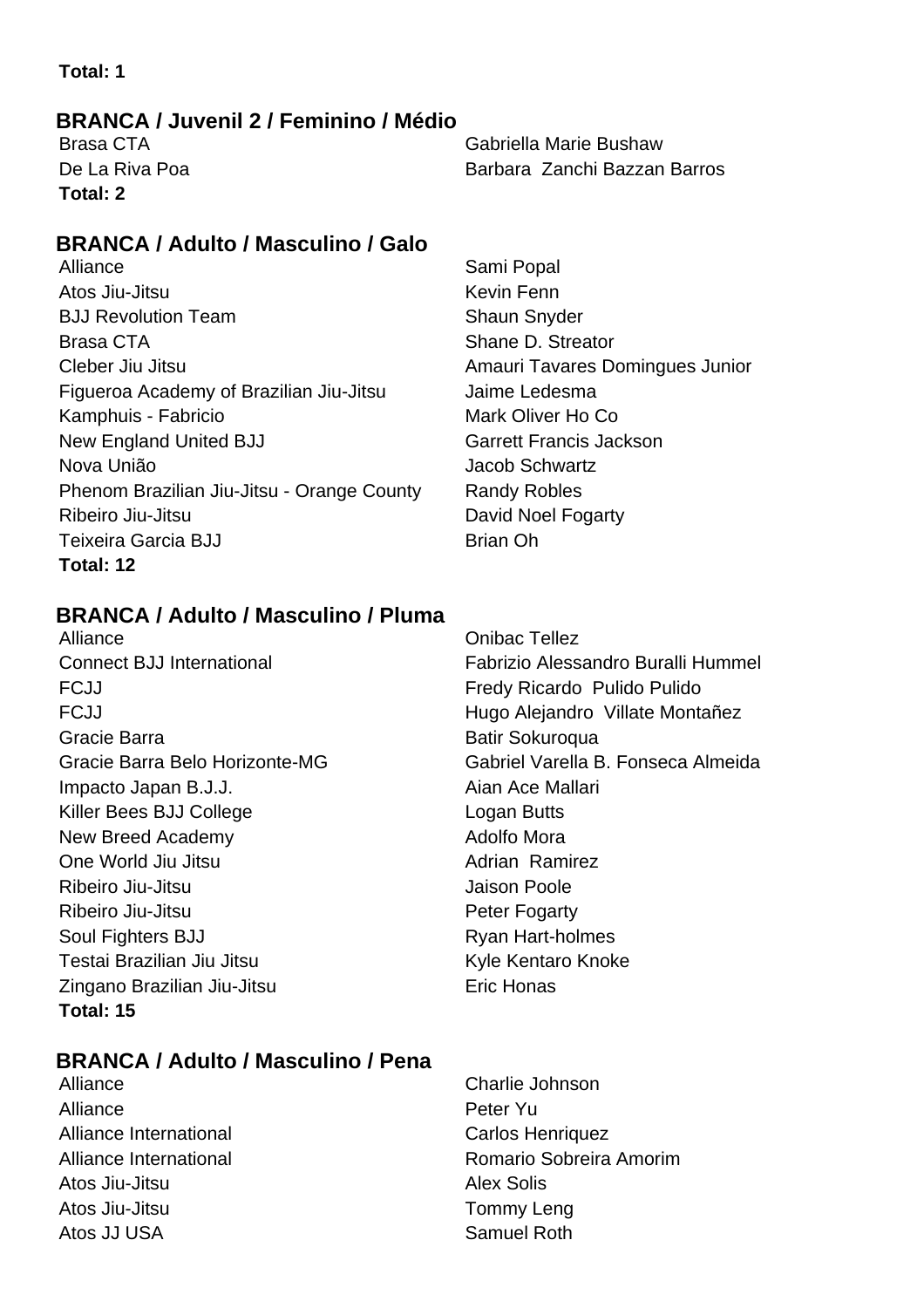# **BRANCA / Juvenil 2 / Feminino / Médio**

**Total: 2**

Brasa CTA Gabriella Marie Bushaw De La Riva Poa **Barbara Zanchi Bazzan Barros** Barbara Zanchi Bazzan Barros

# **BRANCA / Adulto / Masculino / Galo**

- Alliance Sami Popal Atos Jiu-Jitsu **Kevin Fenn BJJ Revolution Team Shaun Shaun Snyder** Shaun Snyder Brasa CTA Shane D. Streator Cleber Jiu Jitsu **Amauri Tavares Domingues Junior** Amauri Tavares Domingues Junior Figueroa Academy of Brazilian Jiu-Jitsu Jaime Ledesma Kamphuis - Fabricio **Mark Oliver Ho Co** New England United BJJ Garrett Francis Jackson Nova União Jacob Schwartz Phenom Brazilian Jiu-Jitsu - Orange County Randy Robles Ribeiro Jiu-Jitsu **David Noel Fogarty** Teixeira Garcia BJJ Brian Oh **Total: 12**
- 

# **BRANCA / Adulto / Masculino / Pluma**

Alliance Onibac Tellez FCJJ Fredy Ricardo Pulido Pulido Gracie Barra **Batir Sokuroqua** Batir Sokuroqua Impacto Japan B.J.J. **Aian Ace Mallari** Aian Ace Mallari Killer Bees BJJ College Logan Butts New Breed Academy **Adolfo Mora** One World Jiu Jitsu **Adrian Ramirez** Adrian Ramirez Ribeiro Jiu-Jitsu **Galimeiro Compositor de Santonio Compositor** Jaison Poole Ribeiro Jiu-Jitsu **Peter Fogarty** Soul Fighters BJJ Ryan Hart-holmes Testai Brazilian Jiu Jitsu Kule Kentaro Knoke Zingano Brazilian Jiu-Jitsu **Eric Honas Total: 15**

# Connect BJJ International Fabrizio Alessandro Buralli Hummel FCJJ **Hugo Alejandro Villate Montañez** Gracie Barra Belo Horizonte-MG Gabriel Varella B. Fonseca Almeida

# **BRANCA / Adulto / Masculino / Pena**

- Alliance Charlie Johnson Alliance **Peter Yu** Alliance International **Carlos Henriquez** Carlos Henriquez Atos Jiu-Jitsu **Alex Solis** Atos Jiu-Jitsu Tommy Leng Atos JJ USA Samuel Roth
- Alliance International **Romario Sobreira Amorim** Romario Sobreira Amorim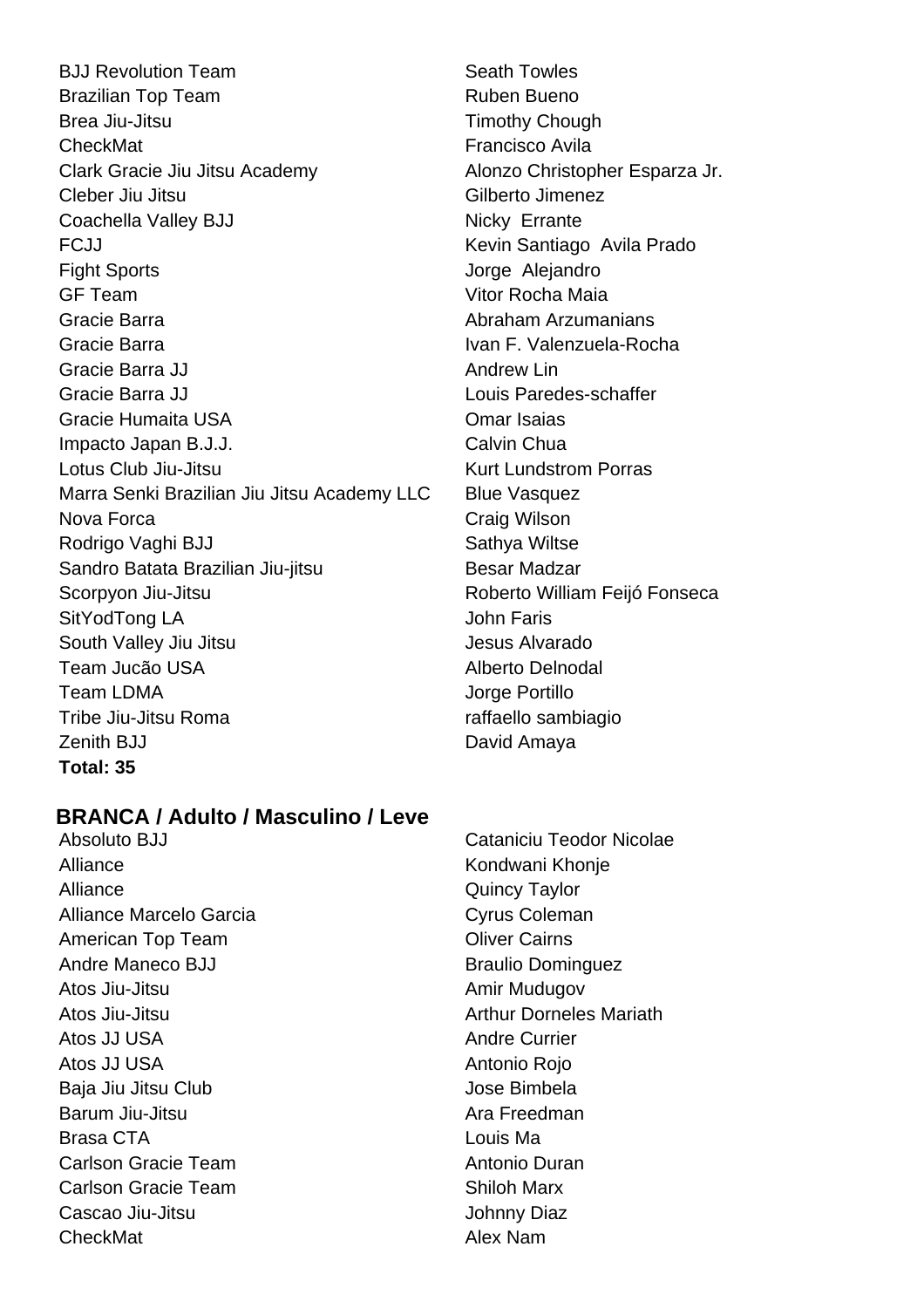**BJJ Revolution Team Seath Towles** Brazilian Top Team **Ruben Bueno** Ruben Bueno Brea Jiu-Jitsu **Timothy Chough** CheckMat **Francisco Avila** Clark Gracie Jiu Jitsu Academy **Alonzo Christopher Esparza Jr.** Cleber Jiu Jitsu **Gilberto Jimenez** Coachella Valley BJJ Nicky Errante FCJJ Kevin Santiago Avila Prado Fight Sports **Contract Sports** Contract Alejandro **Jorge Aleiandro** GF Team Vitor Rocha Maia Gracie Barra **Abraham Arzumanians** Gracie Barra **Ivan F. Valenzuela-Rocha** Gracie Barra JJ Andrew Lin Gracie Barra JJ Louis Paredes-schaffer Gracie Humaita USA Omar Isaias Impacto Japan B.J.J. Calvin Chua Lotus Club Jiu-Jitsu **Kurt Lundstrom Porras** Marra Senki Brazilian Jiu Jitsu Academy LLC Blue Vasquez Nova Forca **Craig Wilson** Rodrigo Vaghi BJJ Sathya Wiltse Sandro Batata Brazilian Jiu-jitsu Besar Madzar Scorpyon Jiu-Jitsu Roberto William Feijó Fonseca SitYodTong LA John Faris South Valley Jiu Jitsu Jesus Alvarado Team Jucão USA Alberto Delnodal Team LDMA **Jorge Portillo** Tribe Jiu-Jitsu Roma raffaello sambiagio Zenith BJJ **David Amaya Total: 35**

# **BRANCA / Adulto / Masculino / Leve**

Alliance Kondwani Khonje Alliance Quincy Taylor Alliance Marcelo Garcia Cyrus Coleman American Top Team **Cairns** Oliver Cairns Andre Maneco BJJ Braulio Dominguez Atos Jiu-Jitsu **Amir Mudugov** Amir Mudugov Atos Jiu-Jitsu Arthur Dorneles Mariath Atos JJ USA Andre Currier Atos JJ USA **Antonio Rojo Antonio Rojo** Baja Jiu Jitsu Club Jose Bimbela Barum Jiu-Jitsu **Ara Freedman** Brasa CTA Louis Ma Carlson Gracie Team Antonio Duran Carlson Gracie Team Shiloh Marx Cascao Jiu-Jitsu **Johnny Diaz** CheckMat **Alex Nam** 

Absoluto BJJ Cataniciu Teodor Nicolae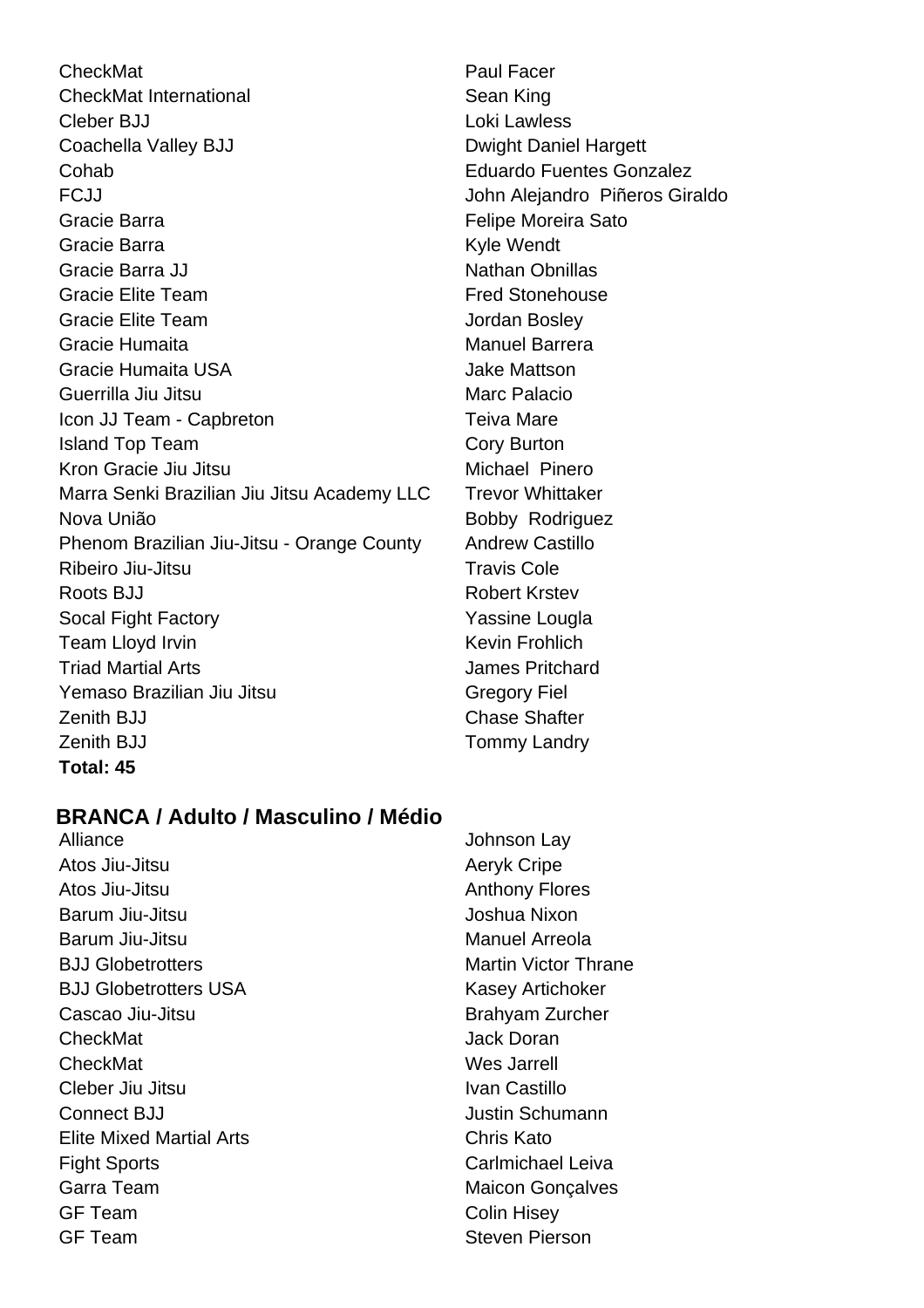CheckMat **Paul Facer** CheckMat International **Sean King** Sean King Cleber BJJ Loki Lawless Coachella Valley BJJ Dwight Daniel Hargett Cohab Eduardo Fuentes Gonzalez FCJJ John Alejandro Piñeros Giraldo Gracie Barra **Felipe Moreira Sato** Gracie Barra **Kyle Wendt** Gracie Barra JJ Nathan Obnillas Gracie Elite Team **Fred Stonehouse** Gracie Elite Team **Jordan Bosley** Gracie Humaita Manuel Barrera Gracie Humaita USA Jake Mattson Guerrilla Jiu Jitsu **Marc Palacio** Marc Palacio Icon JJ Team - Capbreton Teiva Mare **Island Top Team Cory Burton** Kron Gracie Jiu Jitsu **Michael Pinero** Marra Senki Brazilian Jiu Jitsu Academy LLC Trevor Whittaker Nova União **Bobby Rodriguez** Phenom Brazilian Jiu-Jitsu - Orange County Andrew Castillo Ribeiro Jiu-Jitsu **Travis Cole** Roots BJJ Robert Krstev Socal Fight Factory **Yassine Lougla** Team Lloyd Irvin **Keysing Communist Communist Communist Communist Communist Communist Communist Communist Communist Communist Communist Communist Communist Communist Communist Communist Communist Communist Communist Commun** Triad Martial Arts James Pritchard Yemaso Brazilian Jiu Jitsu Gregory Fiel Zenith BJJ Chase Shafter Zenith BJJ **Tommy Landry Total: 45**

# **BRANCA / Adulto / Masculino / Médio**

Alliance Johnson Lay Atos Jiu-Jitsu **Australian American Aeryk Cripe** Atos Jiu-Jitsu **Anthony Flores** Barum Jiu-Jitsu **Joshua Nixon** Barum Jiu-Jitsu **Manuel Arreola** BJJ Globetrotters **Martin Victor Thrane** BJJ Globetrotters USA Kasey Artichoker Cascao Jiu-Jitsu **Brahyam Zurcher CheckMat Jack Doran** CheckMat Wes Jarrell Cleber Jiu Jitsu **Ivan Castillo Connect BJJ** Connect BIJ Elite Mixed Martial Arts Chris Kato Fight Sports **Carlmichael Leiva** Garra Team **Maicon** Gonçalves GF Team Colin Hisey GF Team Steven Pierson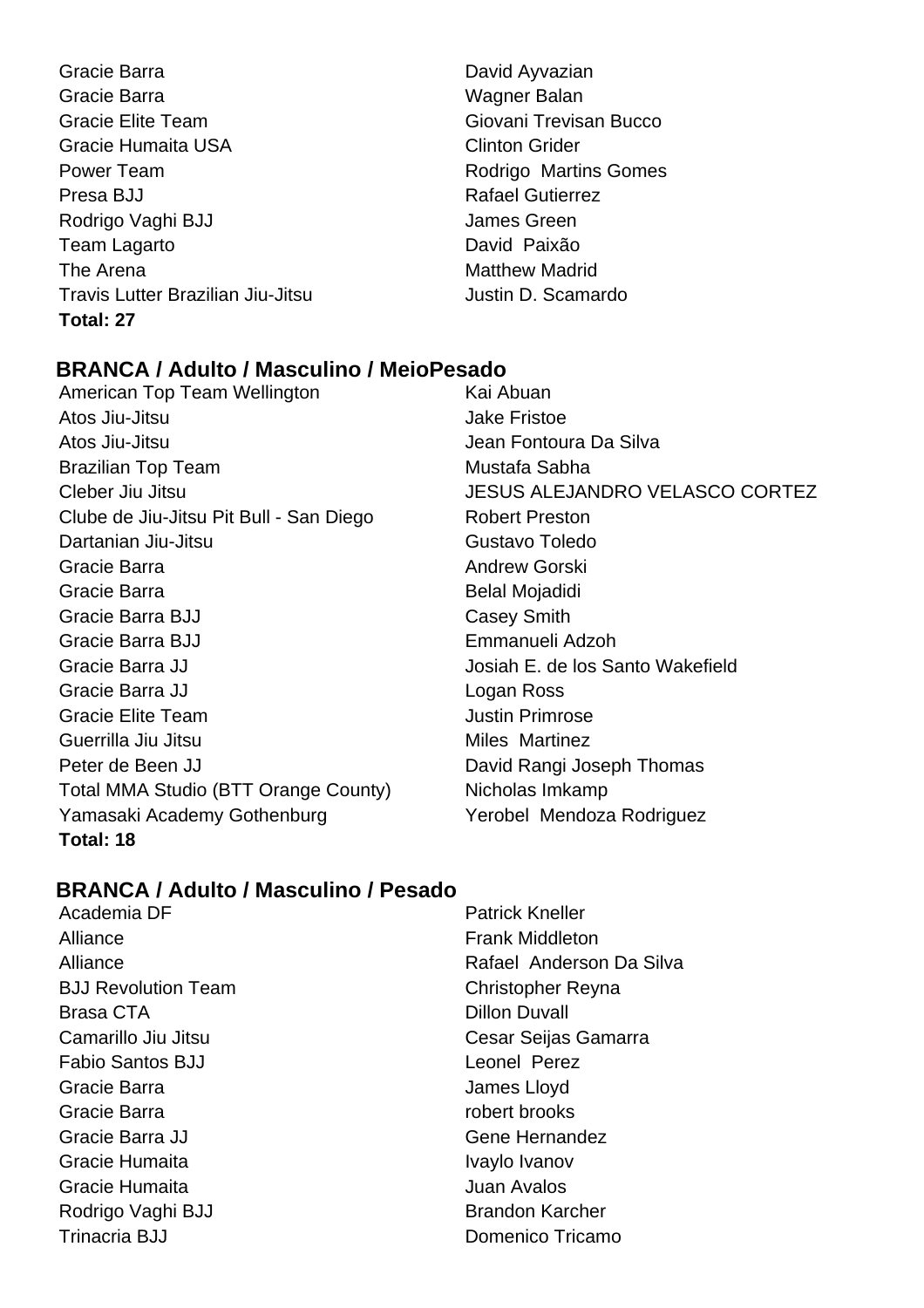- Gracie Barra **David Ayvazian** Gracie Barra **Wagner Balan** Gracie Elite Team Giovani Trevisan Bucco Gracie Humaita USA Clinton Grider Power Team **Rodrigo Martins Gomes** Presa BJJ Rafael Gutierrez Rodrigo Vaghi BJJ **James Green** Team Lagarto **David Paixão** The Arena **Matthew Madrid** Travis Lutter Brazilian Jiu-Jitsu **International State Justin D. Scamardo Total: 27**
- 

# **BRANCA / Adulto / Masculino / MeioPesado**

- American Top Team Wellington **Kai Abuan** Atos Jiu-Jitsu Jake Fristoe Atos Jiu-Jitsu Jean Fontoura Da Silva Brazilian Top Team Mustafa Sabha Cleber Jiu Jitsu Justinianus Cleber Jiu Jitsu Justinianus JESUS ALEJANDRO VELASCO CORTEZ Clube de Jiu-Jitsu Pit Bull - San Diego Robert Preston Dartanian Jiu-Jitsu Gustavo Toledo Gracie Barra **Andrew Gorski** Gracie Barra **Belandia** Belal Mojadidi Gracie Barra BJJ Casey Smith Gracie Barra BJJ Emmanueli Adzoh Gracie Barra JJ **Gracie Barra J**osiah E. de los Santo Wakefield Gracie Barra JJ Logan Ross Gracie Elite Team **Gracial Elite Team** Justin Primrose Guerrilla Jiu Jitsu **Miles Martinez** Peter de Been JJ David Rangi Joseph Thomas Total MMA Studio (BTT Orange County) Nicholas Imkamp Yamasaki Academy Gothenburg **Yerobel Mendoza Rodriguez Total: 18**
	-

# **BRANCA / Adulto / Masculino / Pesado**

- Alliance **Frank Middleton** BJJ Revolution Team Christopher Reyna Brasa CTA **Dillon** Duvall Fabio Santos BJJ Leonel Perez Gracie Barra **Gracia** James Lloyd Gracie Barra **robert brooks** Gracie Barra JJ Gracie Barra JJ Gracie Humaita **IVaylo Ivanov** Ivaylo Ivanov Gracie Humaita **Gracie Humaita** Juan Avalos Rodrigo Vaghi BJJ Brandon Karcher Trinacria BJJ Domenico Tricamo
- Academia DF **Patrick Kneller** Alliance **Rafael Anderson Da Silva** Camarillo Jiu Jitsu Cesar Seijas Gamarra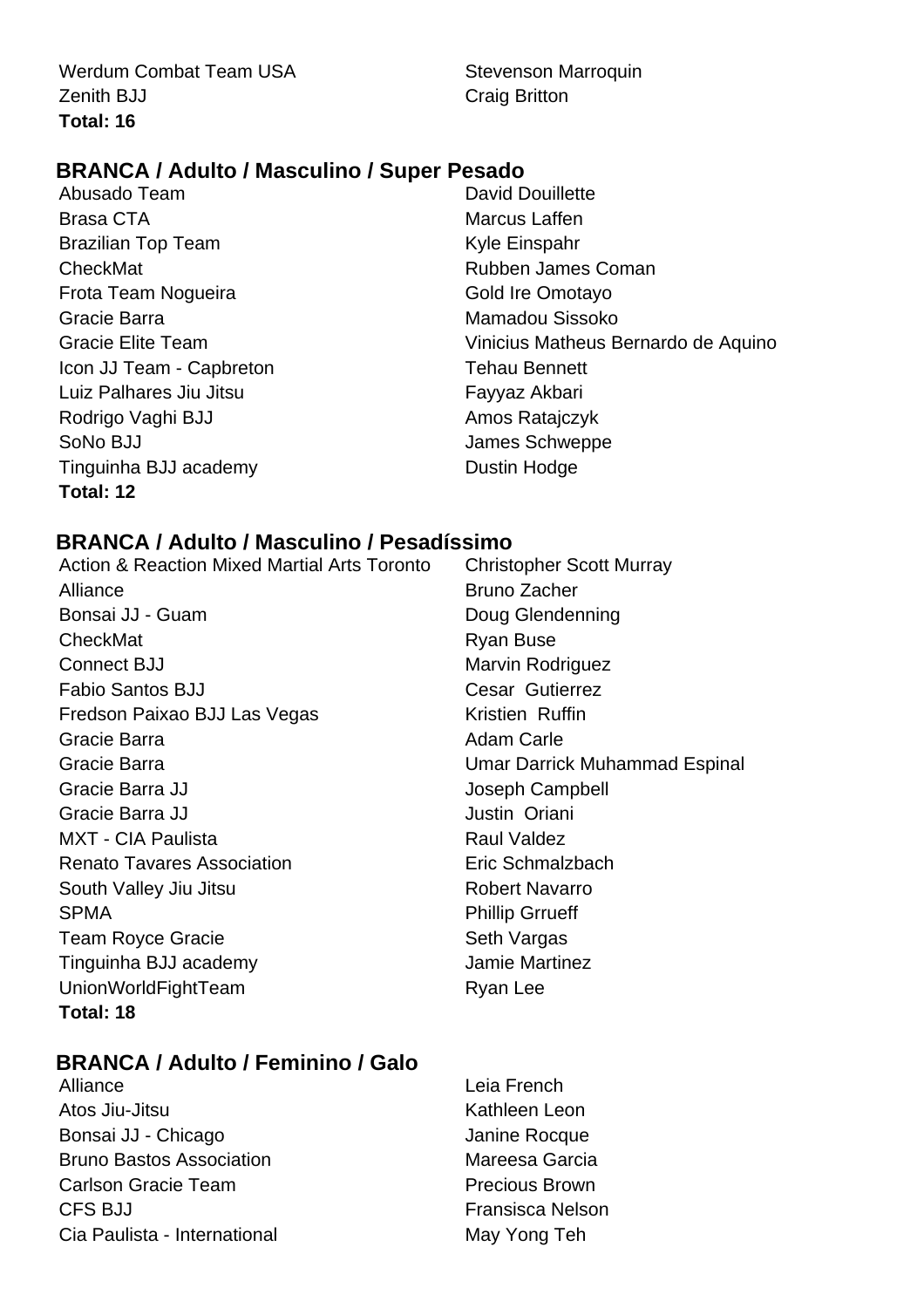Werdum Combat Team USA Stevenson Marroquin **Zenith BJJ** Craig Britton **Total: 16**

# **BRANCA / Adulto / Masculino / Super Pesado**

- Abusado Team David Douillette Brasa CTA **Marcus Laffen** Brazilian Top Team **Kyle Einspahr** CheckMat Rubben James Coman Frota Team Nogueira **Gold Ire Omotayo** Gracie Barra Mamadou Sissoko Icon JJ Team - Capbreton Tehau Bennett Luiz Palhares Jiu Jitsu **Fayyaz Akbari** Rodrigo Vaghi BJJ **Amos Ratajczyk** SoNo BJJ James Schweppe Tinguinha BJJ academy Dustin Hodge **Total: 12**
- Gracie Elite Team Vinicius Matheus Bernardo de Aquino

# **BRANCA / Adulto / Masculino / Pesadíssimo**

Action & Reaction Mixed Martial Arts Toronto Christopher Scott Murray Alliance **Bruno Zacher** Bonsai JJ - Guam Doug Glendenning CheckMat **Ryan Buse** Ryan Buse Connect BJJ Marvin Rodriguez Fabio Santos BJJ Cesar Gutierrez Fredson Paixao BJJ Las Vegas Kristien Ruffin Gracie Barra **Adam Carle** Adam Carle Gracie Barra **Carries and Carries Contracts** Umar Darrick Muhammad Espinal Gracie Barra JJ **Gracie Barra JJ** Gracie Barra JJ **Gracia Communist Communist Communist Communist Communist Communist Communist Communist Communist Communist Communist Communist Communist Communist Communist Communist Communist Communist Communist Communis** MXT - CIA Paulista **Raul Valdez** Renato Tavares Association **Exercise Exercise Eric Schmalzbach** South Valley Jiu Jitsu **Robert Navarro** Robert Navarro SPMA Phillip Grrueff Team Royce Gracie Seth Vargas Tinguinha BJJ academy Jamie Martinez UnionWorldFightTeam Ryan Lee **Total: 18**

# **BRANCA / Adulto / Feminino / Galo**

- Alliance **Leia French** Atos Jiu-Jitsu **Kathleen** Leon Bonsai JJ - Chicago Janine Rocque Bruno Bastos Association **Mareesa Garcia** Carlson Gracie Team **Precious** Brown CFS BJJ **Fransisca Nelson** Cia Paulista - International May Yong Teh
-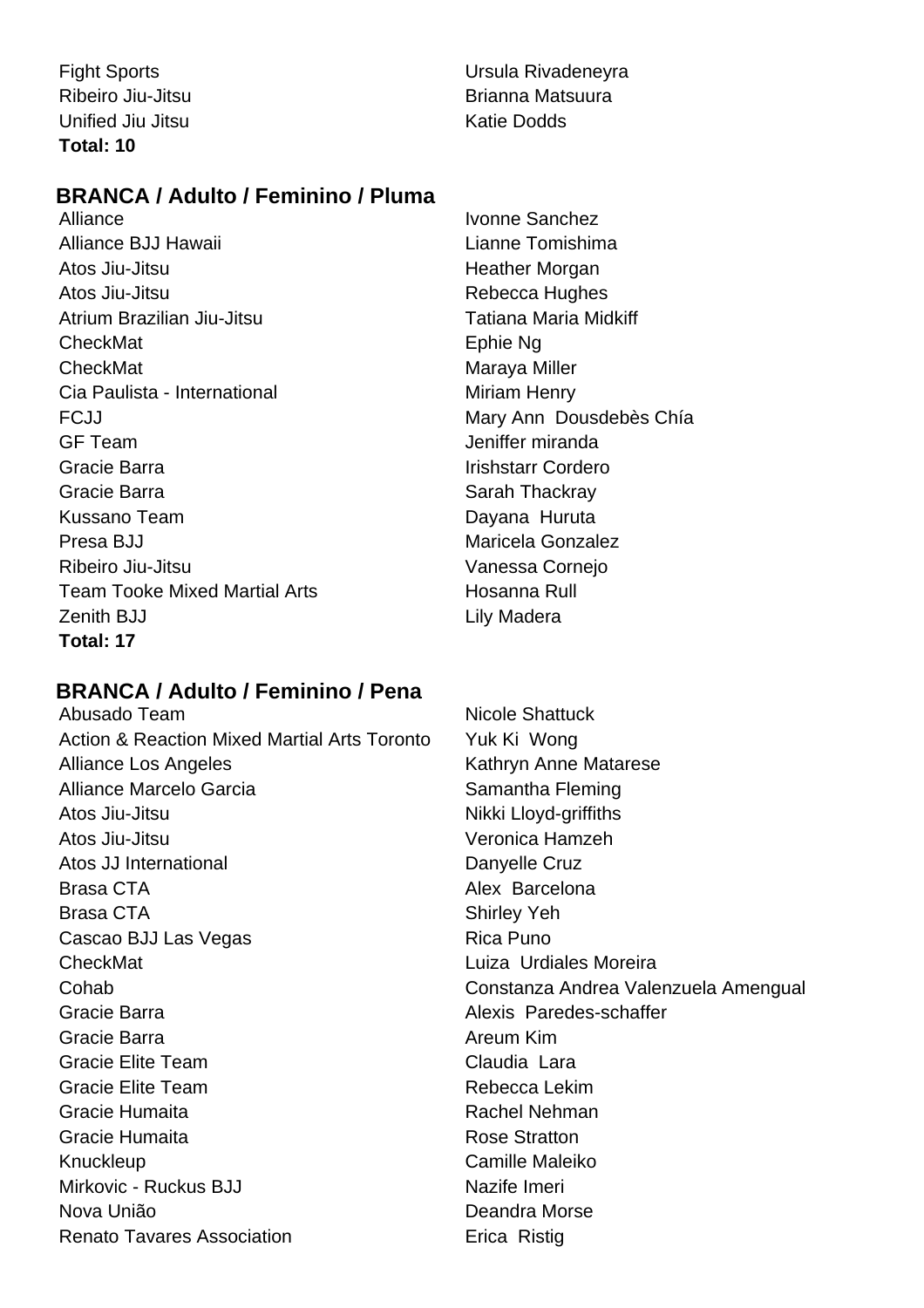Unified Jiu Jitsu **Katie Dodds Total: 10**

Fight Sports **Contract Contract Contract Contract Contract Contract Contract Contract Contract Contract Contract Contract Contract Contract Contract Contract Contract Contract Contract Contract Contract Contract Contract C** Ribeiro Jiu-Jitsu **Brianna Matsuura** 

# **BRANCA / Adulto / Feminino / Pluma**

Alliance Ivonne Sanchez Alliance BJJ Hawaii Lianne Tomishima Atos Jiu-Jitsu **Music Access 1986** Heather Morgan Atos Jiu-Jitsu **Rebecca** Hughes Atrium Brazilian Jiu-Jitsu Tatiana Maria Midkiff CheckMat **Ephie Ng** CheckMat **Maraya Miller** Maraya Miller Cia Paulista - International **Miliam Henry** Miriam Henry FCJJ **Mary Anno Dousdebès Chía** GF Team Jeniffer miranda Gracie Barra **Irishstarr Cordero** Gracie Barra **Sarah Thackray** Sarah Thackray Kussano Team **Dayana** Huruta Presa BJJ Maricela Gonzalez Ribeiro Jiu-Jitsu **Vanessa Cornejo** Team Tooke Mixed Martial Arts **Hosanna Rull** Zenith BJJ **Lily Madera Total: 17**

# **BRANCA / Adulto / Feminino / Pena**

Abusado Team Nicole Shattuck Action & Reaction Mixed Martial Arts Toronto Yuk Ki Wong Alliance Los Angeles Kathryn Anne Matarese Alliance Marcelo Garcia **Samantha Fleming** Atos Jiu-Jitsu Nikki Lloyd-griffiths Atos Jiu-Jitsu **Veronica Hamzeh** Atos JJ International **Danyelle Cruz** Brasa CTA **Alex Barcelona** Brasa CTA Shirley Yeh Cascao BJJ Las Vegas **Rica Puno** CheckMat Luiza Urdiales Moreira Cohab Constanza Andrea Valenzuela Amengual Gracie Barra **Alexis Paredes-schaffer** Alexis Paredes-schaffer Gracie Barra **Areum Kim** Gracie Elite Team Claudia Lara Gracie Elite Team Rebecca Lekim Gracie Humaita **Rachel Nehman** Gracie Humaita **Rose** Stratton Knuckleup **Camille Maleiko** Mirkovic - Ruckus B.I.I Nazife Imeri Nova União **Nova União** e a constructiva e personalidade Deandra Morse Renato Tavares Association **Exercise Exercise Contract** Erica Ristig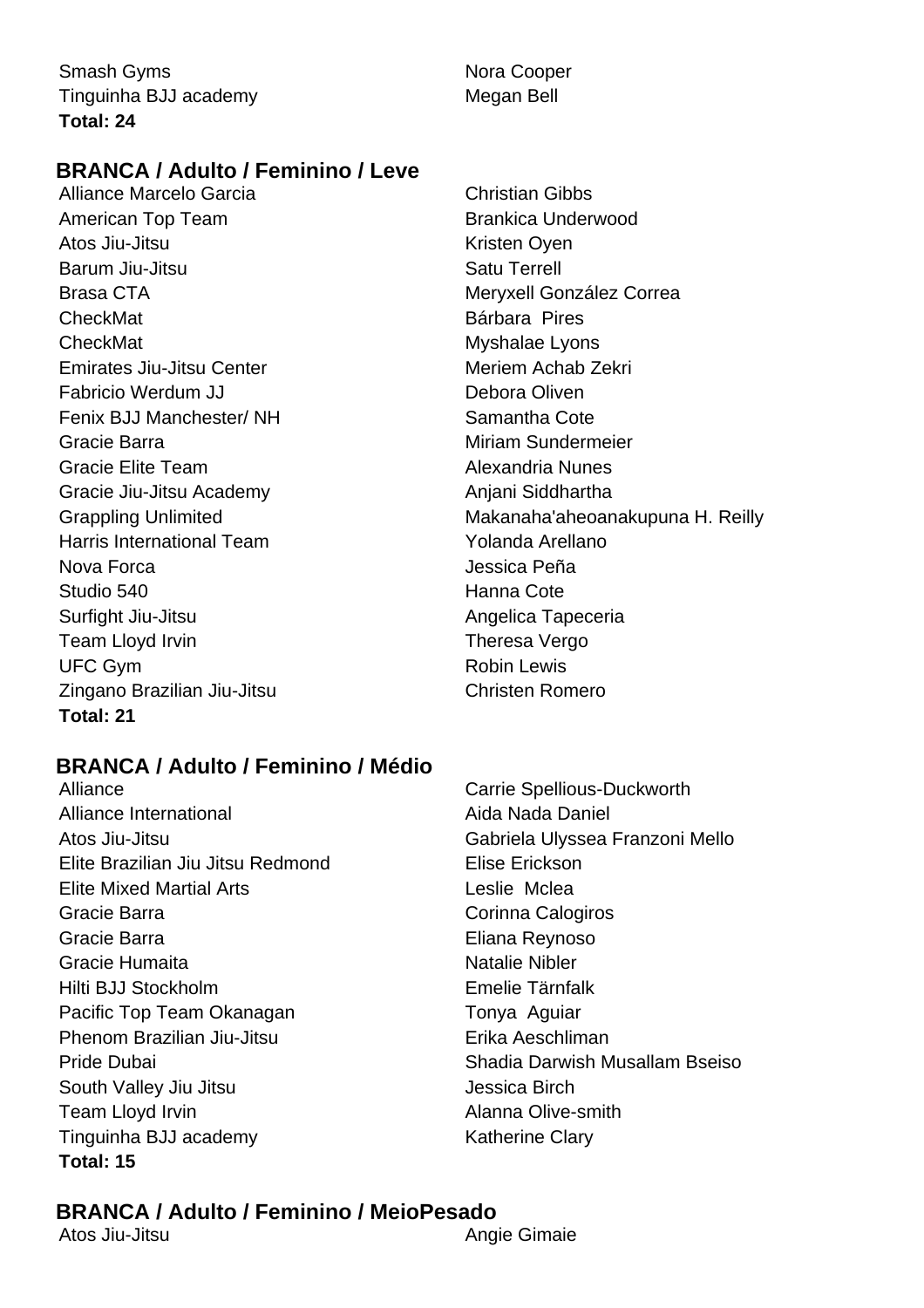Smash Gyms Nora Cooper Tinguinha BJJ academy Megan Bell **Total: 24**

# **BRANCA / Adulto / Feminino / Leve**

Alliance Marcelo Garcia Christian Gibbs American Top Team **Brankica Underwood** Atos Jiu-Jitsu **Kristen Oyen** Barum Jiu-Jitsu **Satu Terrell** Brasa CTA **Meryxell González Correa** CheckMat **Bárbara** Pires CheckMat Myshalae Lyons Emirates Jiu-Jitsu Center **Meriem Achab Zekri** Fabricio Werdum JJ Debora Oliven Fenix BJJ Manchester/ NH Samantha Cote Gracie Barra Miriam Sundermeier Gracie Elite Team **Alexandria Nunes** Gracie Jiu-Jitsu Academy **Anjani Siddhartha** Harris International Team New Yolanda Arellano Nova Forca **International Contract Contract Contract Contract Contract Contract Contract Contract Contract Contract Contract Contract Contract Contract Contract Contract Contract Contract Contract Contract Contract Contrac** Studio 540 **Hanna** Cote Surfight Jiu-Jitsu **Angelica Tapeceria** Angelica Tapeceria Team Lloyd Irvin Theresa Vergo UFC Gym **Robin Lewis** Zingano Brazilian Jiu-Jitsu Christen Romero **Total: 21**

Grappling Unlimited **Makanaha'aheoanakupuna H. Reilly** 

# **BRANCA / Adulto / Feminino / Médio**

- Alliance International **Alliance International** Aida Nada Daniel Atos Jiu-Jitsu Gabriela Ulyssea Franzoni Mello Elite Brazilian Jiu Jitsu Redmond Elise Erickson Elite Mixed Martial Arts **Leslie Mclea** Gracie Barra **Corinna Calogiros** Corinna Calogiros Gracie Barra Eliana Reynoso Gracie Humaita Natalie Nibler Hilti BJJ Stockholm Emelie Tärnfalk Pacific Top Team Okanagan Tonya Aguiar Phenom Brazilian Jiu-Jitsu **Erika Aeschliman** Pride Dubai Shadia Darwish Musallam Bseiso South Valley Jiu Jitsu Jessica Birch Team Lloyd Irvin **Alanna Olive-smith** Tinguinha BJJ academy Katherine Clary **Total: 15**
- Alliance Carrie Spellious-Duckworth

# **BRANCA / Adulto / Feminino / MeioPesado**

Atos Jiu-Jitsu **Angie Gimaie**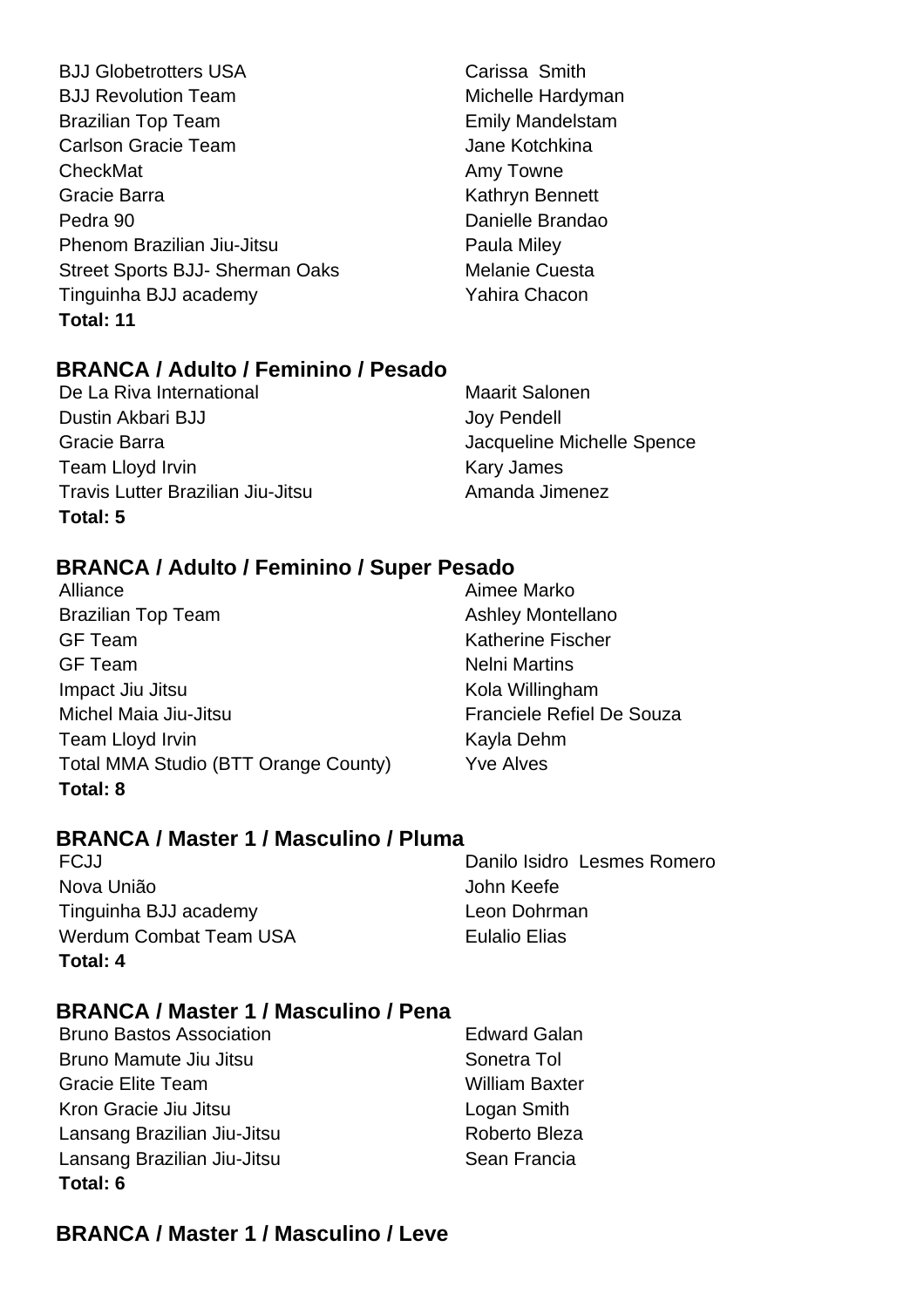- **BJJ Globetrotters USA** Carissa Smith BJJ Revolution Team Michelle Hardyman Brazilian Top Team **Emily Mandelstam** Carlson Gracie Team **Jane Kotchkina** CheckMat **Amy Towne** Gracie Barra **Kathryn Bennett** Pedra 90 Danielle Brandao Phenom Brazilian Jiu-Jitsu **Paula Miley** Paula Miley Street Sports BJJ- Sherman Oaks Melanie Cuesta Tinguinha BJJ academy **Yahira Chacon Total: 11**
	-

# **BRANCA / Adulto / Feminino / Pesado**

De La Riva International Maarit Salonen Dustin Akbari BJJ Joy Pendell Gracie Barra Jacqueline Michelle Spence Team Lloyd Irvin **Kary James** Kary James Travis Lutter Brazilian Jiu-Jitsu **Amanda Jimenez Total: 5**

# **BRANCA / Adulto / Feminino / Super Pesado**

- Alliance **Alliance** Aimee Marko Brazilian Top Team **Ashley Montellano** GF Team Katherine Fischer GF Team Nelni Martins Impact Jiu Jitsu **Kola Willingham** Michel Maia Jiu-Jitsu **Franciele Refiel De Souza** Team Lloyd Irvin **Kayla Dehm** Total MMA Studio (BTT Orange County) Yve Alves **Total: 8**
- 

# **BRANCA / Master 1 / Masculino / Pluma**

Nova União **Nova União** de Antica e a Secreta de Antica de Antica de Antica de Antica de Antica de Antica de Antic Tinguinha BJJ academy Leon Dohrman Werdum Combat Team USA Eulalio Elias **Total: 4**

# FCJJ Danilo Isidro Lesmes Romero

# **BRANCA / Master 1 / Masculino / Pena**

- Bruno Bastos Association **Edward Galan** Bruno Mamute Jiu Jitsu **Sonetra Tol** Gracie Elite Team William Baxter Kron Gracie Jiu Jitsu **Logan Smith** Lansang Brazilian Jiu-Jitsu **Roberto Bleza** Lansang Brazilian Jiu-Jitsu **Sean Francia Total: 6**
	-

# **BRANCA / Master 1 / Masculino / Leve**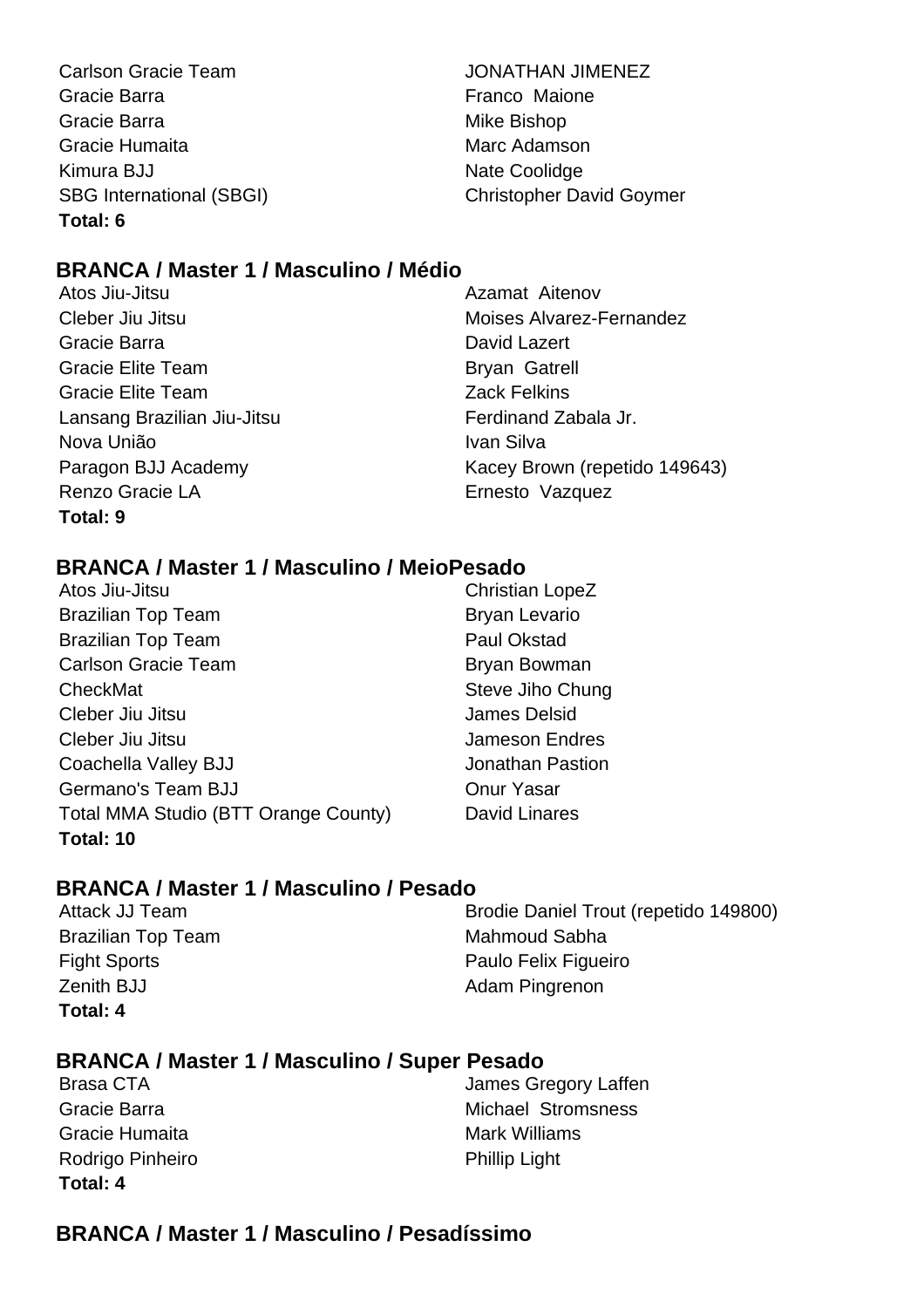Carlson Gracie Team JONATHAN JIMENEZ Gracie Barra **Franco Maione** Gracie Barra **Mike Bishop** Mike Bishop Gracie Humaita **Marc Adamson** Marc Adamson Kimura BJJ Nate Coolidge **Total: 6**

SBG International (SBGI) Christopher David Goymer

# **BRANCA / Master 1 / Masculino / Médio**

Atos Jiu-Jitsu Azamat Aitenov Cleber Jiu Jitsu Moises Alvarez-Fernandez Gracie Barra **David Lazert** David Lazert Gracie Elite Team Bryan Gatrell Gracie Elite Team **Zack Felkins** Lansang Brazilian Jiu-Jitsu **Ferdinand Zabala Jr.** Cansang Brazilian Ju-Jitsu Nova União **IVan Silva** Ivan Silva Renzo Gracie LA **Ernesto Vazquez Total: 9**

Paragon BJJ Academy Kacey Brown (repetido 149643)

# **BRANCA / Master 1 / Masculino / MeioPesado**

- Atos Jiu-Jitsu **Christian LopeZ** Brazilian Top Team Bryan Levario Brazilian Top Team **Paul Okstad** Paul Okstad Carlson Gracie Team Bryan Bowman CheckMat Steve Jiho Chung Cleber Jiu Jitsu James Delsid Cleber Jiu Jitsu **Jameson Endres** Coachella Valley BJJ **Jonathan Pastion** Germano's Team BJJ Charles Conur Yasar Total MMA Studio (BTT Orange County) David Linares **Total: 10**
- 

# **BRANCA / Master 1 / Masculino / Pesado**

Brazilian Top Team Mahmoud Sabha Zenith BJJ Adam Pingrenon **Total: 4**

Attack JJ Team Brodie Daniel Trout (repetido 149800) Fight Sports **Paulo Felix Figueiro** 

# **BRANCA / Master 1 / Masculino / Super Pesado**

| Brasa CTA        | James Gregory Laffen |
|------------------|----------------------|
| Gracie Barra     | Michael Stromsness   |
| Gracie Humaita   | Mark Williams        |
| Rodrigo Pinheiro | <b>Phillip Light</b> |
| Total: 4         |                      |

# **BRANCA / Master 1 / Masculino / Pesadíssimo**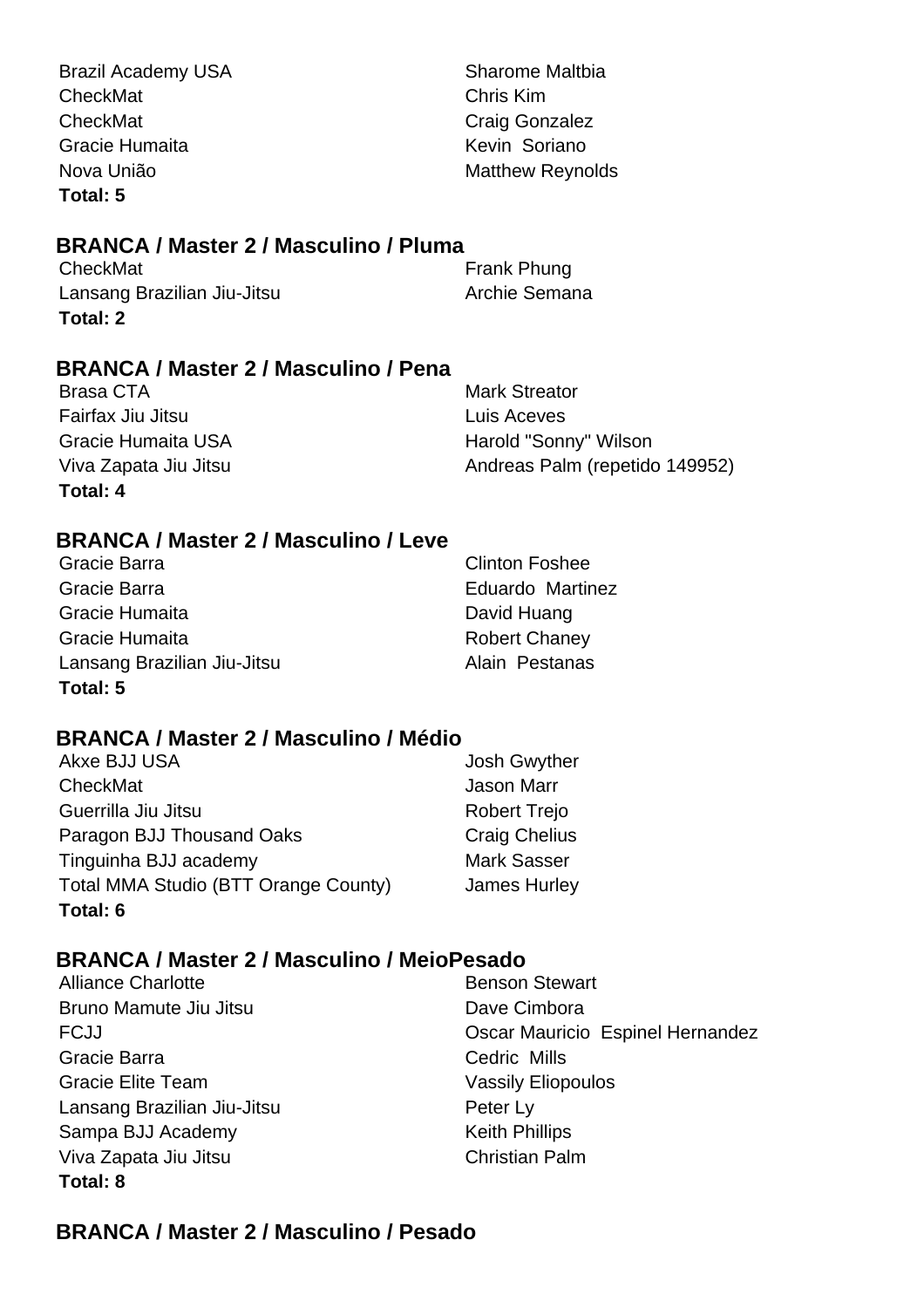Brazil Academy USA Sharome Maltbia CheckMat Chris Kim CheckMat CheckMat CheckMat Gracie Humaita **Kevin** Soriano Nova União **Matthew Reynolds Total: 5**

# **BRANCA / Master 2 / Masculino / Pluma**

| CheckMat                    | Frank Phung   |
|-----------------------------|---------------|
| Lansang Brazilian Jiu-Jitsu | Archie Semana |
| Total: 2                    |               |

# **BRANCA / Master 2 / Masculino / Pena**

Brasa CTA **Mark Streator** Mark Streator Fairfax Jiu Jitsu **Luis Aceves Total: 4**

Gracie Humaita USA **Harold "Sonny" Wilson** Viva Zapata Jiu Jitsu **Andreas Palm (repetido 149952)** 

# **BRANCA / Master 2 / Masculino / Leve**

| Gracie Barra                | <b>Clinton Foshee</b> |
|-----------------------------|-----------------------|
| Gracie Barra                | Eduardo Martinez      |
| Gracie Humaita              | David Huang           |
| Gracie Humaita              | <b>Robert Chaney</b>  |
| Lansang Brazilian Jiu-Jitsu | Alain Pestanas        |
| Total: 5                    |                       |

# **BRANCA / Master 2 / Masculino / Médio**

| Akxe BJJ USA                                | <b>Josh Gwyther</b>  |
|---------------------------------------------|----------------------|
| CheckMat                                    | <b>Jason Marr</b>    |
| Guerrilla Jiu Jitsu                         | <b>Robert Trejo</b>  |
| Paragon BJJ Thousand Oaks                   | <b>Craig Chelius</b> |
| Tinguinha BJJ academy                       | <b>Mark Sasser</b>   |
| <b>Total MMA Studio (BTT Orange County)</b> | <b>James Hurley</b>  |
| Total: 6                                    |                      |

# **BRANCA / Master 2 / Masculino / MeioPesado**

- Alliance Charlotte Bruno Mamute Jiu Jitsu **Dave Cimbora** Gracie Barra **Cedric Mills** Gracie Elite Team Vassily Eliopoulos Lansang Brazilian Jiu-Jitsu **Peter Ly** Sampa BJJ Academy Keith Phillips Viva Zapata Jiu Jitsu Christian Palm **Total: 8**
- FCJJ Oscar Mauricio Espinel Hernandez

# **BRANCA / Master 2 / Masculino / Pesado**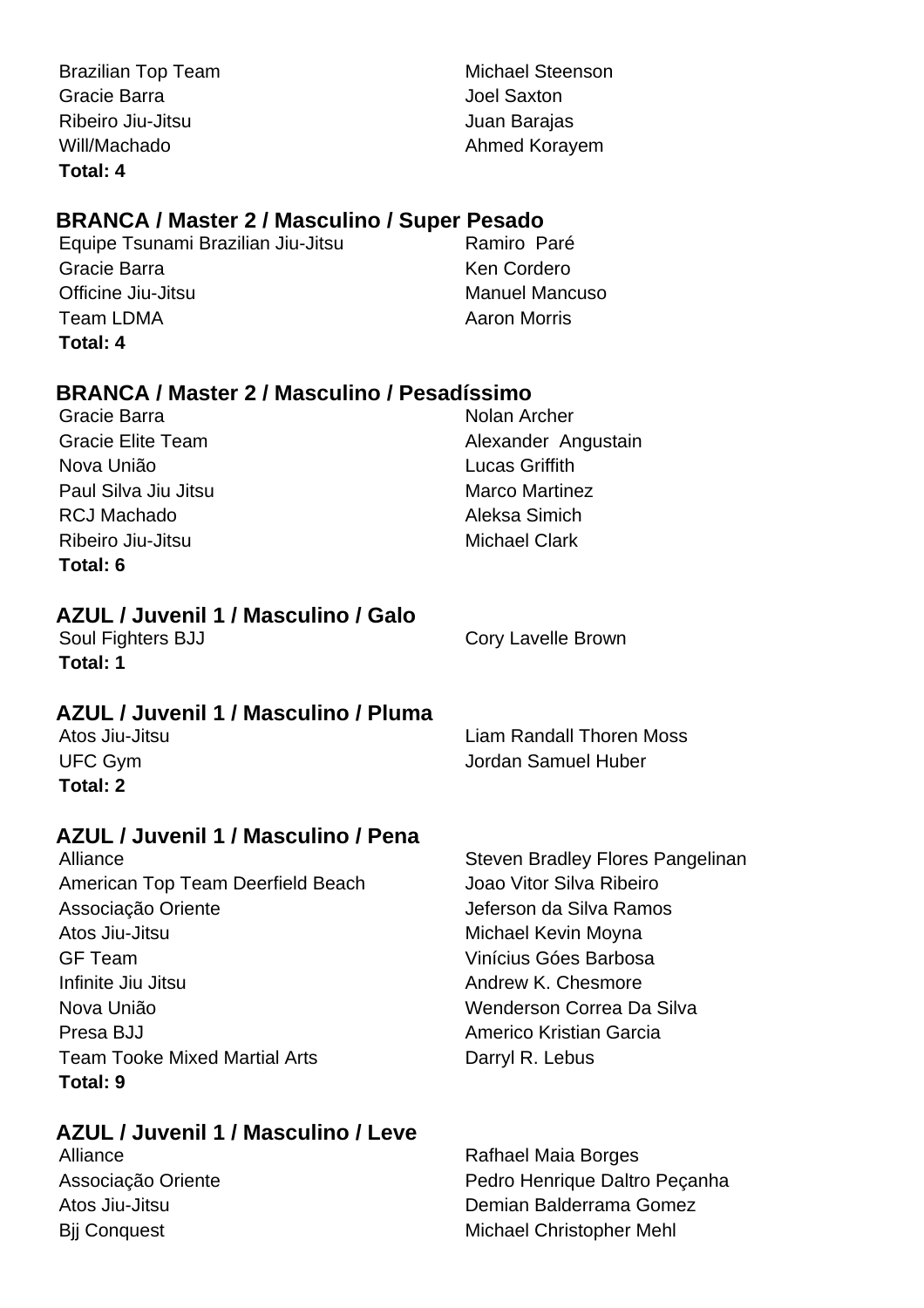Brazilian Top Team Michael Steenson Gracie Barra Joel Saxton Ribeiro Jiu-Jitsu **Galimeiro de Santo Caraccere** Juan Barajas Will/Machado **Ahmed Korayem Total: 4**

# **BRANCA / Master 2 / Masculino / Super Pesado**

Equipe Tsunami Brazilian Jiu-Jitsu **Ramiro Paré** Gracie Barra **Ken Cordero** Ken Cordero Officine Jiu-Jitsu Manuel Mancuso Team LDMA **Aaron Morris Aaron Morris Total: 4**

# **BRANCA / Master 2 / Masculino / Pesadíssimo**

| Gracie Barra             | Nolan Archer          |
|--------------------------|-----------------------|
| <b>Gracie Elite Team</b> | Alexander Angustain   |
| Nova União               | <b>Lucas Griffith</b> |
| Paul Silva Jiu Jitsu     | <b>Marco Martinez</b> |
| <b>RCJ Machado</b>       | Aleksa Simich         |
| Ribeiro Jiu-Jitsu        | <b>Michael Clark</b>  |
| Total: 6                 |                       |

# **AZUL / Juvenil 1 / Masculino / Galo**

**Total: 1**

Soul Fighters BJJ Cory Lavelle Brown

# **AZUL / Juvenil 1 / Masculino / Pluma**

| Atos Jiu-Jitsu | <b>Liam Randall Thoren Moss</b> |
|----------------|---------------------------------|
| UFC Gym        | Jordan Samuel Huber             |
| Total: 2       |                                 |

# **AZUL / Juvenil 1 / Masculino / Pena**

American Top Team Deerfield Beach Joao Vitor Silva Ribeiro Associação Oriente **Associação Oriente** Jeferson da Silva Ramos Atos Jiu-Jitsu **Michael Kevin Moyna** GF Team Vinícius Góes Barbosa Infinite Jiu Jitsu **Andrew K. Chesmore** Andrew K. Chesmore Nova União Wenderson Correa Da Silva Presa BJJ **Americo Kristian Garcia** Team Tooke Mixed Martial Arts **Darryl R. Lebus Total: 9**

# **AZUL / Juvenil 1 / Masculino / Leve**

Alliance **Steven Bradley Flores Pangelinan** 

Alliance **Rafhael Maia Borges** Associação Oriente **Pedro Henrique Daltro Pecanha** Atos Jiu-Jitsu Demian Balderrama Gomez Bij Conquest Michael Christopher Mehl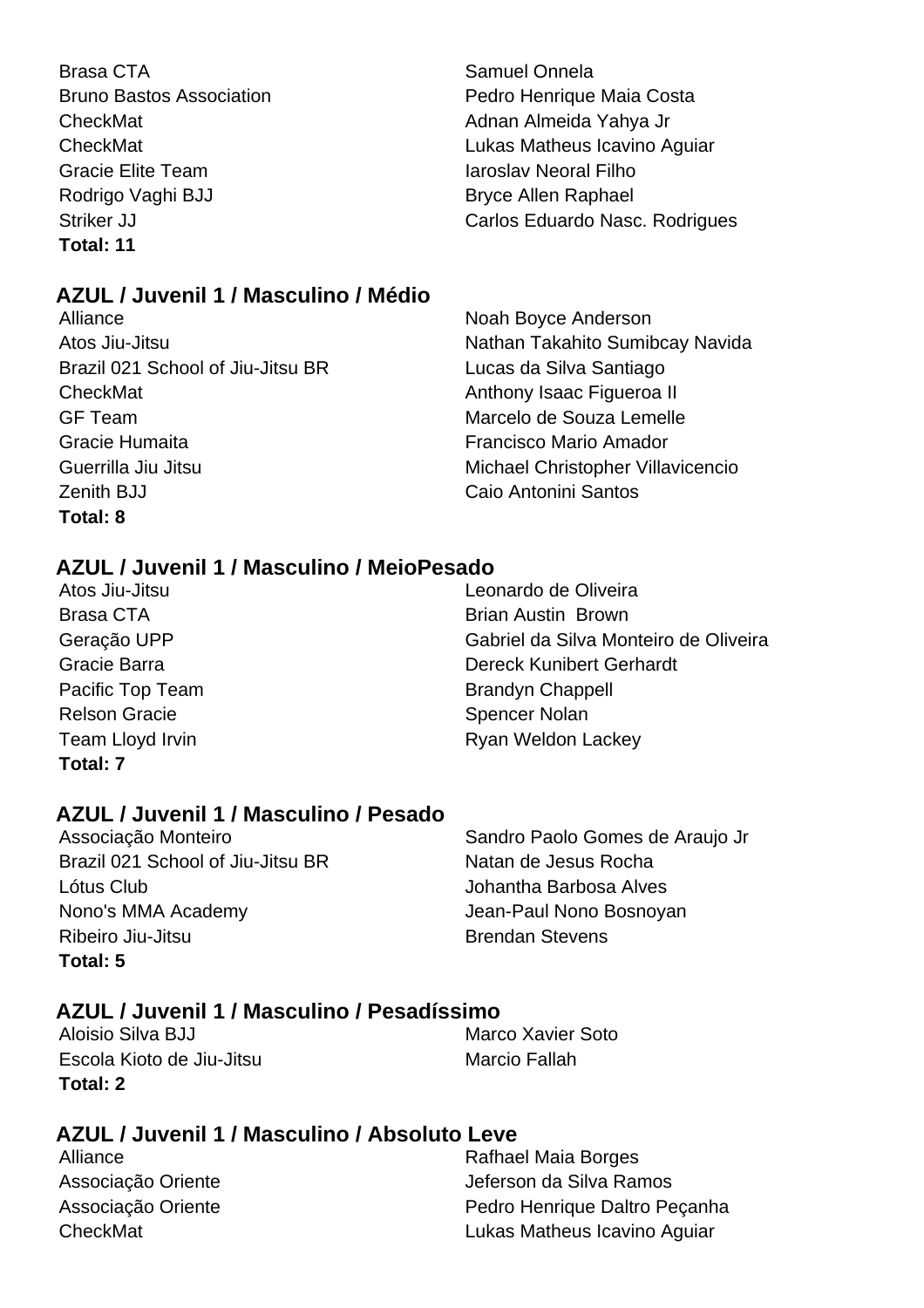Brasa CTA **Samuel Onnela** Samuel Onnela CheckMat **Adnan Almeida Yahya Jr** Adnan Almeida Yahya Jr Gracie Elite Team **International Elite Team** Iaroslav Neoral Filho Rodrigo Vaghi BJJ Bryce Allen Raphael **Total: 11**

Bruno Bastos Association **Bruno Bastos Association** Pedro Henrique Maia Costa CheckMat Lukas Matheus Icavino Aguiar Striker JJ Carlos Eduardo Nasc. Rodrigues

# **AZUL / Juvenil 1 / Masculino / Médio**

Atos Jiu-Jitsu Nathan Takahito Sumibcay Navida Brazil 021 School of Jiu-Jitsu BR Lucas da Silva Santiago CheckMat **Anthony Isaac Figueroa II** Anthony Isaac Figueroa II GF Team Marcelo de Souza Lemelle Gracie Humaita Francisco Mario Amador Guerrilla Jiu Jitsu **Michael Christopher Villavicencio** Zenith BJJ Caio Antonini Santos **Total: 8**

Alliance Noah Boyce Anderson

# **AZUL / Juvenil 1 / Masculino / MeioPesado**

Relson Gracie **Spencer Nolan Total: 7**

Atos Jiu-Jitsu Leonardo de Oliveira Brasa CTA **Brasa CTA** Brian Austin Brown Geração UPP Gabriel da Silva Monteiro de Oliveira Gracie Barra **Dereck Kunibert Gerhardt** Pacific Top Team Brandyn Chappell Team Lloyd Irvin **Ryan Weldon Lackey** 

# **AZUL / Juvenil 1 / Masculino / Pesado**

Brazil 021 School of Jiu-Jitsu BR Natan de Jesus Rocha Lótus Club Johantha Barbosa Alves Nono's MMA Academy Jean-Paul Nono Bosnoyan Ribeiro Jiu-Jitsu **Brendan Stevens Total: 5**

Associação Monteiro **National Sandro Paolo Gomes de Araujo Jr** 

# **AZUL / Juvenil 1 / Masculino / Pesadíssimo**

Aloisio Silva BJJ Marco Xavier Soto Escola Kioto de Jiu-Jitsu **Marcio Fallah Total: 2**

# **AZUL / Juvenil 1 / Masculino / Absoluto Leve**

Alliance **Rafhael Maia Borges** Associação Oriente **Associação Oriente** Jeferson da Silva Ramos Associação Oriente **Pedro Henrique Daltro Peçanha** CheckMat Lukas Matheus Icavino Aguiar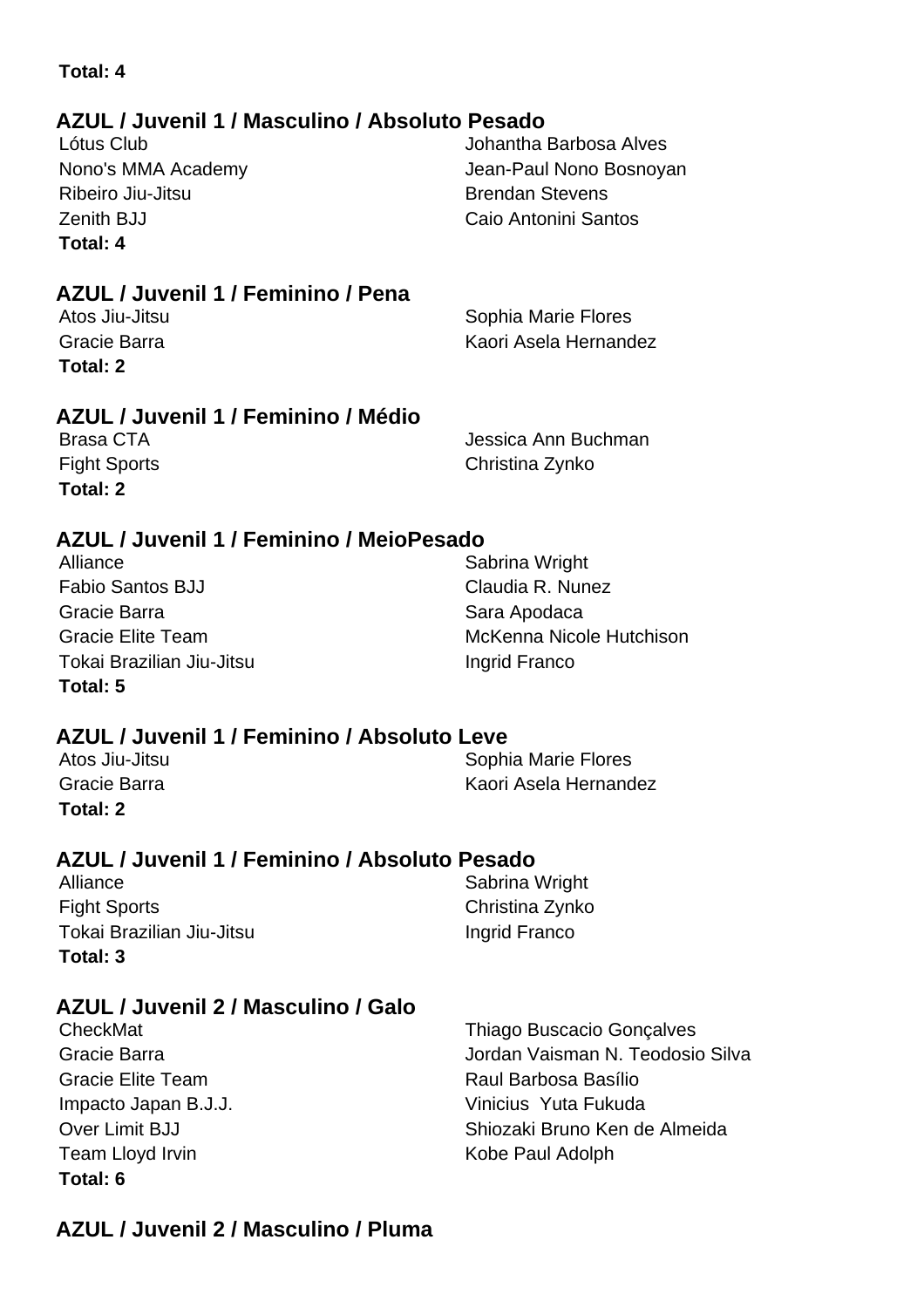# **AZUL / Juvenil 1 / Masculino / Absoluto Pesado AZUL / Juvenil 1 / Feminino / Pena AZUL / Juvenil 1 / Feminino / Médio Total: 4** Lótus Club Johantha Barbosa Alves Nono's MMA Academy **Nono's MMA Academy Jean-Paul Nono Bosnoyan** Ribeiro Jiu-Jitsu **Brendan Stevens** Zenith BJJ Caio Antonini Santos **Total: 4** Sophia Marie Flores Gracie Barra Kaori Asela Hernandez **Total: 2** Brasa CTA Jessica Ann Buchman Fight Sports **Christina Zynko Total: 2**

# **AZUL / Juvenil 1 / Feminino / MeioPesado**

Alliance Sabrina Wright Fabio Santos BJJ Claudia R. Nunez Gracie Barra **Sara Apodaca** Sara Apodaca Tokai Brazilian Jiu-Jitsu **Ingrid Franco Total: 5**

Gracie Elite Team **McKenna Nicole Hutchison** 

# **AZUL / Juvenil 1 / Feminino / Absoluto Leve**

| Atos Jiu-Jitsu | Sophia Marie Flores   |
|----------------|-----------------------|
| Gracie Barra   | Kaori Asela Hernandez |
| Total: 2       |                       |

# **AZUL / Juvenil 1 / Feminino / Absoluto Pesado**

Alliance Sabrina Wright Fight Sports **Christina Zynko** Tokai Brazilian Jiu-Jitsu **Ingrid Franco Total: 3**

# **AZUL / Juvenil 2 / Masculino / Galo**

| CheckMat                 | <b>Thiago Buscacio Gonçalves</b> |
|--------------------------|----------------------------------|
| Gracie Barra             | Jordan Vaisman N. Teodosio Silva |
| <b>Gracie Elite Team</b> | Raul Barbosa Basílio             |
| Impacto Japan B.J.J.     | Vinicius Yuta Fukuda             |
| Over Limit BJJ           | Shiozaki Bruno Ken de Almeida    |
| Team Lloyd Irvin         | Kobe Paul Adolph                 |
| Total: 6                 |                                  |

# **AZUL / Juvenil 2 / Masculino / Pluma**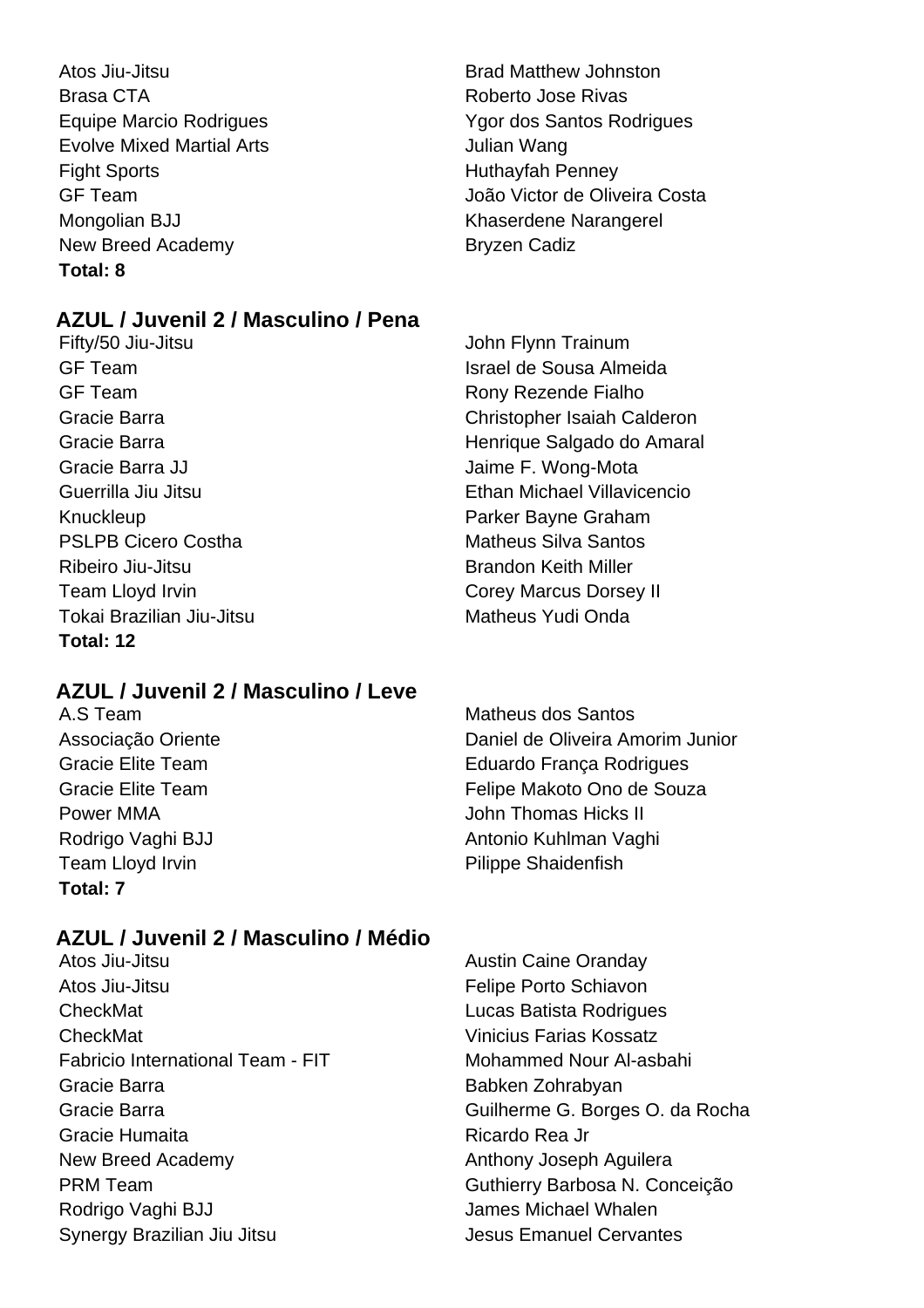Atos Jiu-Jitsu Brad Matthew Johnston Brasa CTA **Roberto Jose Rivas** Evolve Mixed Martial Arts **Figure 10** Sulian Wang Fight Sports **Huthayfah Penney** Mongolian BJJ **Khaserdene Narangerel** New Breed Academy Bryzen Cadiz **Total: 8**

# **AZUL / Juvenil 2 / Masculino / Pena**

Fifty/50 Jiu-Jitsu John Flynn Trainum GF Team **Israel de Sousa Almeida** GF Team **Rony Rony Rezende Fialho** Gracie Barra JJ **Gracia** Christianus Christianus Christianus Jaime F. Wong-Mota Knuckleup Parker Bayne Graham PSLPB Cicero Costha **Matheus Silva Santos** Matheus Silva Santos Ribeiro Jiu-Jitsu **Brandon Keith Miller** Team Lloyd Irvin **Corey Marcus Dorsey II** Tokai Brazilian Jiu-Jitsu Matheus Yudi Onda **Total: 12**

# **AZUL / Juvenil 2 / Masculino / Leve**

Team Lloyd Irvin **Pilippe Shaidenfish Total: 7**

A.S Team Matheus dos Santos Associação Oriente Daniel de Oliveira Amorim Junior Gracie Elite Team **Eduardo França Rodrigues** Gracie Elite Team **Felipe Makoto Ono de Souza** Power MMA **Power MMA John Thomas Hicks II** Rodrigo Vaghi BJJ **Antonio Kuhlman Vaghi** Antonio Kuhlman Vaghi

# **AZUL / Juvenil 2 / Masculino / Médio**

- Atos Jiu-Jitsu **Austin Caine Oranday** Atos Jiu-Jitsu Felipe Porto Schiavon CheckMat Lucas Batista Rodrigues CheckMat Vinicius Farias Kossatz Fabricio International Team - FIT Mohammed Nour Al-asbahi Gracie Barra **Babken Zohrabyan** Gracie Barra Guilherme G. Borges O. da Rocha Gracie Humaita **Ricardo Rea Jr. Estado Rea Jr.** Ricardo Rea Jr. New Breed Academy **Anthony Joseph Aguilera** PRM Team Guthierry Barbosa N. Conceição Rodrigo Vaghi BJJ **National State State State State State State State State State State State State State State State State State State State State State State State State State State State State State State State State St** Synergy Brazilian Jiu Jitsu Jesus Emanuel Cervantes
- 

Equipe Marcio Rodrigues Ygor dos Santos Rodrigues GF Team João Victor de Oliveira Costa

Gracie Barra Christopher Isaiah Calderon Gracie Barra **March 2018** Henrique Salgado do Amaral Guerrilla Jiu Jitsu Ethan Michael Villavicencio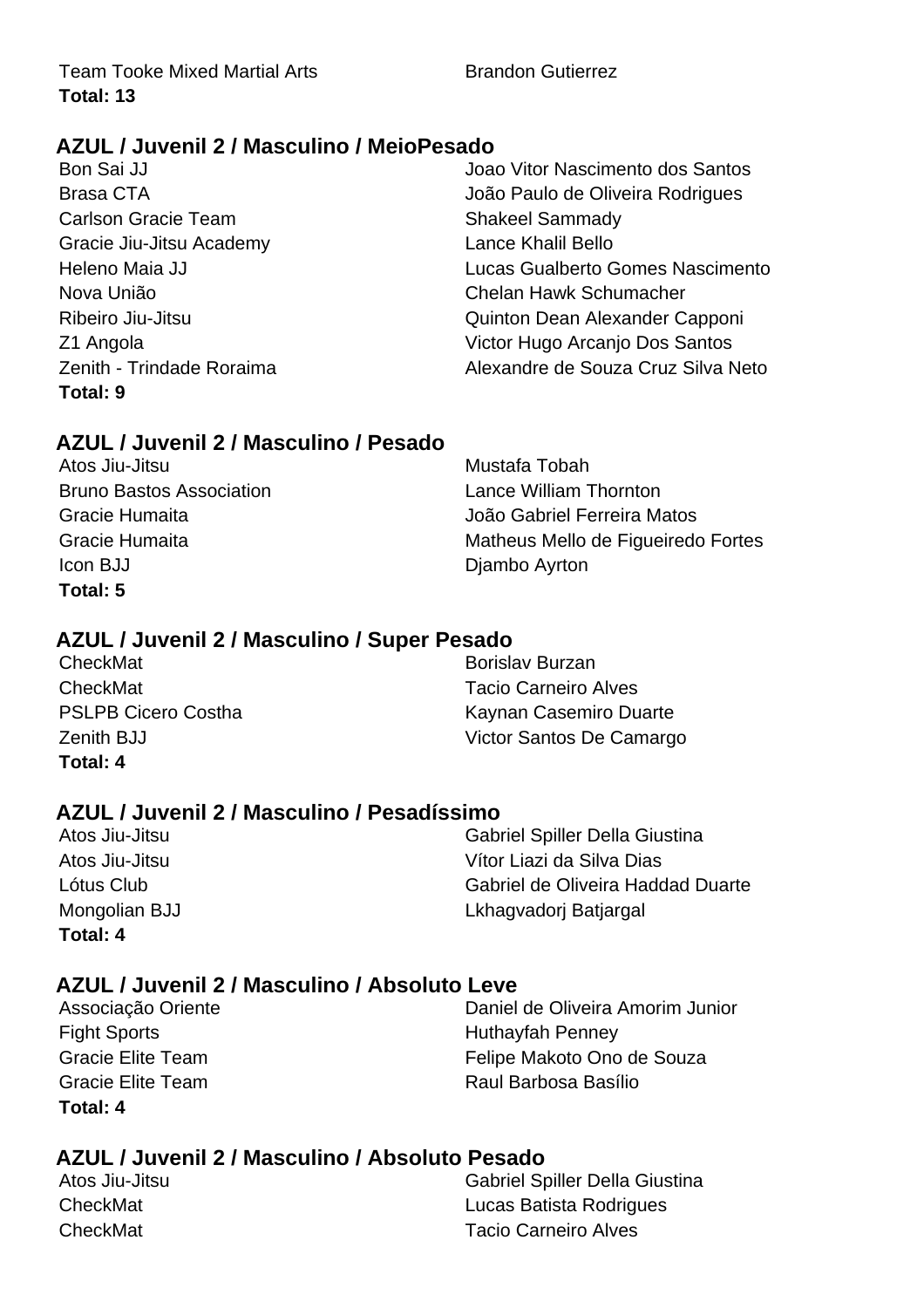Team Tooke Mixed Martial Arts **Brandon Gutierrez Total: 13**

# **AZUL / Juvenil 2 / Masculino / MeioPesado**

Carlson Gracie Team Shakeel Sammady Gracie Jiu-Jitsu Academy Lance Khalil Bello **Total: 9**

Bon Sai JJ Joao Vitor Nascimento dos Santos Brasa CTA João Paulo de Oliveira Rodrigues Heleno Maia JJ Lucas Gualberto Gomes Nascimento Nova União Chelan Hawk Schumacher Ribeiro Jiu-Jitsu **Capponi** Quinton Dean Alexander Capponi Z1 Angola Victor Hugo Arcanjo Dos Santos Zenith - Trindade Roraima<br>
Alexandre de Souza Cruz Silva Neto

# **AZUL / Juvenil 2 / Masculino / Pesado**

Atos Jiu-Jitsu **Mustafa Tobah** Bruno Bastos Association Lance William Thornton Icon BJJ Djambo Ayrton **Total: 5**

Gracie Humaita João Gabriel Ferreira Matos Gracie Humaita **Matheus Mello de Figueiredo Fortes** 

# **AZUL / Juvenil 2 / Masculino / Super Pesado**

| CheckMat                   | <b>Borislav Burzan</b>      |
|----------------------------|-----------------------------|
| CheckMat                   | <b>Tacio Carneiro Alves</b> |
| <b>PSLPB Cicero Costha</b> | Kaynan Casemiro Duarte      |
| <b>Zenith BJJ</b>          | Victor Santos De Camargo    |
| Total: 4                   |                             |

# **AZUL / Juvenil 2 / Masculino / Pesadíssimo**

| Total: 4       |  |
|----------------|--|
| Mongolian BJJ  |  |
| Lótus Club     |  |
| Atos Jiu-Jitsu |  |
| Atos Jiu-Jitsu |  |

**Gabriel Spiller Della Giustina** Vítor Liazi da Silva Dias Gabriel de Oliveira Haddad Duarte Lkhagvadorj Batjargal

# **AZUL / Juvenil 2 / Masculino / Absoluto Leve**

Fight Sports **Huthayfah Penney Total: 4**

Associação Oriente **Daniel de Oliveira Amorim Junior** Gracie Elite Team **Felipe Makoto Ono de Souza** Gracie Elite Team **Raul Barbosa Basílio** 

# **AZUL / Juvenil 2 / Masculino / Absoluto Pesado**

| Atos Jiu-Jitsu | <b>Gabriel Spiller Della Giustina</b> |
|----------------|---------------------------------------|
| CheckMat       | Lucas Batista Rodrigues               |
| CheckMat       | <b>Tacio Carneiro Alves</b>           |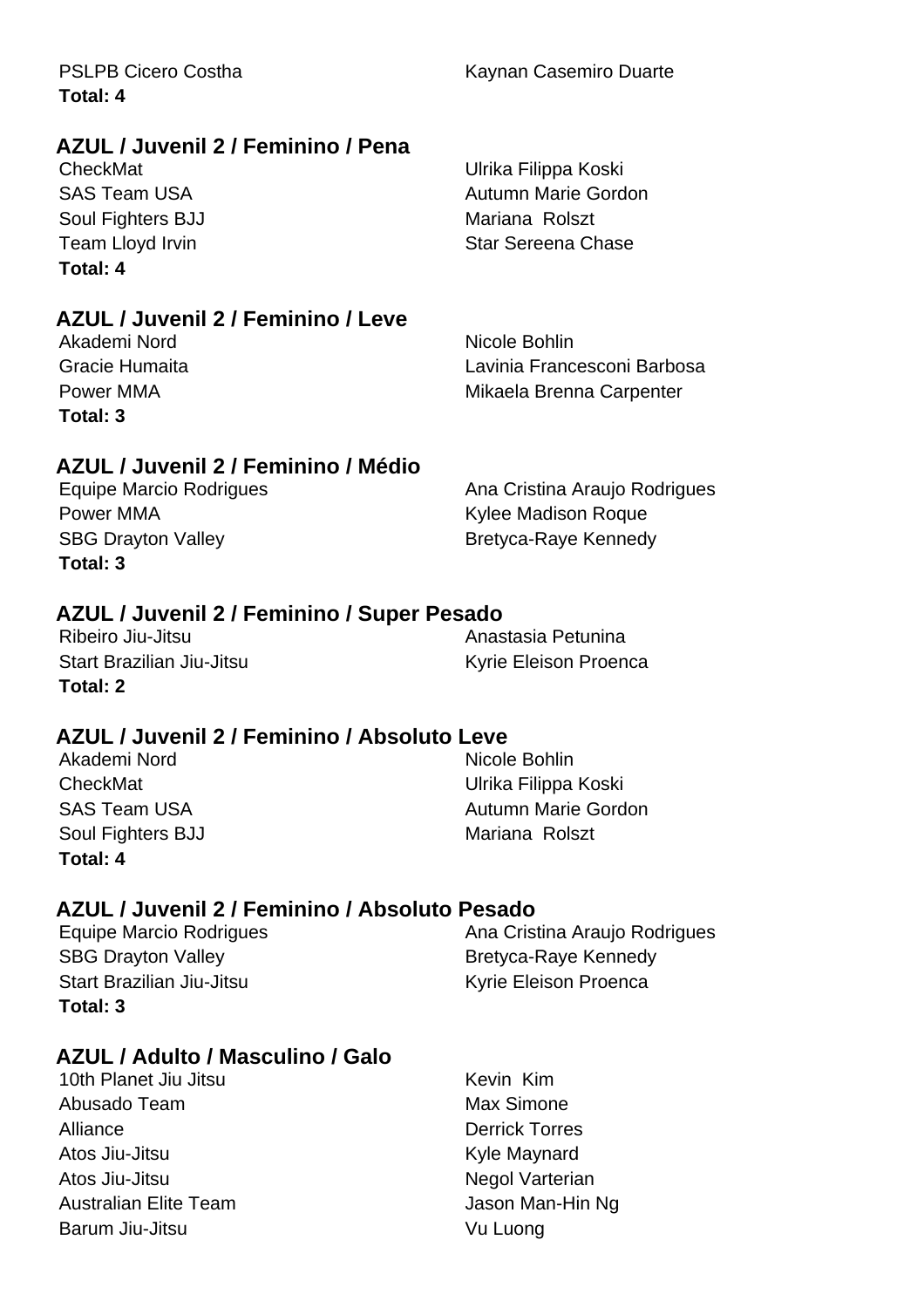| Total: 4                            |                               |
|-------------------------------------|-------------------------------|
| AZUL / Juvenil 2 / Feminino / Pena  |                               |
| CheckMat                            | Ulrika Filippa Koski          |
| <b>SAS Team USA</b>                 | Autumn Marie Gordon           |
| Soul Fighters BJJ                   | Mariana Rolszt                |
| Team Lloyd Irvin                    | Star Sereena Chase            |
| Total: 4                            |                               |
| AZUL / Juvenil 2 / Feminino / Leve  |                               |
| Akademi Nord                        | Nicole Bohlin                 |
| Gracie Humaita                      | Lavinia Francesconi Barbosa   |
| Power MMA                           | Mikaela Brenna Carpenter      |
| Total: 3                            |                               |
| AZUL / Juvenil 2 / Feminino / Médio |                               |
| Equipe Marcio Rodrigues             | Ana Cristina Araujo Rodrigues |
| <b>D A</b> A A A                    | 14. Jan Martin am Demon       |

PSLPB Cicero Costha Kaynan Casemiro Duarte

Power MMA **Reserve All Allective Controller Controller** Kylee Madison Roque **Total: 3**

SBG Drayton Valley **Bretyca-Raye Kennedy** 

# **AZUL / Juvenil 2 / Feminino / Super Pesado**

Ribeiro Jiu-Jitsu **Anastasia Petunina** Start Brazilian Jiu-Jitsu **Kyrie Eleison Proenca Total: 2**

# **AZUL / Juvenil 2 / Feminino / Absoluto Leve**

Akademi Nord Nicole Bohlin CheckMat Ulrika Filippa Koski Soul Fighters BJJ Mariana Rolszt **Total: 4**

SAS Team USA **Autumn Marie Gordon** 

# **AZUL / Juvenil 2 / Feminino / Absoluto Pesado**

SBG Drayton Valley **Bretyca-Raye Kennedy** Start Brazilian Jiu-Jitsu **Kyrie Eleison Proenca Total: 3**

Equipe Marcio Rodrigues **Ana Cristina Araujo Rodrigues** Ana Cristina Araujo Rodrigues

# **AZUL / Adulto / Masculino / Galo**

10th Planet Jiu Jitsu **Kevin Kim** Abusado Team **Max Simone** Alliance **Derrick Torres** Atos Jiu-Jitsu **Kyle Maynard** Atos Jiu-Jitsu **Negol Varterian** Australian Elite Team **Jason Man-Hin Ng** Barum Jiu-Jitsu **Vu Luong**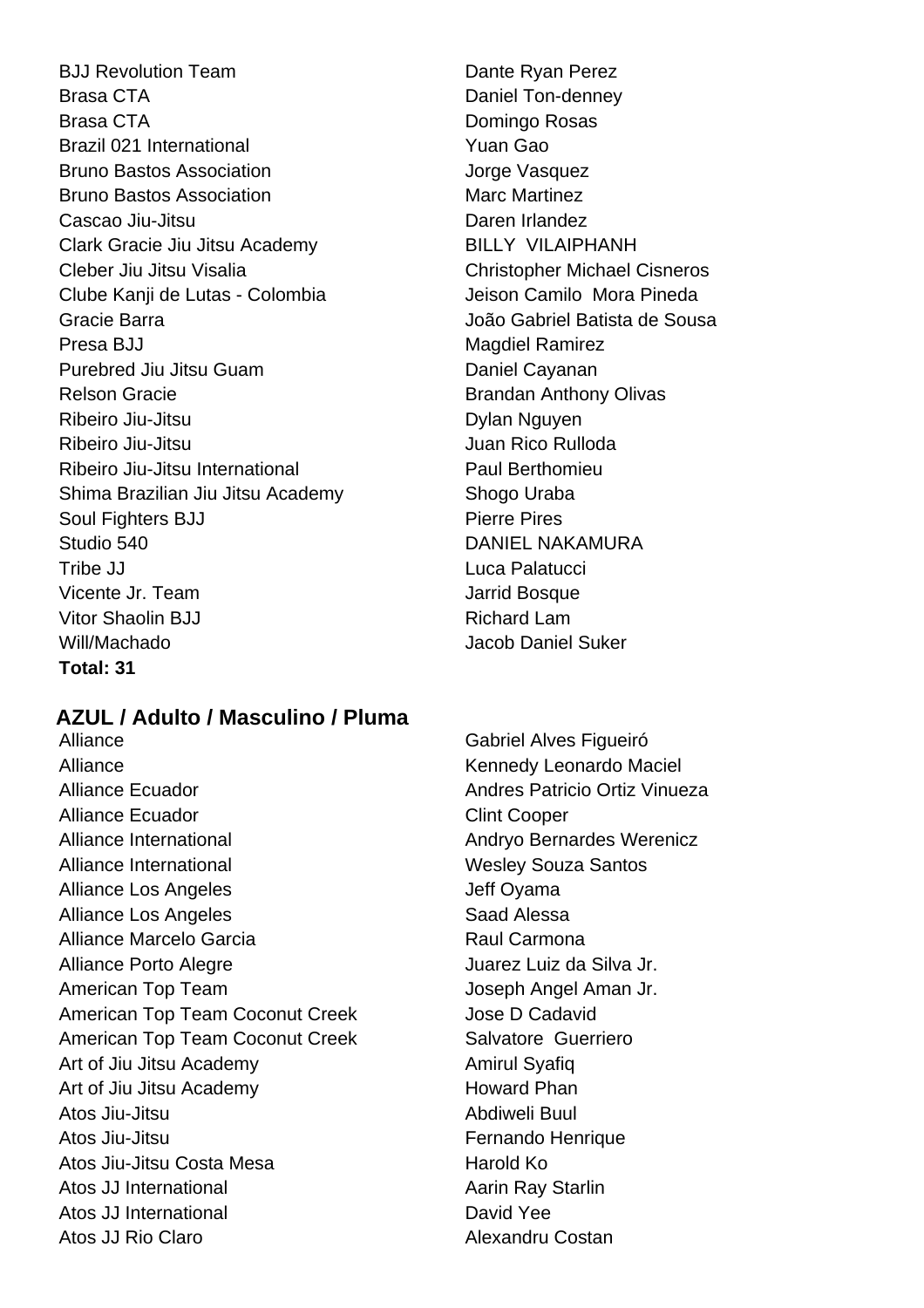BJJ Revolution Team Dante Ryan Perez Brasa CTA **Daniel Ton-denney** Brasa CTA **Domingo Rosas** Brazil 021 International **Brazil 021** International Bruno Bastos Association **Bruno Bastos Association** Jorge Vasquez **Bruno Bastos Association** Marc Martinez Cascao Jiu-Jitsu **Daren Irlandez** Clark Gracie Jiu Jitsu Academy BILLY VILAIPHANH Cleber Jiu Jitsu Visalia Christopher Michael Cisneros Clube Kanji de Lutas - Colombia **International Clube Camilo Mora Pineda** Gracie Barra João Gabriel Batista de Sousa Presa BJJ Magdiel Ramirez Purebred Jiu Jitsu Guam Daniel Cayanan Relson Gracie **Brandan Anthony Olivas** Brandan Anthony Olivas Ribeiro Jiu-Jitsu **Nguyen Nguyen**<br>
Ribeiro Jiu-Jitsu **Nguyen** Ribeiro Jiu-Jitsu **Internationalista de la contrata de la contrata de la contrata de la contrata de la contrata de la contrata de la contrata de la contrata de la contrata de la contrata de la contrata de la contrata de la** Ribeiro Jiu-Jitsu International **Paul Berthomieu** Shima Brazilian Jiu Jitsu Academy Shogo Uraba Soul Fighters BJJ Pierre Pires Studio 540 DANIEL NAKAMURA Tribe JJ Luca Palatucci Vicente Jr. Team Jarrid Bosque Vitor Shaolin BJJ Richard Lam Will/Machado Jacob Daniel Suker **Total: 31**

# **AZUL / Adulto / Masculino / Pluma**

Alliance **Gabriel Alves Figueiró** Alliance **Kennedy Leonardo Maciel** Alliance Ecuador **Andres Patricio Ortiz Vinueza** Alliance Ecuador **Clint Cooper** Alliance International **Andryo Bernardes Werenicz** Alliance International New York Wesley Souza Santos Alliance Los Angeles **Jeff Oyama** Alliance Los Angeles **Saad Alessa** Alliance Marcelo Garcia **Raul Carmona** Alliance Porto Alegre Juarez Luiz da Silva Jr. American Top Team  $\qquad \qquad$  Joseph Angel Aman Jr. American Top Team Coconut Creek Jose D Cadavid American Top Team Coconut Creek Salvatore Guerriero Art of Jiu Jitsu Academy Amirul Syafiq Art of Jiu Jitsu Academy **Howard Phan** Atos Jiu-Jitsu Abdiweli Buul Atos Jiu-Jitsu **Fernando** Henrique Atos Jiu-Jitsu Costa Mesa **Mataubusan Karabasa** Harold Ko Atos JJ International **Access 1** Aarin Ray Starlin Atos JJ International **David Yee** Atos JJ Rio Claro Alexandru Costan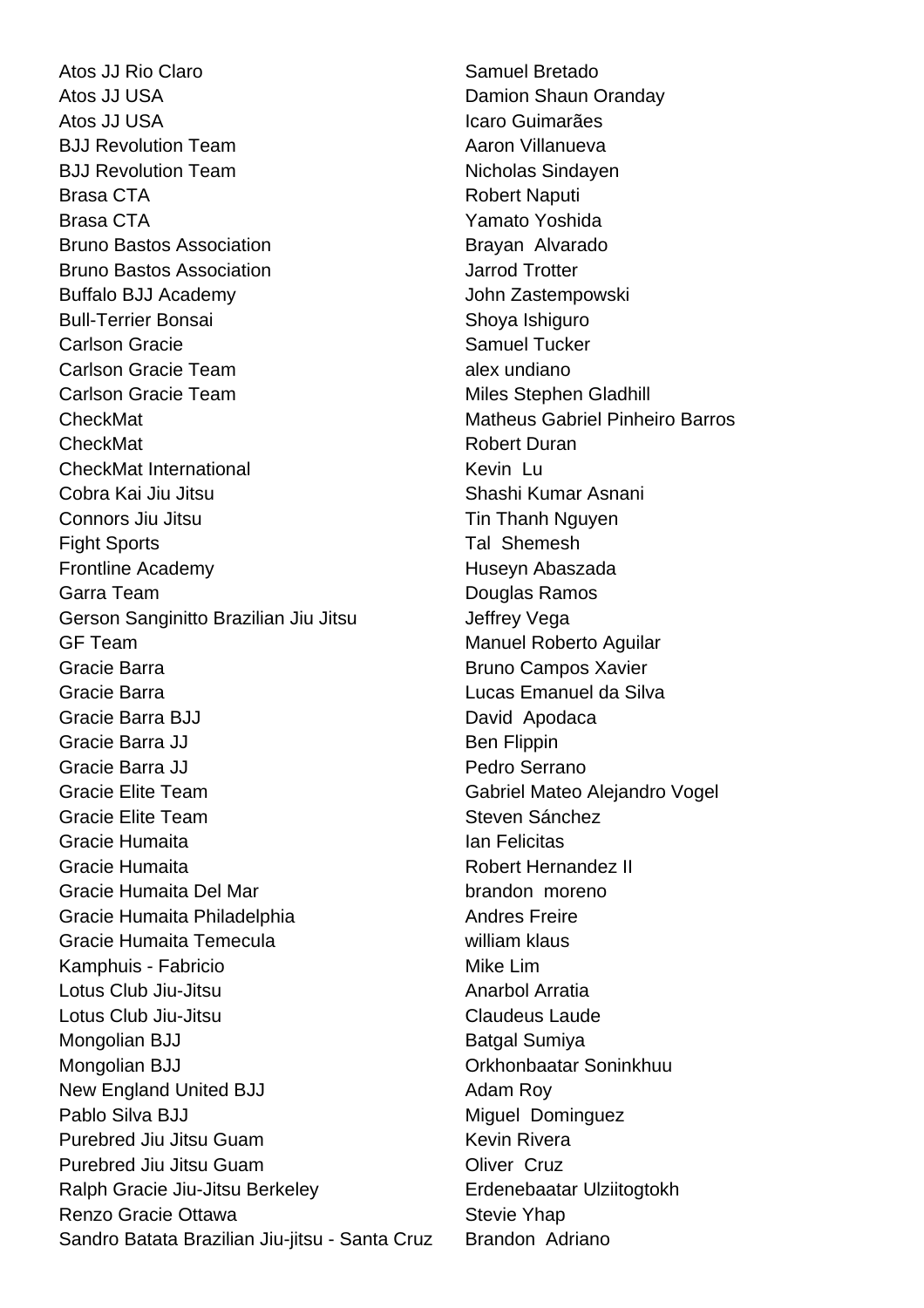Atos JJ Rio Claro **Samuel Bretado** Atos JJ USA **Damion** Shaun Oranday Atos JJ USA **Icaro Guimarães** BJJ Revolution Team Aaron Villanueva BJJ Revolution Team Nicholas Sindayen Brasa CTA **Robert Naputi** Brasa CTA **Yamato Yoshida** Bruno Bastos Association **Brayan Alvarado** Bruno Bastos Association Jarrod Trotter Buffalo BJJ Academy **John Zastempowski** Bull-Terrier Bonsai Shoya Ishiguro Carlson Gracie **Samuel Tucker** Samuel Tucker Carlson Gracie Team alex undiano Carlson Gracie Team Miles Stephen Gladhill CheckMat Matheus Gabriel Pinheiro Barros CheckMat **Robert Duran** Robert Duran CheckMat International **Kevin** Lu Cobra Kai Jiu Jitsu Shashi Kumar Asnani Connors Jiu Jitsu **Tin Thanh Nguyen** Fight Sports **Tal Shemesh** Frontline Academy **Huseyn** Abaszada Garra Team **Douglas Ramos Carra** Team **Douglas Ramos** Gerson Sanginitto Brazilian Jiu Jitsu **Jeffrey Vega** GF Team **Manuel Roberto Aguilar** Manuel Roberto Aguilar Gracie Barra **Bruno Campos Xavier Bruno Campos Xavier** Gracie Barra Lucas Emanuel da Silva Gracie Barra BJJ David Apodaca Gracie Barra JJ Ben Flippin Gracie Barra JJ **Pedro Serrano** Gracie Elite Team Gabriel Mateo Alejandro Vogel Gracie Elite Team Steven Sánchez Gracie Humaita **Ian Felicitas** Gracie Humaita **Robert Hernandez II** Gracie Humaita Del Mar brandon moreno Gracie Humaita Philadelphia **Andres Freire** Andres Freire Gracie Humaita Temecula william klaus Kamphuis - Fabricio Mike Lim Lotus Club Jiu-Jitsu **Anarbol Arratia** Lotus Club Jiu-Jitsu Claudeus Laude Mongolian BJJ Batgal Sumiya Mongolian BJJ Orkhonbaatar Soninkhuu New England United BJJ Adam Roy Pablo Silva BJJ Miguel Dominguez Purebred Jiu Jitsu Guam Kevin Rivera Purebred Jiu Jitsu Guam **Oliver Cruz** Ralph Gracie Jiu-Jitsu Berkeley **Erdenebaatar Ulziitogtokh** Renzo Gracie Ottawa Stevie Yhap Sandro Batata Brazilian Jiu-jitsu - Santa Cruz Brandon Adriano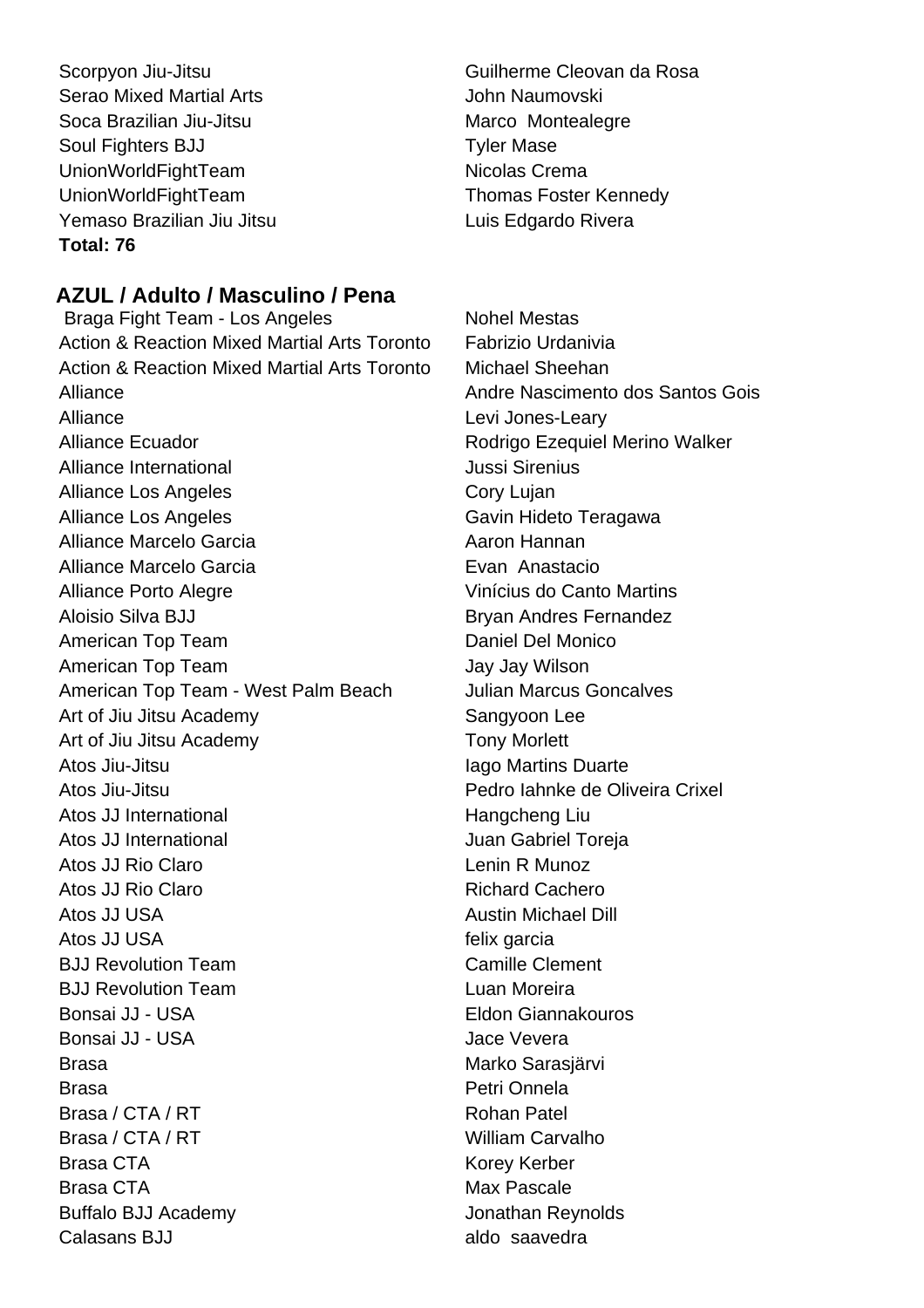Scorpyon Jiu-Jitsu Guilherme Cleovan da Rosa Serao Mixed Martial Arts **Serao Mixed Martial Arts** John Naumovski Soca Brazilian Jiu-Jitsu **Marco Montealegre** Marco Montealegre Soul Fighters BJJ Tyler Mase UnionWorldFightTeam Nicolas Crema UnionWorldFightTeam Thomas Foster Kennedy Yemaso Brazilian Jiu Jitsu **Luis Edgardo Rivera Total: 76**

# **AZUL / Adulto / Masculino / Pena**

Braga Fight Team - Los Angeles Nohel Mestas Action & Reaction Mixed Martial Arts Toronto Fabrizio Urdanivia Action & Reaction Mixed Martial Arts Toronto Michael Sheehan Alliance **Andre Nascimento dos Santos Gois** Alliance Levi Jones-Leary Alliance Ecuador **Alliance Ecuador Rodrigo Ezequiel Merino Walker** Alliance International and a settlement of the United Sirenius Alliance Los Angeles **Cory Lujan** Alliance Los Angeles Gavin Hideto Teragawa Alliance Marcelo Garcia **Alliance Marcelo Garcia** Aaron Hannan Alliance Marcelo Garcia **Evan Anastacio** Alliance Porto Alegre Aloisio Silva BJJ Bryan Andres Fernandez American Top Team **Daniel Del Monico** American Top Team Jay Jay Jay Wilson American Top Team - West Palm Beach Julian Marcus Goncalves Art of Jiu Jitsu Academy Sangyoon Lee Art of Jiu Jitsu Academy Tony Morlett Atos Jiu-Jitsu **International Community** Iago Martins Duarte Atos Jiu-Jitsu Pedro Iahnke de Oliveira Crixel Atos JJ International Hangcheng Liu Atos JJ International **Atos** Juan Gabriel Toreja Atos JJ Rio Claro **Legacy Contract Claro Claro Lenin R Munoz** Atos JJ Rio Claro **Richard Cachero** Richard Cachero Atos JJ USA **Austin Michael Dill Austin Michael Dill** Atos JJ USA felix garcia BJJ Revolution Team Camille Clement BJJ Revolution Team **Luan Moreira** Bonsai JJ - USA Eldon Giannakouros Bonsai JJ - USA Jace Vevera Brasa Marko Sarasiärvi Brasa Petri Onnela Brasa / CTA / RT Rohan Patel Brasa / CTA / RT William Carvalho Brasa CTA **Korey Kerber** Korey Kerber Brasa CTA **Max Pascale** Max Pascale Buffalo BJJ Academy **Jonathan Reynolds** Calasans B.I.I aldo saavedra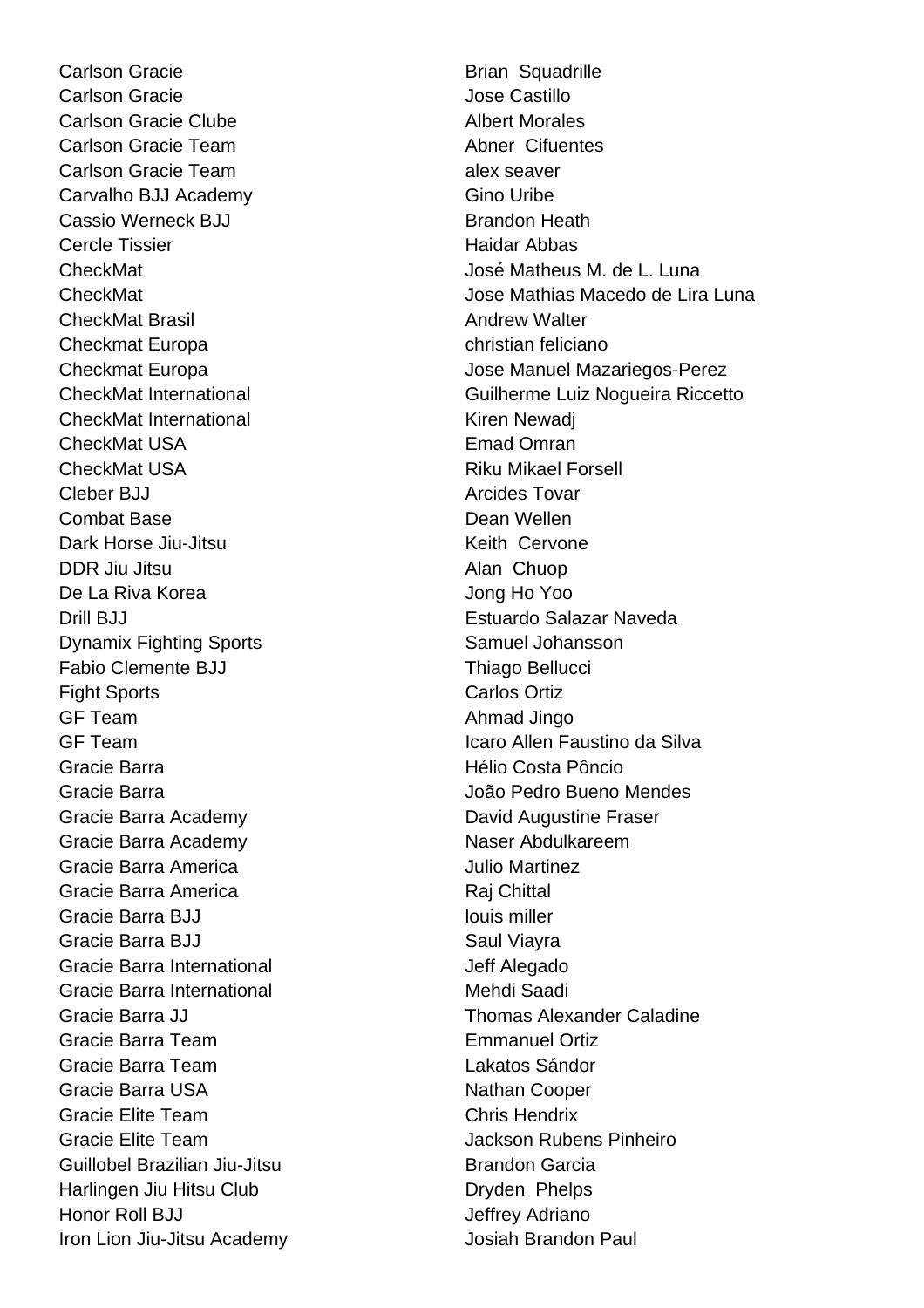Carlson Gracie **Brian Squadrille** Carlson Gracie **Castillo** Carlson Gracie Clube **Albert Morales** Carlson Gracie Team Abner Cifuentes Carlson Gracie Team alex seaver Carvalho BJJ Academy Gino Uribe Cassio Werneck BJJ Brandon Heath Cercle Tissier **Haidar Abbas** CheckMat Brasil Andrew Walter Checkmat Europa christian feliciano CheckMat International **Kiren Newadi** Kiren Newadi CheckMat USA **Emad Omran** CheckMat USA **Riku Mikael Forsell** Cleber BJJ **Arcides Tovar** Combat Base **Dean Wellen** Dark Horse Jiu-Jitsu **Keith Cervone** DDR Jiu Jitsu Alan Chuop De La Riva Korea  $\overline{a}$  Jong Ho Yoo Drill BJJ Estuardo Salazar Naveda **Dynamix Fighting Sports** Samuel Johansson Fabio Clemente BJJ Thiago Bellucci Fight Sports Carlos Ortiz GF Team Ahmad Jingo Gracie Barra Hélio Costa Pôncio Gracie Barra João Pedro Bueno Mendes Gracie Barra Academy **David Augustine Fraser** Gracie Barra Academy Naser Abdulkareem Gracie Barra America **Martinez** Julio Martinez Gracie Barra America **Raj Chittal** Gracie Barra BJJ louis miller Gracie Barra BJJ Saul Viayra Gracie Barra International **Gracie Barra International** Gracie Barra International **Mehdi Saadi** Gracie Barra Team **Emmanuel Ortiz** Gracie Barra Team Lakatos Sándor Gracie Barra USA Nathan Cooper Gracie Elite Team Chris Hendrix Gracie Elite Team Jackson Rubens Pinheiro Guillobel Brazilian Jiu-Jitsu **Brandon Garcia** Harlingen Jiu Hitsu Club Dryden Phelps Honor Roll BJJ Jeffrey Adriano Iron Lion Jiu-Jitsu Academy Josiah Brandon Paul

CheckMat José Matheus M. de L. Luna CheckMat Jose Mathias Macedo de Lira Luna Checkmat Europa Jose Manuel Mazariegos-Perez CheckMat International **CheckMat International** Guilherme Luiz Nogueira Riccetto GF Team Icaro Allen Faustino da Silva Gracie Barra JJ Thomas Alexander Caladine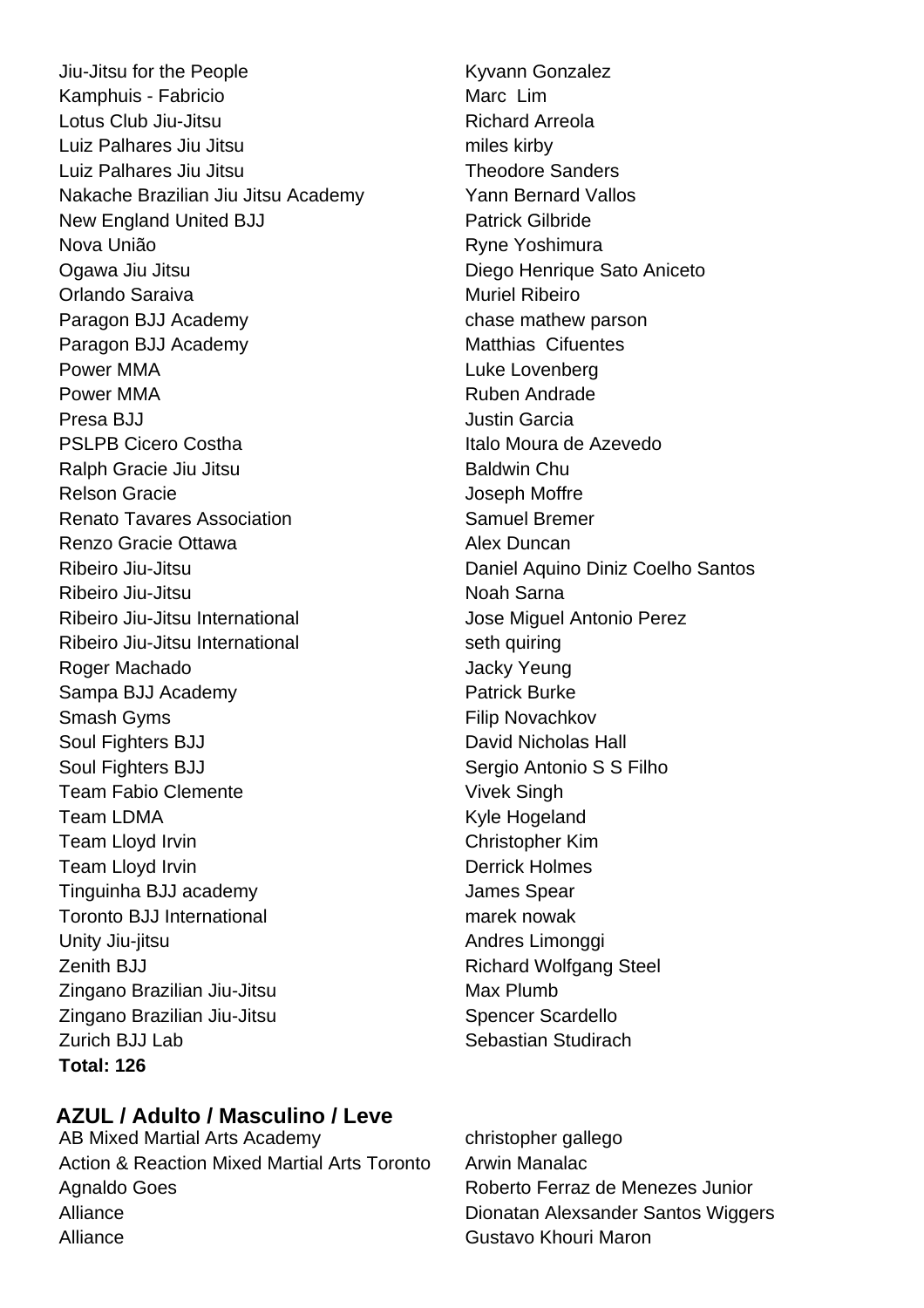Jiu-Jitsu for the People Kyvann Gonzalez Kamphuis - Fabricio Marc Lim Lotus Club Jiu-Jitsu **Richard Arreola** Luiz Palhares Jiu Jitsu miles kirby Luiz Palhares Jiu Jitsu **Theodore Sanders** Nakache Brazilian Jiu Jitsu Academy Yann Bernard Vallos New England United BJJ Patrick Gilbride Nova União **Nova União** Ryne Yoshimura Ogawa Jiu Jitsu Diego Henrique Sato Aniceto Orlando Saraiva **Muriel Ribeiro** Muriel Ribeiro Paragon BJJ Academy example and the chase mathew parson Paragon BJJ Academy Matthias Cifuentes Power MMA **Luke Lovenberg** Power MMA **Ruben Andrade** Presa BJJ Justin Garcia PSLPB Cicero Costha **Italo Moura de Azevedo** Ralph Gracie Jiu Jitsu **Baldwin** Chu Relson Gracie **Contract Contract Contract Contract Contract Contract Contract Contract Contract Contract Contract Contract Contract Contract Contract Contract Contract Contract Contract Contract Contract Contract Contract Renato Tavares Association** Samuel Bremer Renzo Gracie Ottawa **Alex Duncan** Ribeiro Jiu-Jitsu Daniel Aquino Diniz Coelho Santos Ribeiro Jiu-Jitsu **Noah Sarna** Ribeiro Jiu-Jitsu International **International** Jose Miguel Antonio Perez Ribeiro Jiu-Jitsu International seth quiring Roger Machado **Jacky Yeung** Sampa BJJ Academy **Patrick Burke** Smash Gyms **Filip Novachkov** Soul Fighters BJJ David Nicholas Hall Soul Fighters BJJ Sergio Antonio S S Filho Team Fabio Clemente Vivek Singh Team LDMA **Kyle Hogeland** Team Lloyd Irvin Christopher Kim Team Lloyd Irvin **Derrick** Holmes Tinguinha BJJ academy James Spear Toronto BJJ International marek nowak Unity Jiu-jitsu **Andres Limonggi** Zenith BJJ Richard Wolfgang Steel Zingano Brazilian Jiu-Jitsu Max Plumb Zingano Brazilian Jiu-Jitsu Spencer Scardello Zurich BJJ Lab Sebastian Studirach **Total: 126**

# **AZUL / Adulto / Masculino / Leve**

AB Mixed Martial Arts Academy christopher gallego Action & Reaction Mixed Martial Arts Toronto Arwin Manalac Agnaldo Goes **Roberto Ferraz de Menezes Junior** Alliance **Dionatan Alexsander Santos Wiggers** Alliance Gustavo Khouri Maron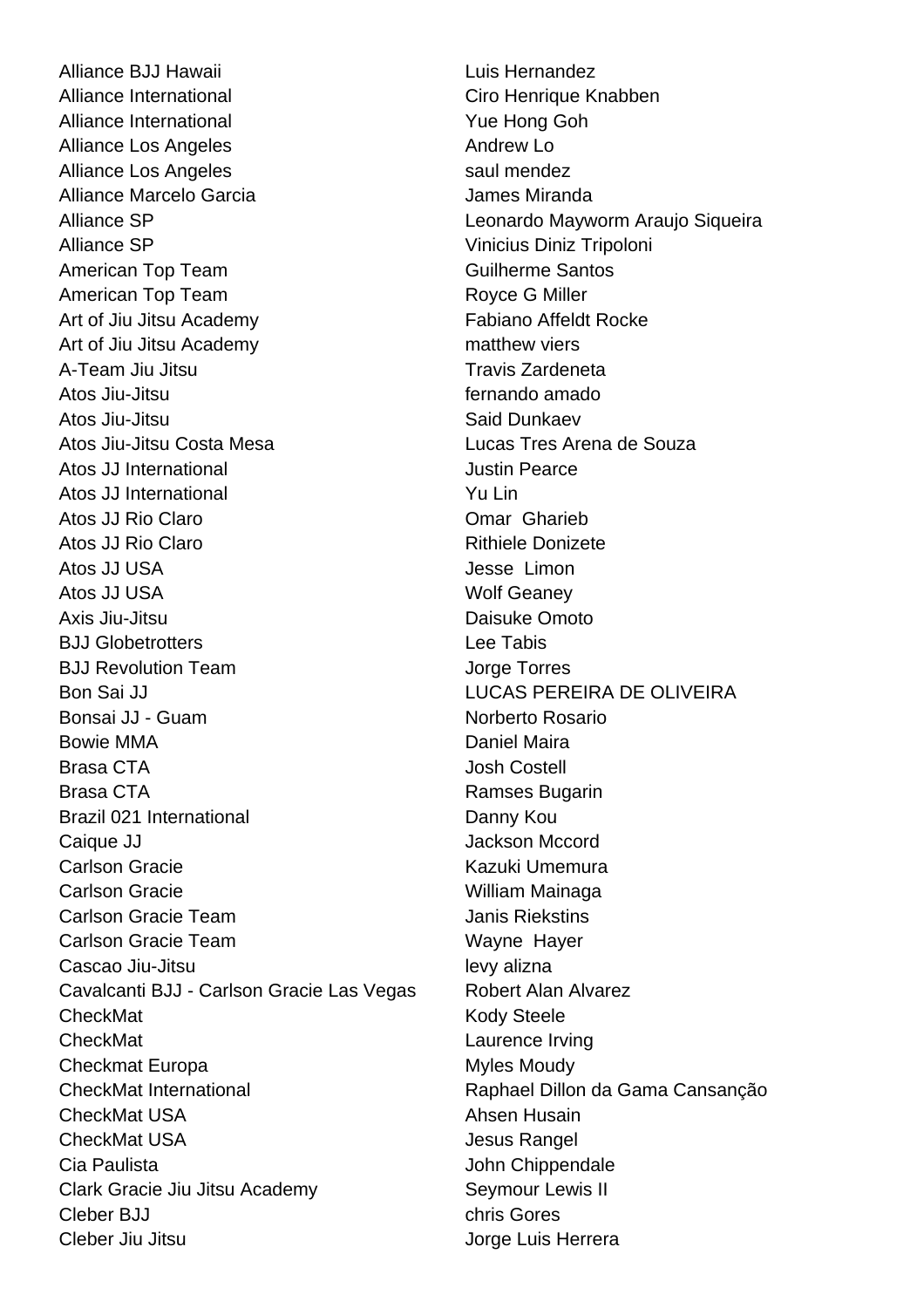Alliance BJJ Hawaii Luis Hernandez Alliance International Ciro Henrique Knabben Alliance International **Alliance International** Alliance Los Angeles **Andrew Lo Andrew Lo** Alliance Los Angeles saul mendez Alliance Marcelo Garcia **Alliance Miranda** Alliance SP Leonardo Mayworm Araujo Siqueira Alliance SP Vinicius Diniz Tripoloni American Top Team **Guilherme** Santos American Top Team **Royce G Miller** Art of Jiu Jitsu Academy **Fabiano Affeldt Rocke** Art of Jiu Jitsu Academy matthew viers A-Team Jiu Jitsu **Travis Zardeneta** Atos Jiu-Jitsu fernando amado Atos Jiu-Jitsu Said Dunkaev Atos Jiu-Jitsu Costa Mesa **Lucas Tres Arena de Souza** Atos JJ International **Atos** Justin Pearce Atos JJ International **Yu Links** Atos JJ Rio Claro **Carro Comar Gharieb** Atos JJ Rio Claro **Rithiele Donizete** Atos JJ USA Jesse Limon Atos JJ USA Wolf Geaney Axis Jiu-Jitsu Daisuke Omoto BJJ Globetrotters Lee Tabis BJJ Revolution Team Jorge Torres Bon Sai JJ LUCAS PEREIRA DE OLIVEIRA Bonsai JJ - Guam Norberto Rosario Bowie MMA **Daniel Maira** Brasa CTA **COSTERN COSTERN COSTERING** BRASE UP AND **JOSH COSTERING** Brasa CTA **Ramses Bugarin** Brazil 021 International **Danny Kourses** Danny Kou Caique JJ<br>
Caique JJ<br>
Caique JJ Carlson Gracie **Kazuki Umemura** Carlson Gracie William Mainaga Carlson Gracie Team **Janis Riekstins** Carlson Gracie Team Wayne Hayer Cascao Jiu-Jitsu levy alizna Cavalcanti BJJ - Carlson Gracie Las Vegas Robert Alan Alvarez CheckMat **Kody Steele** CheckMat Laurence Irving Checkmat Europa Myles Moudy CheckMat International Raphael Dillon da Gama Cansanção CheckMat USA **Ahsen Husain** CheckMat USA **Jesus Rangel** Cia Paulista **Cia Paulista** John Chippendale Clark Gracie Jiu Jitsu Academy Seymour Lewis II Cleber BJJ chris Gores Cleber Jiu Jitsu Jorge Luis Herrera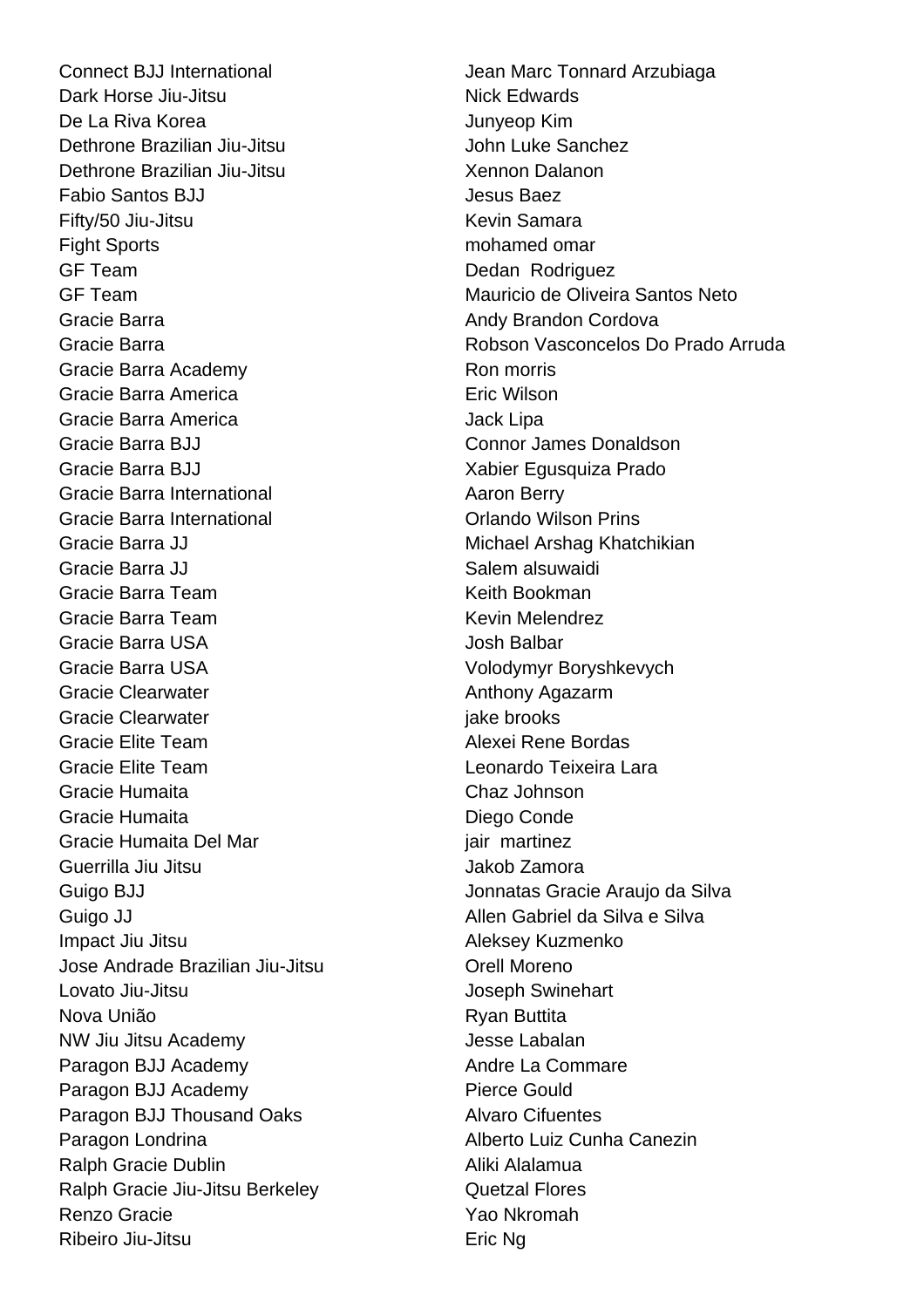Connect BJJ International **Connect Books and Arzubiaga** Jean Marc Tonnard Arzubiaga Dark Horse Jiu-Jitsu Nick Edwards De La Riva Korea  $\sim$  Junyeop Kim Dethrone Brazilian Jiu-Jitsu **John Luke Sanchez** Dethrone Brazilian Jiu-Jitsu Xennon Dalanon Fabio Santos BJJ Jesus Baez Fifty/50 Jiu-Jitsu **Kevin Samara** Fight Sports **mohamed** omar GF Team Dedan Rodriguez Gracie Barra **Andy Brandon Cordova Andy Brandon Cordova** Gracie Barra Academy **Ron** Ron morris Gracie Barra America **Eric Wilson** Gracie Barra America **Jack Lipa** Jack Lipa Gracie Barra BJJ Connor James Donaldson Gracie Barra BJJ Xabier Egusquiza Prado Gracie Barra International **Aaron Berry** Aaron Berry Gracie Barra International **Construction** Criando Wilson Prins Gracie Barra JJ Michael Arshag Khatchikian Gracie Barra JJ Salem alsuwaidi Gracie Barra Team **Keith Bookman** Gracie Barra Team **Kevin Melendrez** Gracie Barra USA Josh Balbar Gracie Barra USA Volodymyr Boryshkevych Gracie Clearwater **Anthony Agazarm** Gracie Clearwater **in the set of the contract of the contract of the contract of the contract of the contract of the contract of the contract of the contract of the contract of the contract of the contract of the contract** Gracie Elite Team Alexei Rene Bordas Gracie Elite Team Leonardo Teixeira Lara Gracie Humaita Chaz Johnson Gracie Humaita **Diego Conde** Gracie Humaita Del Mar *iair* martinez Guerrilla Jiu Jitsu Jakob Zamora Guigo BJJ **Guigo BJJ** Jonnatas Gracie Araujo da Silva Guigo JJ **Allen Gabriel da Silva e Silva** Impact Jiu Jitsu **Aleksey Kuzmenko** Jose Andrade Brazilian Jiu-Jitsu **Carratter Container Andreno** Lovato Jiu-Jitsu **Joseph Swinehart** Nova União **Nova União** Ryan Buttita NW Jiu Jitsu Academy Jesse Labalan Paragon BJJ Academy **Andre La Commare** Paragon BJJ Academy Pierce Gould Paragon BJJ Thousand Oaks Alvaro Cifuentes Paragon Londrina **Alberto Luiz Cunha Canezin** Ralph Gracie Dublin **Aliki Alalamua** Ralph Gracie Jiu-Jitsu Berkeley **Canada Cuetzal Flores** Renzo Gracie **Xao Nicholas Cracia** Xao Nkromah Ribeiro Jiu-Jitsu **Eric Ng** 

GF Team Mauricio de Oliveira Santos Neto Gracie Barra Robson Vasconcelos Do Prado Arruda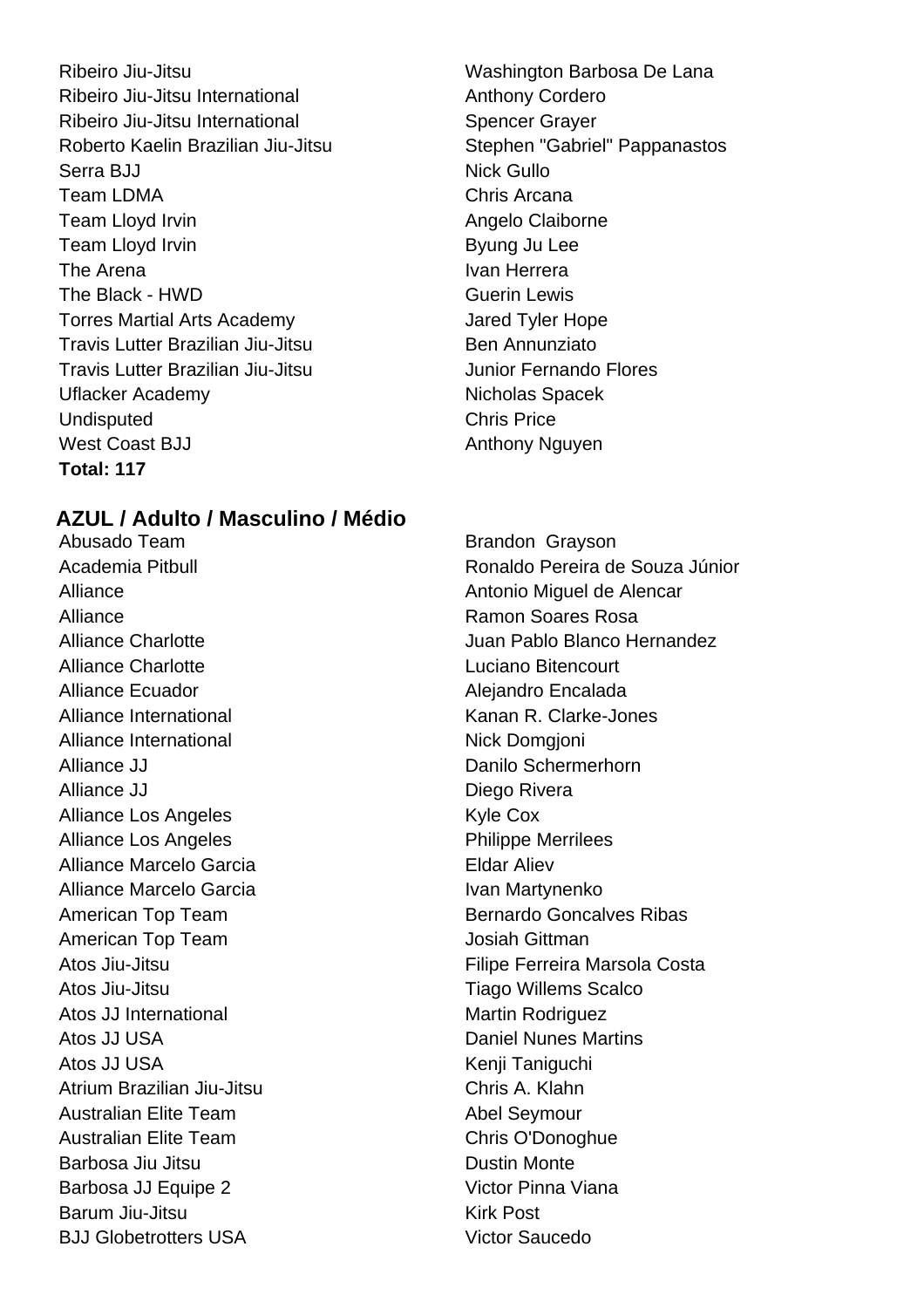Ribeiro Jiu-Jitsu Washington Barbosa De Lana Ribeiro Jiu-Jitsu International **Anthony Cordero** Ribeiro Jiu-Jitsu International Spencer Grayer Roberto Kaelin Brazilian Jiu-Jitsu Stephen "Gabriel" Pappanastos Serra BJJ Nick Gullo Team LDMA Chris Arcana Team Lloyd Irvin **Angelo Claiborne Angelo Claiborne** Team Lloyd Irvin **Byung Ju Lee** The Arena **Ivan Herrera** Ivan Herrera The Black - HWD Guerin Lewis Torres Martial Arts Academy **Jared Tyler Hope** Travis Lutter Brazilian Jiu-Jitsu Ben Annunziato Travis Lutter Brazilian Jiu-Jitsu Junior Fernando Flores Uflacker Academy Nicholas Spacek Undisputed Chris Price West Coast BJJ Anthony Nguyen **Total: 117**

# **AZUL / Adulto / Masculino / Médio**

Abusado Team **Brandon** Grayson Alliance **Ramon Soares Rosa** Alliance Charlotte **Luciano** Bitencourt Alliance Ecuador **Alliance Ecuador** Alejandro Encalada Alliance International The Communicational Charles Kanan R. Clarke-Jones Alliance International Nick Domgioni Alliance JJ **Danilo Schermerhorn** Alliance JJ Diego Rivera Alliance Los Angeles Kyle Cox Alliance Los Angeles **Philippe Merrilees** Alliance Marcelo Garcia **Eldar Aliev** Alliance Marcelo Garcia **IVan Martynenko** American Top Team **Josiah Gittman** Atos Jiu-Jitsu **Tiago Willems** Scalco Atos JJ International Martin Rodriguez Atos JJ USA **Daniel Nunes Martins** Atos JJ USA Kenij Taniguchi Atrium Brazilian Jiu-Jitsu Chris A. Klahn Australian Elite Team and Abel Seymour Australian Elite Team Chris O'Donoghue Barbosa Jiu Jitsu **Dustin Monte** Barbosa JJ Equipe 2 Victor Pinna Viana Barum Jiu-Jitsu Kirk Post BJJ Globetrotters USA Victor Saucedo

Academia Pitbull Ronaldo Pereira de Souza Júnior Alliance Antonio Miquel de Alencar Alliance Charlotte Juan Pablo Blanco Hernandez American Top Team **Bernardo Goncalves Ribas** Atos Jiu-Jitsu **Atos Jiu-Jitsu Elective Filipe Ferreira Marsola Costa**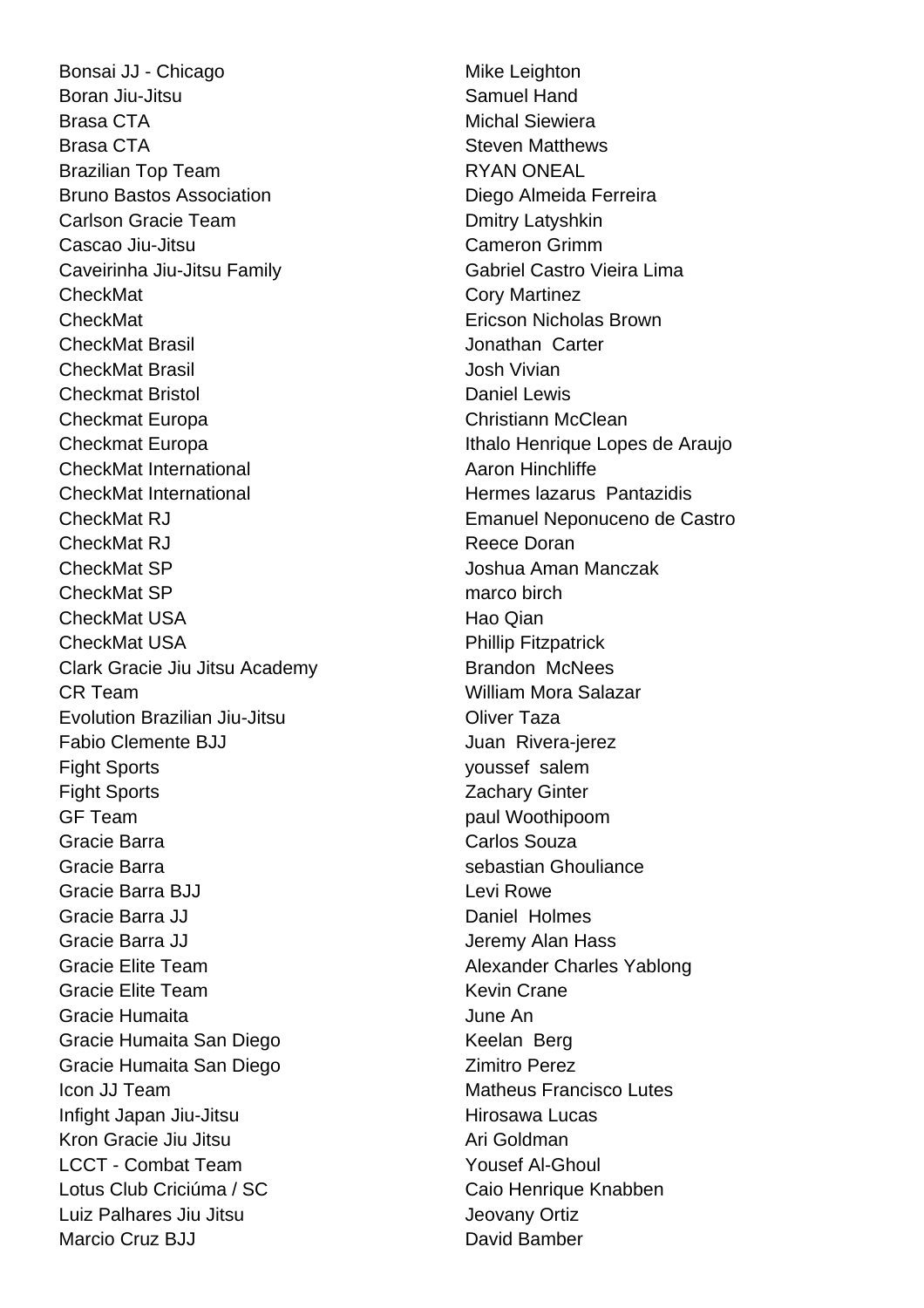Bonsai JJ - Chicago Mike Leighton Boran Jiu-Jitsu **Samuel Hand** Brasa CTA Michal Siewiera Brasa CTA **Steven Matthews** Brazilian Top Team **RYAN** ONEAL Bruno Bastos Association **Diego Almeida Ferreira** Carlson Gracie Team **Desima Carlson Cracie Team** Dmitry Latyshkin Cascao Jiu-Jitsu Cameron Grimm Caveirinha Jiu-Jitsu Family **Gabriel Castro Vieira Lima** CheckMat CheckMat Cory Martinez CheckMat Ericson Nicholas Brown CheckMat Brasil Jonathan Carter CheckMat Brasil Josh Vivian **Checkmat Bristol Checkmat Bristol Checkmat Bristol** Checkmat Europa Christiann McClean Checkmat Europa **Ithalo Henrique Lopes de Araujo** CheckMat International **Aaron Hinchliffe** CheckMat International **Exercise Secure 2018** Hermes lazarus Pantazidis CheckMat RJ Emanuel Neponuceno de Castro CheckMat RJ **Reece Doran** Reece Doran CheckMat SP Joshua Aman Manczak CheckMat SP marco birch CheckMat USA **Hang** Hao Qian CheckMat USA **Phillip Fitzpatrick** Clark Gracie Jiu Jitsu Academy Brandon McNees CR Team William Mora Salazar Evolution Brazilian Jiu-Jitsu **Contact Contact Contact Contact Contact Contact Contact Contact Contact Contact Contact Contact Contact Contact Contact Contact Contact Contact Contact Contact Contact Contact Contact Contact** Fabio Clemente BJJ **Fabio Clemente BJJ** Juan Rivera-jerez Fight Sports youssef salem Fight Sports **Zachary Ginter** GF Team **paul Woothipoom** Gracie Barra **Carlos Souza** Gracie Barra **Secure 2018** Sebastian Ghouliance Gracie Barra BJJ Levi Rowe Gracie Barra JJ Daniel Holmes Gracie Barra JJ **Gracia Communist Communist Communist Communist Communist Communist Communist Communist Communist Communist Communist Communist Communist Communist Communist Communist Communist Communist Communist Communis** Gracie Elite Team Alexander Charles Yablong Gracie Elite Team **Kevin Crane** Gracie Humaita June An Gracie Humaita San Diego Keelan Berg Gracie Humaita San Diego **Nigarata Contract Contract Contract Contract Contract Contract Contract Contract Contract Contract Contract Contract Contract Contract Contract Contract Contract Contract Contract Contract Contrac Icon JJ Team Matheus Francisco Lutes** Infight Japan Jiu-Jitsu **Hirosawa Lucas** Kron Gracie Jiu Jitsu Ari Goldman LCCT - Combat Team Yousef Al-Ghoul Lotus Club Criciúma / SC Caio Henrique Knabben Luiz Palhares Jiu Jitsu Jeovany Ortiz Marcio Cruz BJJ David Bamber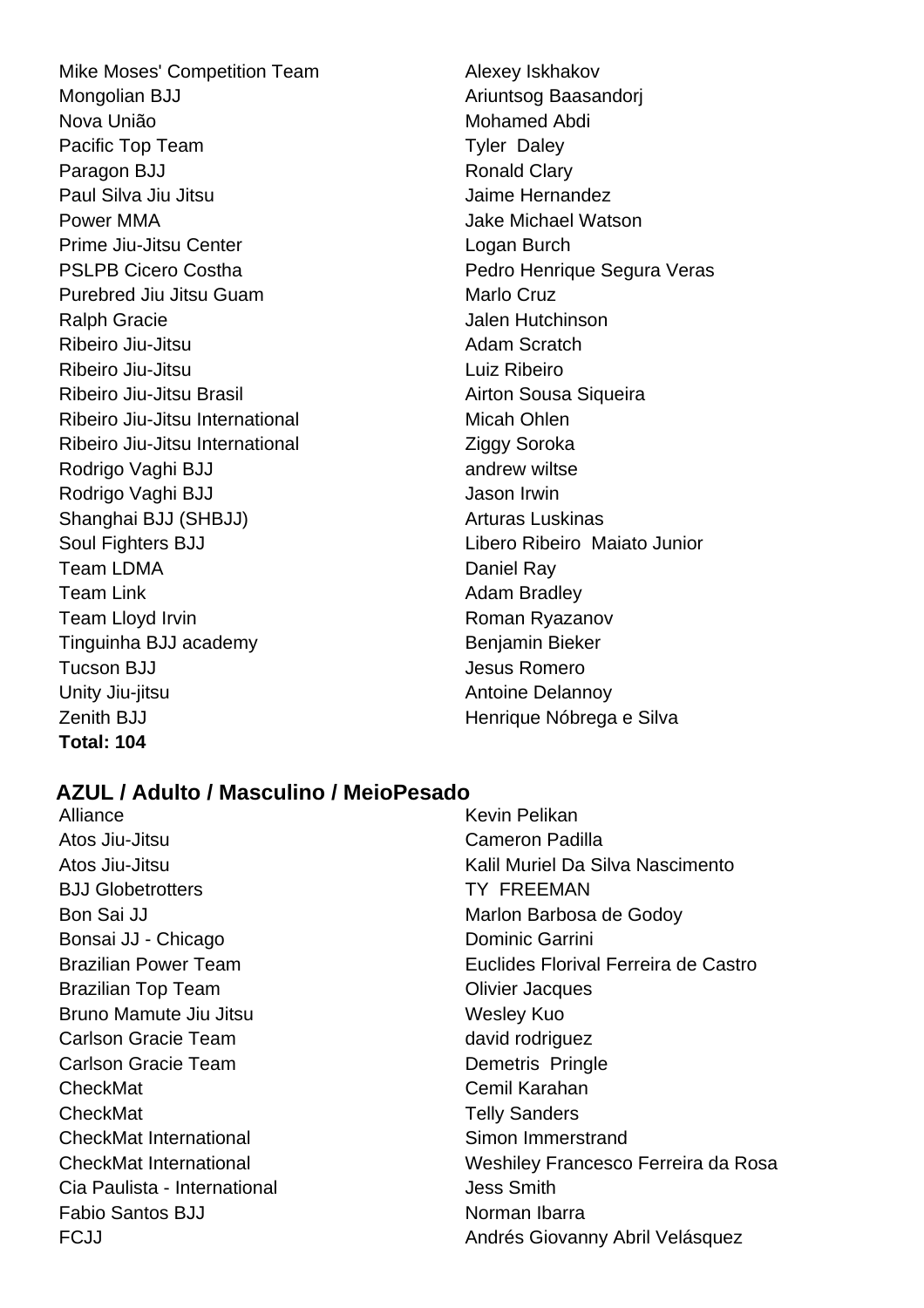Mike Moses' Competition Team Alexey Iskhakov Mongolian BJJ Ariuntsog Baasandori Nova União **Mohamed Abdi** Pacific Top Team Tyler Daley Paragon BJJ Ronald Clary Paul Silva Jiu Jitsu Jaime Hernandez Power MMA **Power MMA Jake Michael Watson** Prime Jiu-Jitsu Center **Logan Burch** PSLPB Cicero Costha **PEDRITH COST COST PEDRIME PEDRIME COST** Pedro Henrique Segura Veras Purebred Jiu Jitsu Guam Marlo Cruz Ralph Gracie **Album** Gracie Jalen Hutchinson Ribeiro Jiu-Jitsu **Adam Scratch** Adam Scratch Ribeiro Jiu-Jitsu Luiz Ribeiro Ribeiro Jiu-Jitsu Brasil **Airton Sousa Siqueira** Ribeiro Jiu-Jitsu International Micah Ohlen Ribeiro Jiu-Jitsu International Ziggy Soroka Rodrigo Vaghi BJJ andrew wiltse Rodrigo Vaghi BJJ **Jason Irwin** Shanghai BJJ (SHBJJ) Arturas Luskinas Soul Fighters BJJ Libero Ribeiro Maiato Junior Team LDMA Daniel Ray Team Link **Team Adam Bradley** Team Lloyd Irvin **Roman Ryazanov** Roman Ryazanov Tinguinha BJJ academy Benjamin Bieker Tucson BJJ Jesus Romero Unity Jiu-jitsu **Antoine Delannoy** Zenith BJJ **Henrique Nóbrega e Silva Total: 104**

# **AZUL / Adulto / Masculino / MeioPesado**

Alliance **Kevin Pelikan** Atos Jiu-Jitsu Cameron Padilla BJJ Globetrotters TY FREEMAN Bon Sai JJ Marlon Barbosa de Godov Bonsai JJ - Chicago **Dominic Garrini** Brazilian Top Team **Contact Contact Contact Contact Contact Contact Contact Contact Contact Contact Contact Contact Contact Contact Contact Contact Contact Contact Contact Contact Contact Contact Contact Contact Contact Co** Bruno Mamute Jiu Jitsu Wesley Kuo Carlson Gracie Team david rodriguez Carlson Gracie Team **Demetris** Pringle CheckMat Cemil Karahan CheckMat Telly Sanders CheckMat International Simon Immerstrand Cia Paulista - International **Cia Paulista - International** Fabio Santos BJJ Norman Ibarra

Atos Jiu-Jitsu Kalil Muriel Da Silva Nascimento Brazilian Power Team **Euclides Florival Ferreira de Castro** CheckMat International Weshiley Francesco Ferreira da Rosa FCJJ **Andrés Giovanny Abril Velásquez**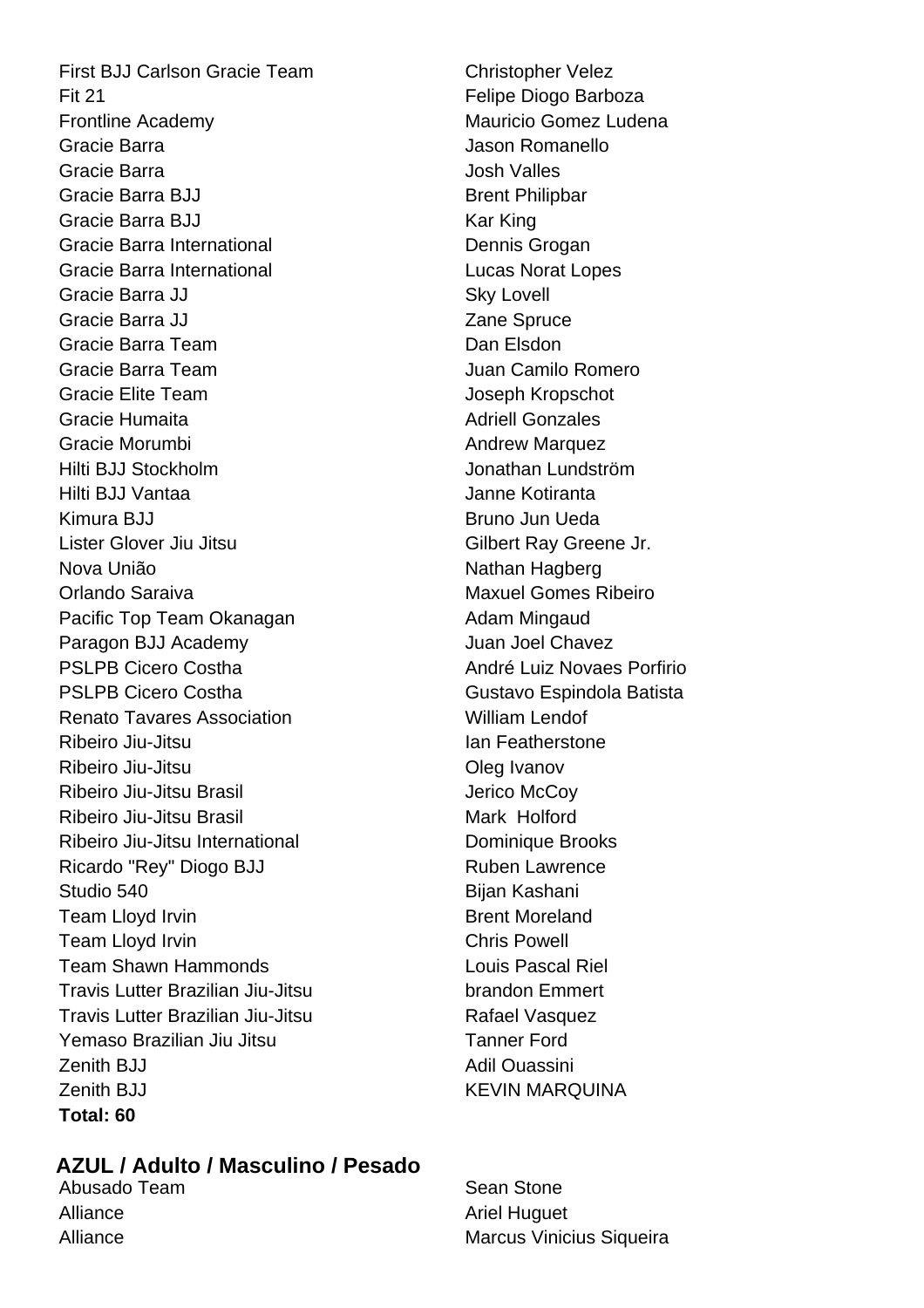First BJJ Carlson Gracie Team Christopher Velez Fit 21 Fit 21 Felipe Diogo Barboza Frontline Academy **Mauricio** Gomez Ludena Gracie Barra **Gracia** Contractor Contractor Contractor Contractor Jason Romanello Gracie Barra Josh Valles Gracie Barra BJJ Brent Philipbar Gracie Barra BJJ Kar King Gracie Barra International **Dennis Grogan** Gracie Barra International **Lucas Norat Lopes** Gracie Barra JJ Sky Lovell Gracie Barra JJ **Zane Spruce** Gracie Barra Team **Dan Elsdon** Gracie Barra Team **Juan Camilo Romero** Gracie Elite Team Joseph Kropschot Gracie Humaita **Adriell Gonzales** Adriell Gonzales Gracie Morumbi **Andrew Marquez** Hilti BJJ Stockholm Jonathan Lundström Hilti BJJ Vantaa Janne Kotiranta Kimura BJJ Bruno Jun Ueda Lister Glover Jiu Jitsu Gilbert Ray Greene Jr. Nova União Nathan Hagberg Orlando Saraiva Maxuel Gomes Ribeiro Pacific Top Team Okanagan **Adam Mingaud** Paragon BJJ Academy **Calculated Biggs** Juan Joel Chavez PSLPB Cicero Costha André Luiz Novaes Porfirio PSLPB Cicero Costha Gustavo Espindola Batista Renato Tavares Association Nulliam Lendof Ribeiro Jiu-Jitsu **Internationalista e a la featherstone** Ribeiro Jiu-Jitsu **Caracceres Contractes Contractes** Oleg Ivanov Ribeiro Jiu-Jitsu Brasil **Accessitive Contract Contract Access** Jerico McCov Ribeiro Jiu-Jitsu Brasil Mark Holford Ribeiro Jiu-Jitsu International **Dominique Brooks** Ricardo "Rey" Diogo BJJ Ruben Lawrence Studio 540 **Bijan Kashani** Team Lloyd Irvin **Brent Moreland** Team Lloyd Irvin **Chris** Powell Team Shawn Hammonds Louis Pascal Riel Travis Lutter Brazilian Jiu-Jitsu brandon Emmert Travis Lutter Brazilian Jiu-Jitsu **National States** Rafael Vasquez Yemaso Brazilian Jiu Jitsu **Tanner Ford** Zenith BJJ Adil Ouassini Zenith BJJ KEVIN MARQUINA **Total: 60**

# **AZUL / Adulto / Masculino / Pesado**

Abusado Team Sean Stone Alliance **Alliance Alliance Ariel Huguet** 

Alliance Marcus Vinicius Siqueira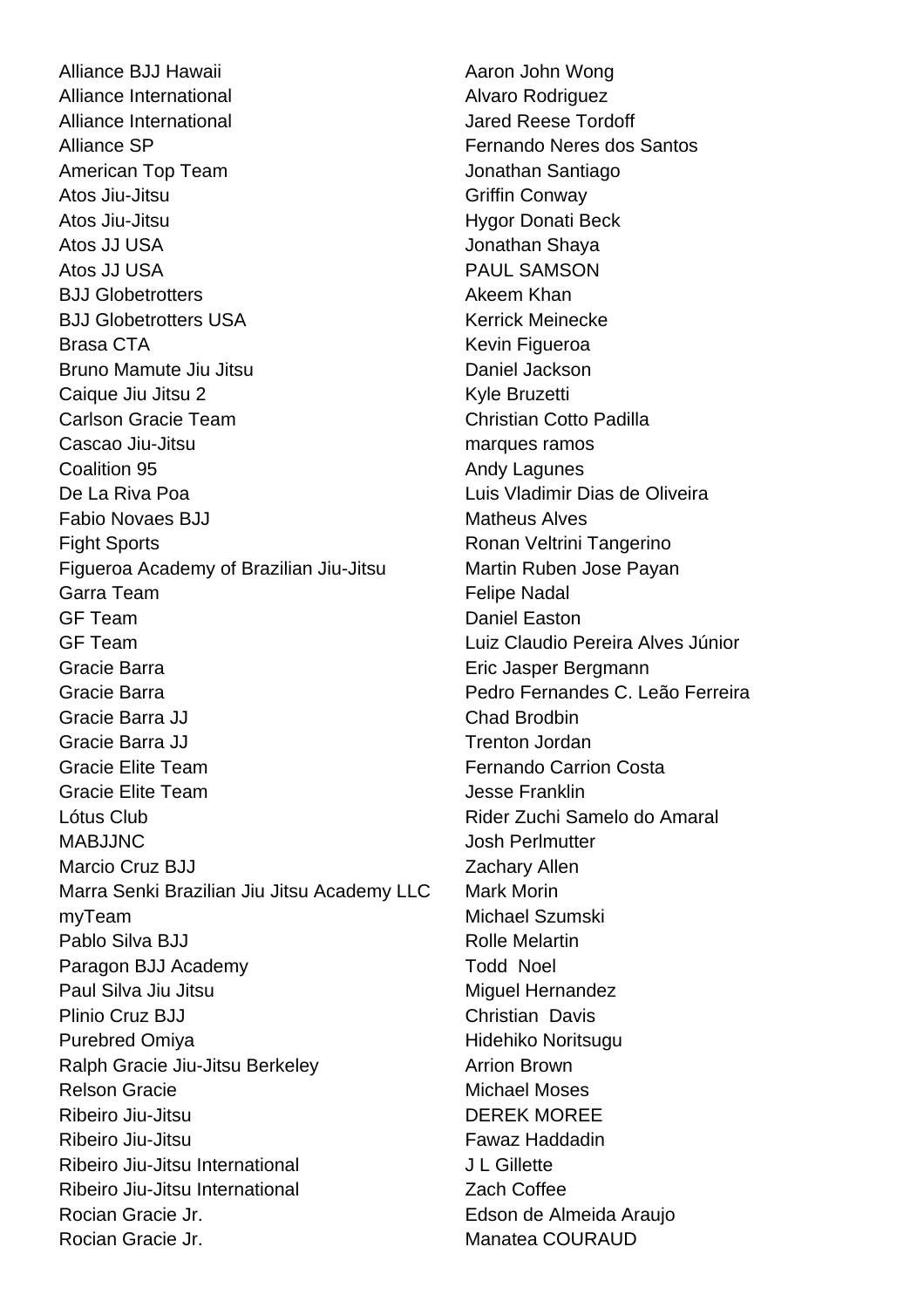Alliance BJJ Hawaii **Alliance BJJ Hawaii** Aaron John Wong Alliance International **Alvaro** Rodriguez Alliance International and Durational Alliance Tordoff Alliance SP **Fernando Neres dos Santos** American Top Team **Jonathan Santiago** Atos Jiu-Jitsu **Griffin** Conway Atos Jiu-Jitsu **Hygor Donati Beck** Atos JJ USA **John Charles Atos JJ USA** John Charles Atos June 2014 Atos JJ USA PAUL SAMSON BJJ Globetrotters **Akeem Khan** BJJ Globetrotters USA Kerrick Meinecke Brasa CTA **Keyin Figueroa** Kevin Figueroa Bruno Mamute Jiu Jitsu **Daniel Jackson** Caique Jiu Jitsu 2 Kyle Bruzetti Carlson Gracie Team Christian Cotto Padilla Cascao Jiu-Jitsu **marques ramos** Coalition 95 **Andy Lagunes Andy Lagunes** De La Riva Poa Luis Vladimir Dias de Oliveira Fabio Novaes BJJ Matheus Alves Fight Sports **Ronan Veltrini Tangerino** Figueroa Academy of Brazilian Jiu-Jitsu Martin Ruben Jose Payan Garra Team **Felipe Nadal** GF Team Daniel Easton GF Team Luiz Claudio Pereira Alves Júnior Gracie Barra **Eric Jasper Bergmann** Gracie Barra Pedro Fernandes C. Leão Ferreira Gracie Barra JJ Chad Brodbin Gracie Barra JJ Trenton Jordan Gracie Elite Team **Fernando Carrion Costa** Gracie Elite Team Jesse Franklin Lótus Club Rider Zuchi Samelo do Amaral MABJJNC Josh Perlmutter Marcio Cruz BJJ **Zachary Allen** Marra Senki Brazilian Jiu Jitsu Academy LLC Mark Morin myTeam Michael Szumski Pablo Silva BJJ Rolle Melartin Paragon BJJ Academy Todd Noel Paul Silva Jiu Jitsu Miguel Hernandez Plinio Cruz BJJ Christian Davis Purebred Omiya **Hidehiko Noritsugu** Ralph Gracie Jiu-Jitsu Berkeley **Arrion Brown** Relson Gracie **Michael Moses** Ribeiro Jiu-Jitsu DEREK MOREE Ribeiro Jiu-Jitsu **Fawaz Haddadin** Ribeiro Jiu-Jitsu International **International** J L Gillette Ribeiro Jiu-Jitsu International **Zach Coffee** Rocian Gracie Jr. **Edson de Almeida Araujo** Rocian Gracie Jr. Manatea COURAUD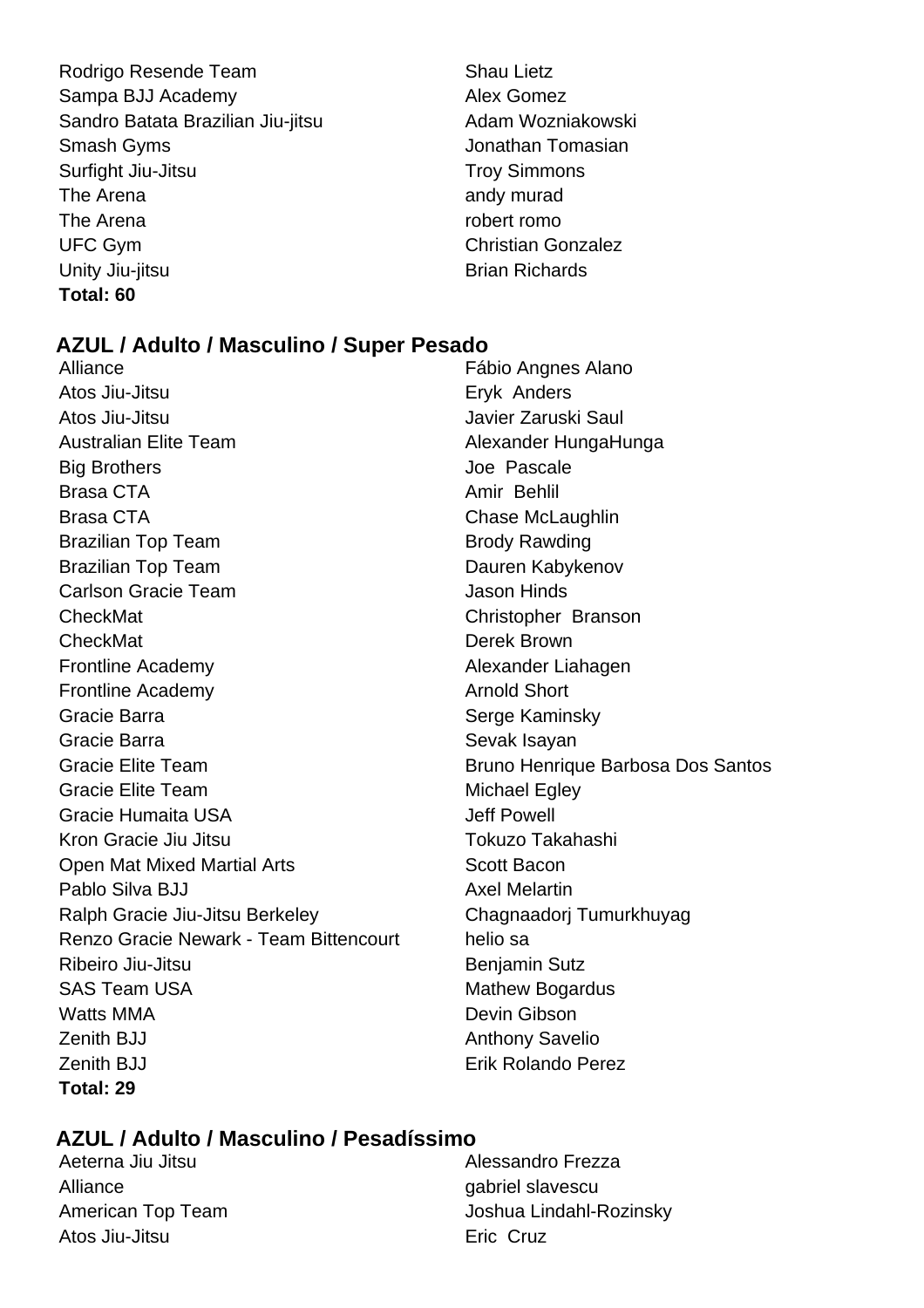- Rodrigo Resende Team Shau Lietz Sampa BJJ Academy **Alex Gomez** Sandro Batata Brazilian Jiu-jitsu **Adam Wozniakowski** Smash Gyms Jonathan Tomasian Surfight Jiu-Jitsu **Troy Simmons** The Arena and and v murad and v murad and v murad The Arena robert romo UFC Gym Christian Gonzalez Unity Jiu-jitsu **Brian Richards Total: 60**
- 

# **AZUL / Adulto / Masculino / Super Pesado**

Alliance Fábio Angnes Alano Atos Jiu-Jitsu **Eryk Anders** Atos Jiu-Jitsu Javier Zaruski Saul Australian Elite Team Alexander HungaHunga Big Brothers **Contract Structure Contract Structure Contract Structure Contract Structure Contract Structure Contract Structure Contract Structure Contract Structure Contract Structure Contract Structure Contract Structure** Brasa CTA **Amir Behlil** Brasa CTA Brasa CTA Chase McLaughlin Brazilian Top Team Brody Rawding Brazilian Top Team Dauren Kabykenov **Carlson Gracie Team Carlson Hinds** CheckMat Christopher Branson CheckMat Derek Brown Frontline Academy **Alexander Liahagen** Frontline Academy **Arnold Short Arnold Short** Gracie Barra **Serge Kaminsky** Serge Kaminsky Gracie Barra **Sevak Isayan** Sevak Isayan Gracie Elite Team **Bruno Henrique Barbosa Dos Santos** Gracie Elite Team Michael Egley Gracie Humaita USA **Jeff Powell** Kron Gracie Jiu Jitsu New Yorkuzo Takahashi Open Mat Mixed Martial Arts **Scott Bacon** Pablo Silva BJJ Axel Melartin Ralph Gracie Jiu-Jitsu Berkeley Chagnaadorj Tumurkhuyag Renzo Gracie Newark - Team Bittencourt helio sa Ribeiro Jiu-Jitsu **Benjamin Sutz** SAS Team USA Mathew Bogardus Watts MMA **Devin Gibson** Zenith BJJ Anthony Savelio Zenith BJJ Erik Rolando Perez **Total: 29**

# **AZUL / Adulto / Masculino / Pesadíssimo**

Aeterna Jiu Jitsu **Alessandro Frezza** Alliance and the contract of the contract of the contract of the contract of the contract of the contract of the contract of the contract of the contract of the contract of the contract of the contract of the contract of t Atos Jiu-Jitsu **Exites Atos Jiu-Jitsu** Eric Cruz

American Top Team  $\qquad \qquad$  Joshua Lindahl-Rozinsky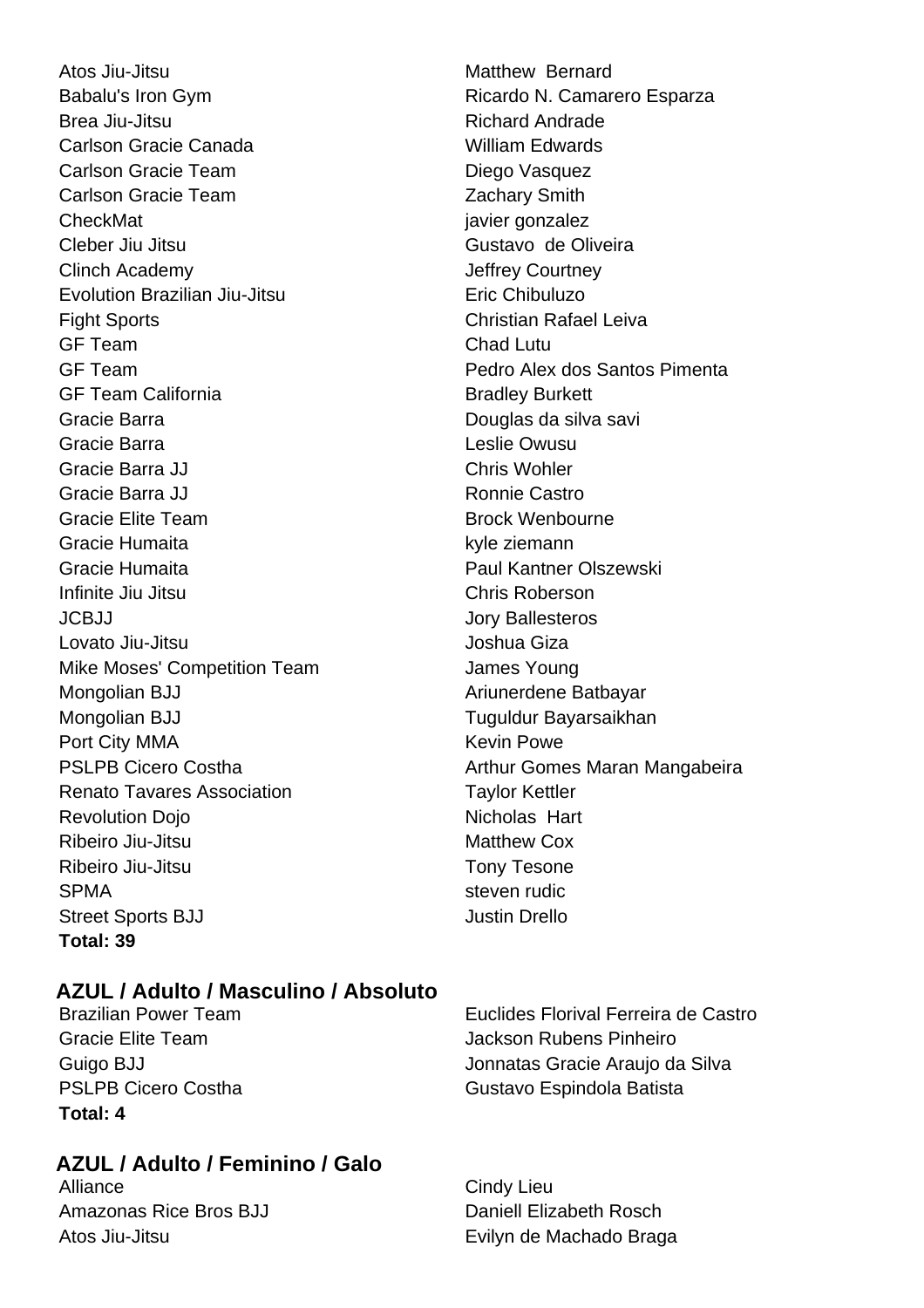Atos Jiu-Jitsu **Matthew Bernard** Babalu's Iron Gym **Babalu's Iron Gym** Ricardo N. Camarero Esparza Brea Jiu-Jitsu **Richard Andrade** Carlson Gracie Canada William Edwards Carlson Gracie Team **Diego Vasquez** Carlson Gracie Team **Zachary Smith** CheckMat is a contract to contract the contract of the contract is a set of the contract of the contract of the contract of the contract of the contract of the contract of the contract of the contract of the contract of th Cleber Jiu Jitsu Gustavo de Oliveira Clinch Academy Jeffrey Courtney Evolution Brazilian Jiu-Jitsu **Eric Chibuluzo** Fight Sports Christian Rafael Leiva GF Team Chad Lutu GF Team **Pedro Alex dos Santos Pimenta** GF Team California **Bradley Burkett** Gracie Barra **Douglas da silva savi** Douglas da silva savi Gracie Barra **Leslie Owusu** Gracie Barra JJ Chris Wohler Gracie Barra JJ Ronnie Castro Gracie Elite Team Brock Wenbourne Gracie Humaita **kyle ziemann** Gracie Humaita Paul Kantner Olszewski Infinite Jiu Jitsu Chris Roberson JCBJJ Jory Ballesteros Lovato Jiu-Jitsu **Joshua Giza** Mike Moses' Competition Team James Young Mongolian BJJ Ariunerdene Batbayar Mongolian BJJ Tuguldur Bayarsaikhan Port City MMA **Kevin Powe** Kevin Powe Renato Tavares Association Taylor Kettler Revolution Doio Nicholas Hart Ribeiro Jiu-Jitsu **Matthew Cox** Ribeiro Jiu-Jitsu **Tony Tesone** SPMA steven rudic Street Sports BJJ Justin Drello **Total: 39**

# **AZUL / Adulto / Masculino / Absoluto**

**Total: 4**

# **AZUL / Adulto / Feminino / Galo**

Alliance Cindy Lieu Amazonas Rice Bros BJJ Daniell Elizabeth Rosch Atos Jiu-Jitsu **Atos Jiu-Jitsu Eurana Evilyn de Machado Braga** 

PSLPB Cicero Costha **Arthur Gomes Maran Mangabeira** Arthur Gomes Maran Mangabeira

Brazilian Power Team Euclides Florival Ferreira de Castro Gracie Elite Team  $\qquad \qquad$  Jackson Rubens Pinheiro Guigo BJJ Jonnatas Gracie Araujo da Silva PSLPB Cicero Costha Gustavo Espindola Batista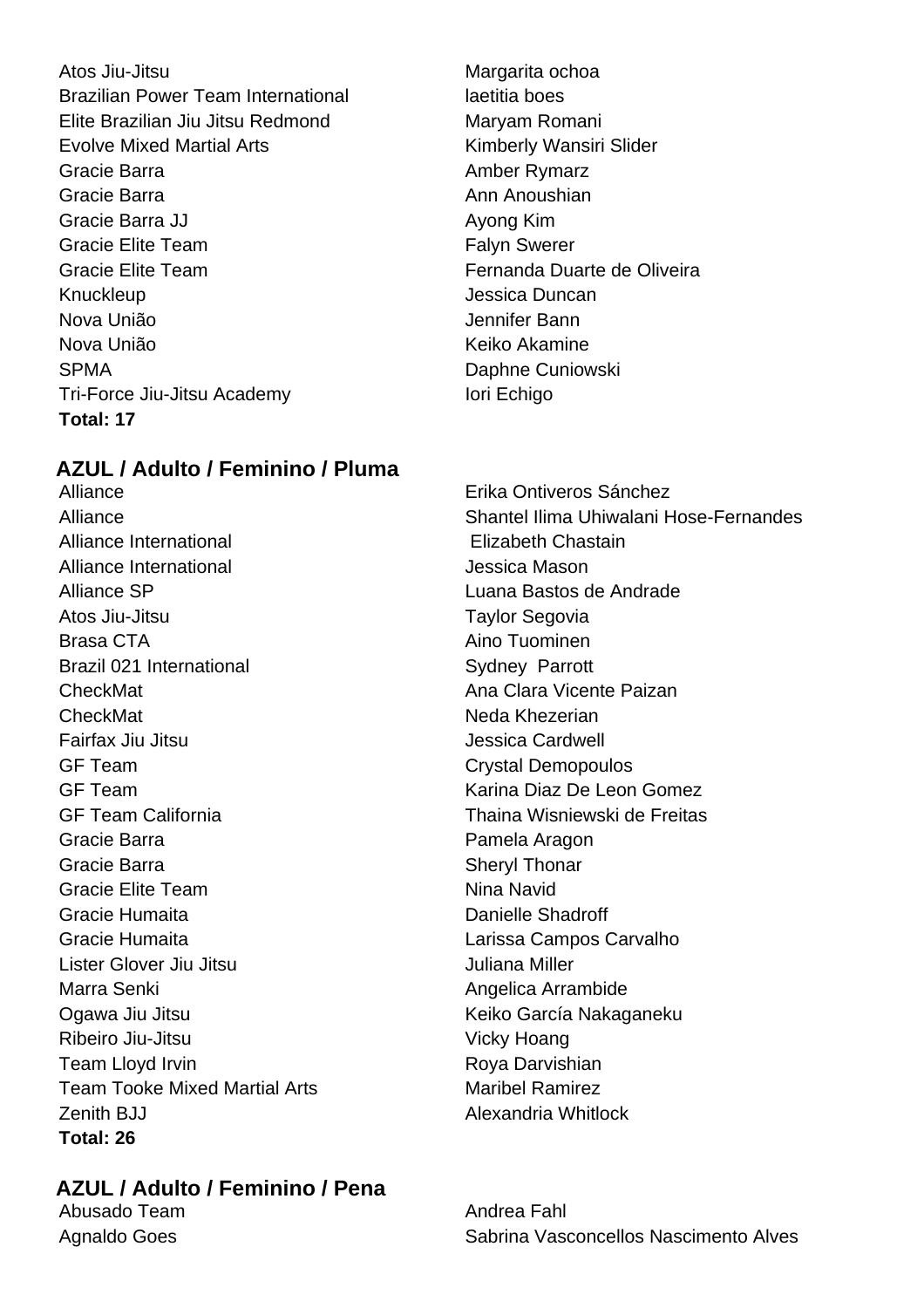Atos Jiu-Jitsu **Margarita ochoa** Brazilian Power Team International laetitia boes Elite Brazilian Jiu Jitsu Redmond Maryam Romani Evolve Mixed Martial Arts **Kimberly Wansiri Slider** Gracie Barra **Amber Rymarz Amber Rymarz** Gracie Barra **Anni Anni Anni Anni Anoushian** Gracie Barra JJ Ayong Kim Gracie Elite Team **Falyn** Swerer Gracie Elite Team Fernanda Duarte de Oliveira Knuckleup **Jessica Duncan** Nova União Jennifer Bann Nova União **Keiko Akamine** SPMA Daphne Cuniowski Tri-Force Jiu-Jitsu Academy **Internal and Science Internal and Internal According Internal According Internal According Internal According Internal According Internal According Internal According Internal According Interna Total: 17**

# **AZUL / Adulto / Feminino / Pluma**

Alliance International Elizabeth Chastain Alliance International and all alleged version of the series of the United States and Alliance International Alliance SP Luana Bastos de Andrade Atos Jiu-Jitsu **Taylor** Segovia Brasa CTA **Aino Tuominen** Brazil 021 International Sydney Parrott CheckMat Ana Clara Vicente Paizan CheckMat Neda Khezerian Fairfax Jiu Jitsu Jessica Cardwell GF Team Crystal Demopoulos GF Team Karina Diaz De Leon Gomez GF Team California Thaina Wisniewski de Freitas Gracie Barra **Pamela Aragon** Gracie Barra **Sheryl Thonar** Sheryl Thonar Gracie Elite Team Nina Navid Gracie Humaita Danielle Shadroff Gracie Humaita Larissa Campos Carvalho Lister Glover Jiu Jitsu Juliana Miller Marra Senki **Angelica Arrambide** Ogawa Jiu Jitsu **Keiko García Nakaganeku** Ribeiro Jiu-Jitsu **Vicky Hoang** Team Lloyd Irvin **Roya Daryishian** Team Tooke Mixed Martial Arts **Martial Arts** Maribel Ramirez **Zenith BJJ** Alexandria Whitlock **Total: 26**

# **AZUL / Adulto / Feminino / Pena**

Abusado Team **Andrea Fahl** 

Alliance Erika Ontiveros Sánchez Alliance Shantel Ilima Uhiwalani Hose-Fernandes

Agnaldo Goes **Sabrina Vasconcellos Nascimento Alves** Sabrina Vasconcellos Nascimento Alves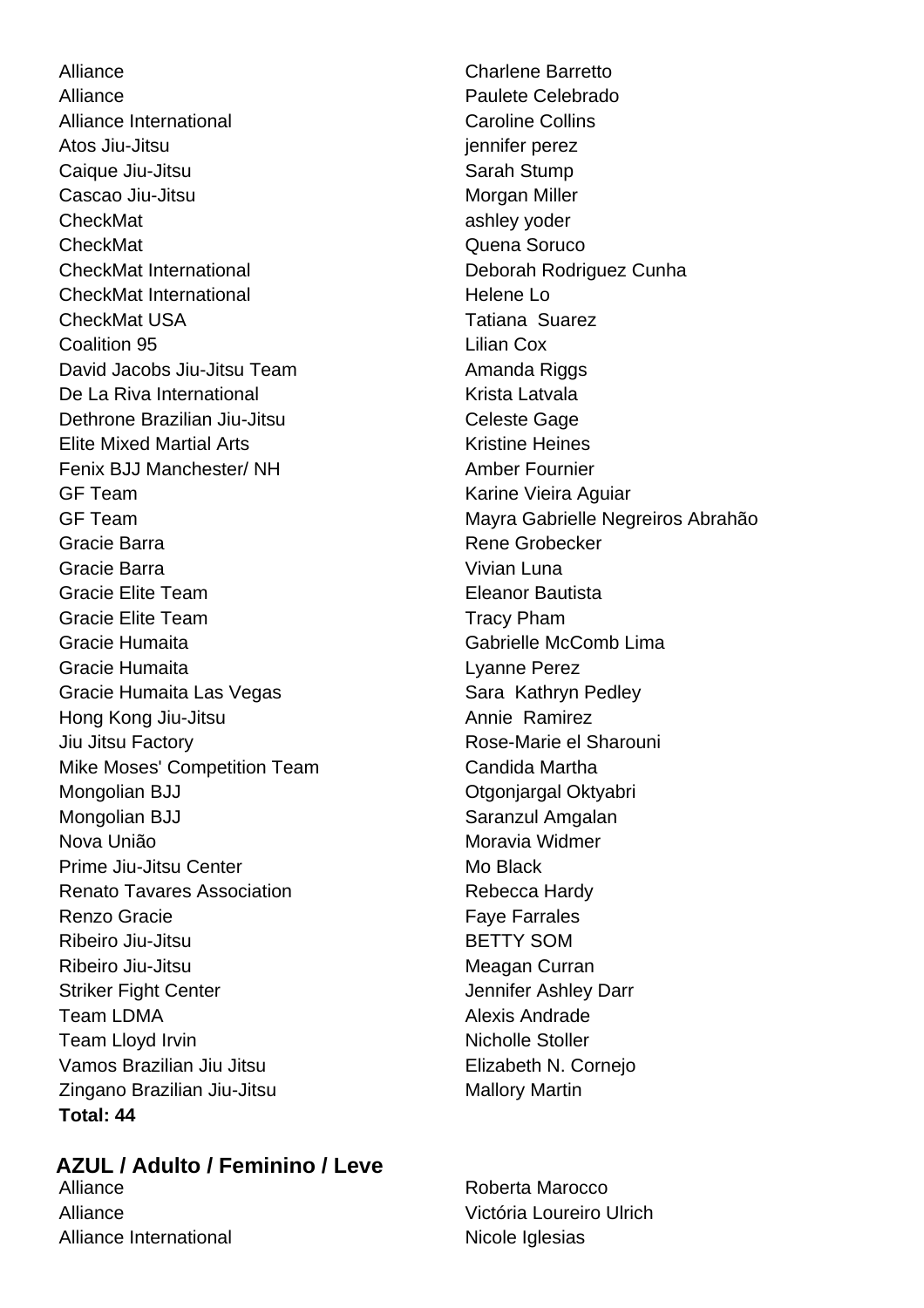Alliance **Charlene Barretto** Alliance **Paulete Celebrado** Alliance International **Caroline Collins** Atos Jiu-Jitsu isabel na kanadaran sekara jennifer perez Caique Jiu-Jitsu **Sarah Stump** Cascao Jiu-Jitsu **Morgan Miller** Morgan Miller CheckMat ashley yoder **CheckMat** CheckMat **Quena Soruco** CheckMat International Deborah Rodriguez Cunha CheckMat International and Helene Louis CheckMat USA Tatiana Suarez Coalition 95 Lilian Cox David Jacobs Jiu-Jitsu Team Amanda Riggs De La Riva International New York Charles Krista Latvala Dethrone Brazilian Jiu-Jitsu Celeste Gage Elite Mixed Martial Arts **Kristine Heines** Fenix BJJ Manchester/ NH Amber Fournier GF Team **Karine Vieira Aguiar** Karine Vieira Aguiar Gracie Barra **Rene Grobecker** Rene Grobecker Gracie Barra Vivian Luna Gracie Elite Team **Eleanor Bautista** Gracie Elite Team Tracy Pham Gracie Humaita Gabrielle McComb Lima Gracie Humaita Lyanne Perez Gracie Humaita Las Vegas Sara Kathryn Pedley Hong Kong Jiu-Jitsu **Annie Ramirez** Annie Ramirez Jiu Jitsu Factory **Rose-Marie el Sharouni** Mike Moses' Competition Team Candida Martha Mongolian BJJ **Calculation** Christian Christian Christian Christian Christian Christian Christian Christian Christian Christian Christian Christian Christian Christian Christian Christian Christian Christian Christian Chri Mongolian BJJ Saranzul Amgalan Nova União **Moravia Widmer** Moravia Widmer Prime Jiu-Jitsu Center **Mo Black** Mo Black Renato Tavares Association Rebecca Hardy Renzo Gracie **Faye Farrales** Faye Farrales Ribeiro Jiu-Jitsu **BETTY** SOM Ribeiro Jiu-Jitsu **Meagan** Curran Striker Fight Center **Jennifer Ashley Darr** Team LDMA **Alexis** Andrade Team Lloyd Irvin Nicholle Stoller Vamos Brazilian Jiu Jitsu **Elizabeth N. Cornejo** Zingano Brazilian Jiu-Jitsu Mallory Martin **Total: 44**

GF Team Mayra Gabrielle Negreiros Abrahão

# **AZUL / Adulto / Feminino / Leve**

Alliance **Roberta Marocco** Roberta Marocco Alliance International Nicole Iglesias

Alliance Victória Loureiro Ulrich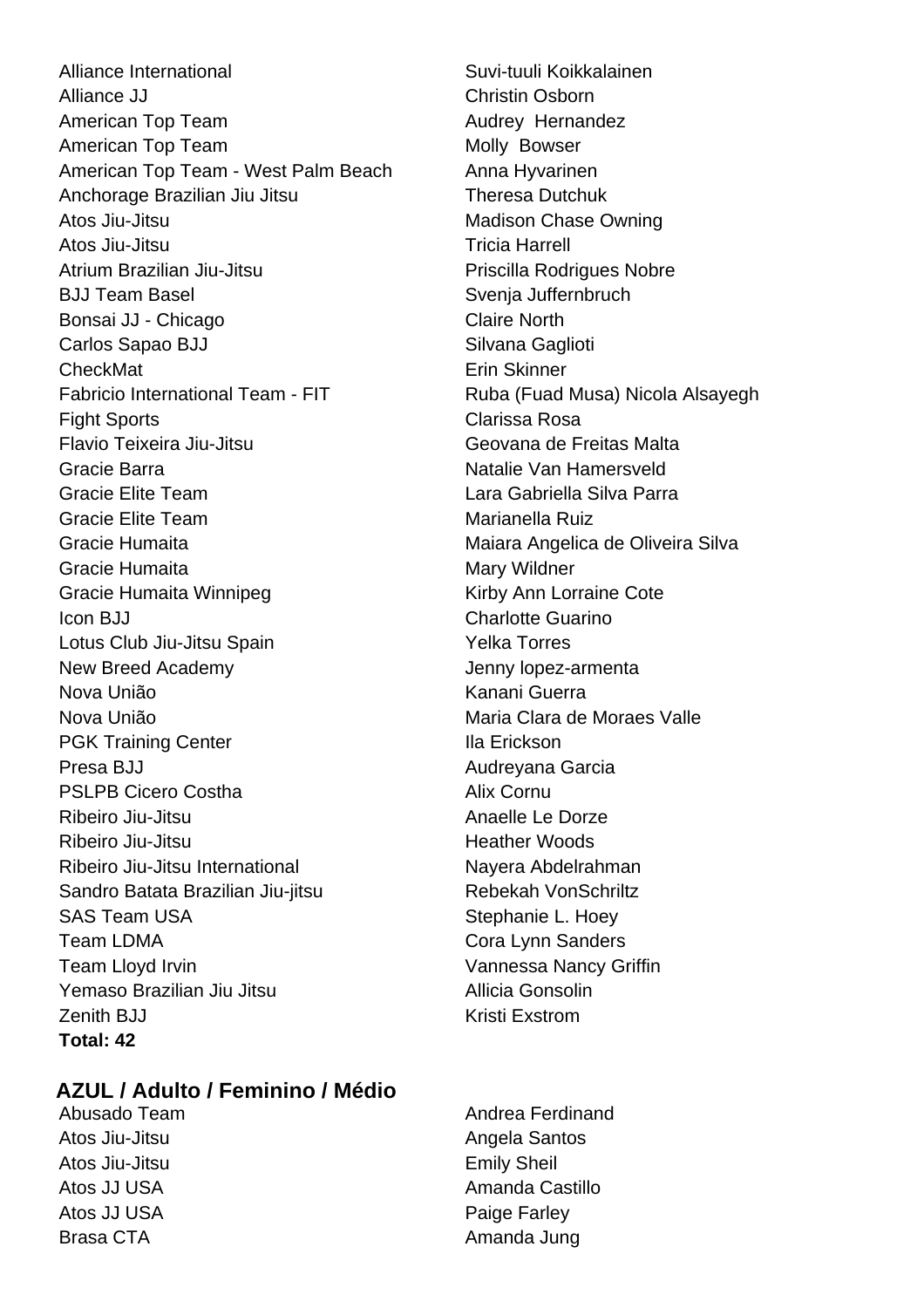Alliance International Suvi-tuuli Koikkalainen Alliance JJ Christin Osborn American Top Team Audrey Hernandez American Top Team Molly Bowser American Top Team - West Palm Beach Anna Hyvarinen Anchorage Brazilian Jiu Jitsu **Theresa Dutchuk** Atos Jiu-Jitsu **Madison Chase Owning** Madison Chase Owning Atos Jiu-Jitsu **Tricia Harrell** Atrium Brazilian Jiu-Jitsu **Priscilla Rodrigues Nobre** BJJ Team Basel Svenja Juffernbruch Bonsai JJ - Chicago Claire North Carlos Sapao BJJ Silvana Gaglioti CheckMat **Exercise Exercise CheckMat** Fabricio International Team - FIT Ruba (Fuad Musa) Nicola Alsayegh Fight Sports Clarissa Rosa Flavio Teixeira Jiu-Jitsu Geovana de Freitas Malta Gracie Barra Natalie Van Hamersveld Gracie Elite Team Lara Gabriella Silva Parra Gracie Elite Team **Marianella Ruiz** Gracie Humaita **Maiara Angelica de Oliveira Silva** Gracie Humaita **Mary Wildner** Mary Wildner Gracie Humaita Winnipeg **Kirby Ann Lorraine Cote** Icon BJJ Charlotte Guarino Lotus Club Jiu-Jitsu Spain Velka Torres New Breed Academy **Jenny lopez-armenta** Nova União **Kanani Guerra** Nova União **Maria Clara de Moraes Valle** PGK Training Center **Illa Erickson** Presa BJJ Audreyana Garcia PSLPB Cicero Costha **Alix Cornu** Ribeiro Jiu-Jitsu **Anaelle Le Dorze** Ribeiro Jiu-Jitsu **Heather Woods** Ribeiro Jiu-Jitsu International Nayera Abdelrahman Sandro Batata Brazilian Jiu-jitsu **Rebekah VonSchriltz** SAS Team USA Stephanie L. Hoey Team LDMA Cora Lynn Sanders Team Lloyd Irvin Vannessa Nancy Griffin Yemaso Brazilian Jiu Jitsu Allicia Gonsolin Zenith BJJ Kristi Exstrom **Total: 42**

# **AZUL / Adulto / Feminino / Médio**

Atos Jiu-Jitsu Emily Sheil Atos JJ USA Paige Farley Brasa CTA **Amanda** Jung

Abusado Team **Andrea Ferdinand** Atos Jiu-Jitsu **Angela Santos** Angela Santos Atos JJ USA **Amanda Castillo**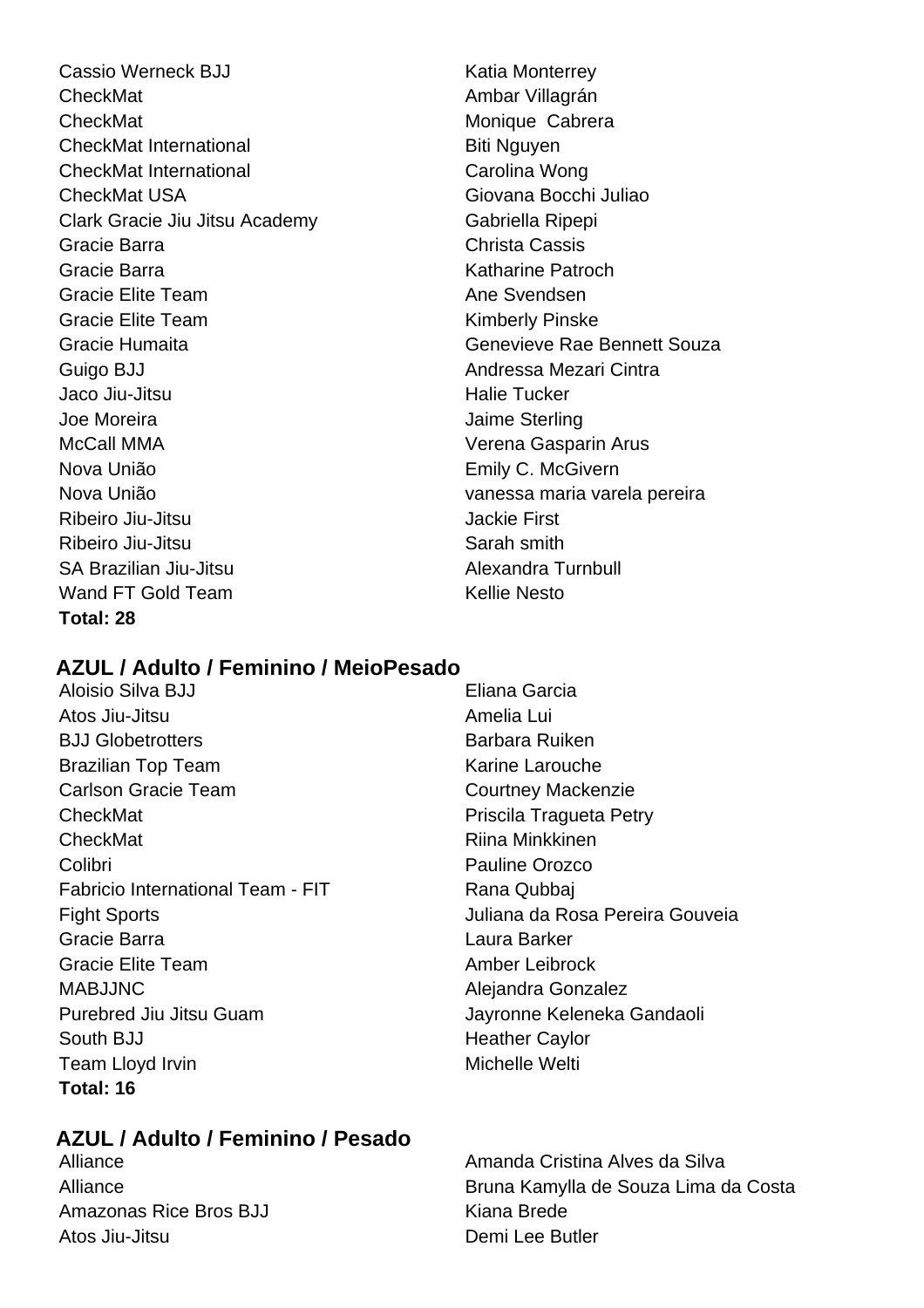Cassio Werneck BJJ Katia Monterrey CheckMat **Ambar Villagrán** CheckMat Monique Cabrera CheckMat International Biti Nguyen CheckMat International CheckMat International Carolina Wong CheckMat USA Giovana Bocchi Juliao Clark Gracie Jiu Jitsu Academy Gabriella Ripepi Gracie Barra Christa Cassis Gracie Barra Katharine Patroch Gracie Elite Team Ane Svendsen Gracie Elite Team **Kimberly Pinske** Gracie Humaita Genevieve Rae Bennett Souza Guigo BJJ **Andressa Mezari Cintra** Jaco Jiu-Jitsu **Halie Tucker** Joe Moreira Jaime Sterling McCall MMA Verena Gasparin Arus Nova União Emily C. McGivern Nova União vanessa maria varela pereira Ribeiro Jiu-Jitsu **Jackie First** Ribeiro Jiu-Jitsu **Nicholas Sarah smith** SA Brazilian Jiu-Jitsu Alexandra Turnbull Wand FT Gold Team Kellie Nesto **Total: 28**

# **AZUL / Adulto / Feminino / MeioPesado**

- Aloisio Silva BJJ Eliana Garcia Atos Jiu-Jitsu Amelia Lui BJJ Globetrotters **Barbara Ruiken** Brazilian Top Team **Karing Larouche** Karine Larouche Carlson Gracie Team Courtney Mackenzie CheckMat **Priscila Tragueta Petry** CheckMat **Riina Minkkinen** Colibri Pauline Orozco Fabricio International Team - FIT Rana Qubbaj Fight Sports Juliana da Rosa Pereira Gouveia Gracie Barra Laura Barker Gracie Elite Team Amber Leibrock MABJJNC Alejandra Gonzalez Purebred Jiu Jitsu Guam **Jayronne Keleneka Gandaoli** South BJJ **Heather Caylor** Team Lloyd Irvin **Michelle Welti Total: 16**
- 

# **AZUL / Adulto / Feminino / Pesado**

Amazonas Rice Bros BJJ Kiana Brede Atos Jiu-Jitsu Demi Lee Butler

Alliance **Amanda Cristina Alves da Silva** Alliance Bruna Kamylla de Souza Lima da Costa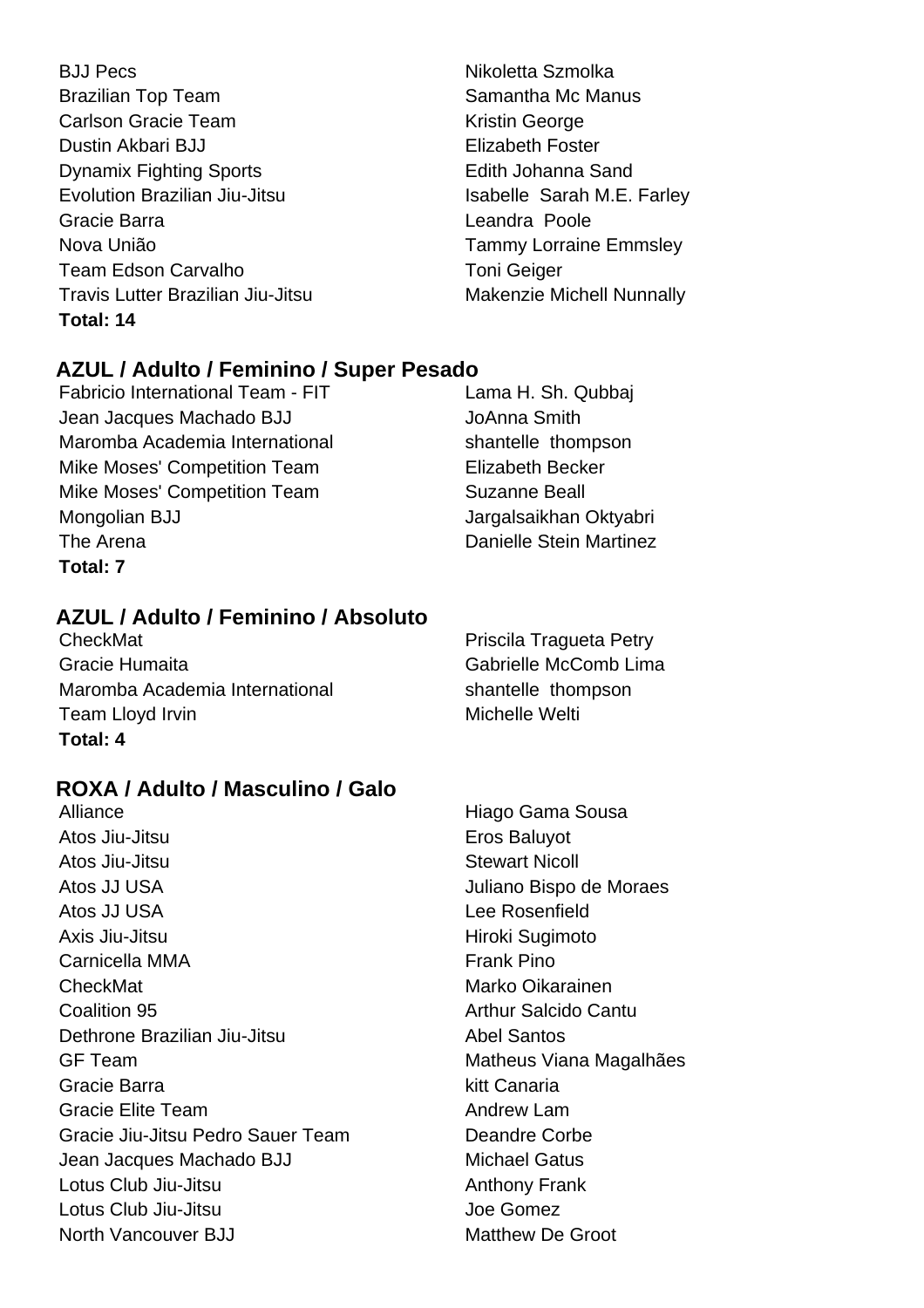- BJJ Pecs Nikoletta Szmolka Brazilian Top Team Samantha Mc Manus Carlson Gracie Team **Kristin George** Kristin George Dustin Akbari BJJ **Elizabeth Foster** Dynamix Fighting Sports **Edith Johanna Sand** Evolution Brazilian Jiu-Jitsu **International States** Isabelle Sarah M.E. Farley Gracie Barra **Leandra Poole** Nova União Tammy Lorraine Emmsley Team Edson Carvalho Team Toni Geiger Travis Lutter Brazilian Jiu-Jitsu Makenzie Michell Nunnally **Total: 14**
	-

# **AZUL / Adulto / Feminino / Super Pesado**

- Fabricio International Team FIT Lama H. Sh. Qubbaj Jean Jacques Machado BJJ JoAnna Smith Maromba Academia International medicing shantelle thompson Mike Moses' Competition Team Elizabeth Becker Mike Moses' Competition Team Suzanne Beall Mongolian BJJ Jargalsaikhan Oktyabri The Arena **Danielle Stein Martinez Total: 7**
- 

# **AZUL / Adulto / Feminino / Absoluto**

CheckMat **Priscila Tragueta Petry** Gracie Humaita Gabrielle McComb Lima Maromba Academia International medicing shantelle thompson Team Lloyd Irvin **Michelle Welti** Michelle Welti **Total: 4**

# **ROXA / Adulto / Masculino / Galo**

Alliance Hiago Gama Sousa Atos Jiu-Jitsu **Eros** Baluyot Atos Jiu-Jitsu **Stewart Nicoll** Atos JJ USA Juliano Bispo de Moraes Atos JJ USA Lee Rosenfield Axis Jiu-Jitsu **Hiroki** Sugimoto Carnicella MMA **Frank Pino** CheckMat Marko Oikarainen **Coalition 95 Arthur Salcido Cantul** Dethrone Brazilian Jiu-Jitsu **Abel Santos** GF Team **Matheus Viana Magalhães** Matheus Viana Magalhães Gracie Barra **Kitt Canaria** Gracie Elite Team Andrew Lam Gracie Jiu-Jitsu Pedro Sauer Team Deandre Corbe Jean Jacques Machado BJJ Michael Gatus Lotus Club Jiu-Jitsu **Anthony Frank** Lotus Club Jiu-Jitsu Joe Gomez North Vancouver B.J.I Matthew De Groot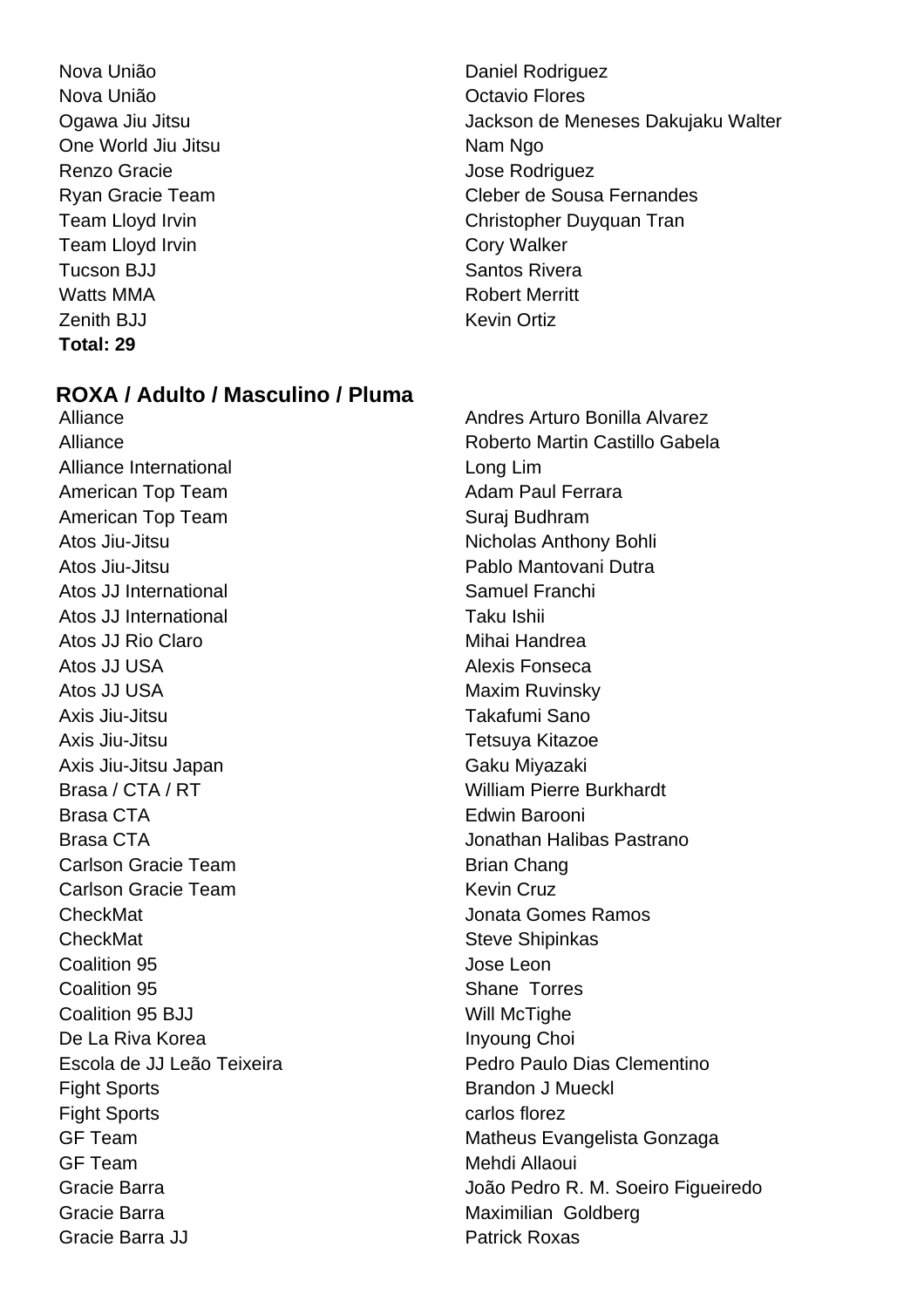- Nova União **Nova União** Daniel Rodriguez Nova União **Nova União** e contra um provincia e o Octavio Flores One World Jiu Jitsu Nam Ngo Renzo Gracie **Accessity** Contract and Technology Jose Rodriguez Team Lloyd Irvin **Cory Walker** Tucson BJJ Santos Rivera Watts MMA **Robert Merritt** Zenith BJJ Kevin Ortiz **Total: 29**
- Ogawa Jiu Jitsu  $\Box$  Jackson de Meneses Dakujaku Walter Ryan Gracie Team Cleber de Sousa Fernandes Team Lloyd Irvin **Team Lloyd Irvin** Christopher Duyquan Tran

# **ROXA / Adulto / Masculino / Pluma**

Alliance Andres Arturo Bonilla Alvarez Alliance International and a long Lim American Top Team American Top Team American Top Team Suraj Budhram Atos Jiu-Jitsu **Nicholas Anthony Bohli** Atos Jiu-Jitsu Pablo Mantovani Dutra Atos JJ International Samuel Franchi Atos JJ International Taku Ishii Atos JJ Rio Claro **Mihai Handrea** Atos JJ USA **Alexis Fonseca** Atos JJ USA Maxim Ruvinsky Axis Jiu-Jitsu Takafumi Sano Axis Jiu-Jitsu Tetsuya Kitazoe Axis Jiu-Jitsu Japan Gaku Miyazaki Brasa / CTA / RT **William Pierre Burkhardt** Brasa CTA **Edwin Barooni** Brasa CTA Jonathan Halibas Pastrano Carlson Gracie Team Brian Chang Carlson Gracie Team News 2008 Kevin Cruz CheckMat Jonata Gomes Ramos CheckMat Steve Shipinkas Coalition 95 Jose Leon Coalition 95 Shane Torres Coalition 95 BJJ Will McTighe De La Riva Korea **Inyoung Choi** Fight Sports **Brandon J Mueckl** Fight Sports **carlos** florez GF Team Mehdi Allaoui Gracie Barra **Maximilian** Goldberg **Maximilian** Goldberg Gracie Barra JJ Patrick Roxas

Alliance Roberto Martin Castillo Gabela Escola de JJ Leão Teixeira **Pedro Paulo Dias Clementino** GF Team **Matheus Evangelista Gonzaga** Matheus Evangelista Gonzaga Gracie Barra João Pedro R. M. Soeiro Figueiredo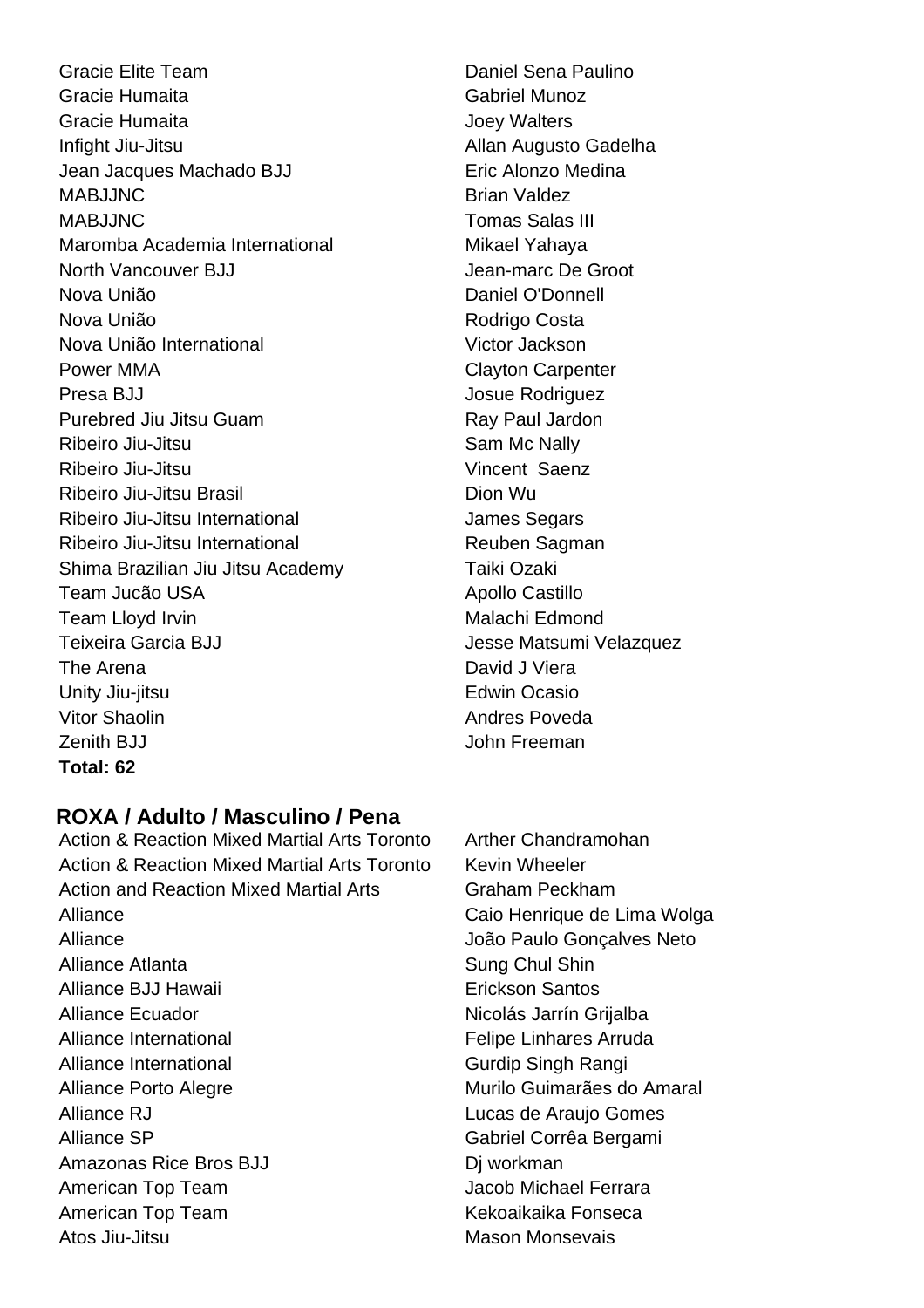Gracie Elite Team **Daniel Sena Paulino** Gracie Humaita Gabriel Munoz Gracie Humaita **Gracia** Joey Walters Infight Jiu-Jitsu **Allan Augusto Gadelha** Jean Jacques Machado BJJ **Eric Alonzo Medina** MABJJNC Brian Valdez MABJJNC Tomas Salas III Maromba Academia International Mikael Yahaya North Vancouver BJJ **Jean-marc De Groot** Nova União **Nova União** Daniel O'Donnell Nova União **Nova União** Rodrigo Costa Nova União International Victor Jackson Power MMA Clayton Carpenter Presa BJJ Josue Rodriguez Purebred Jiu Jitsu Guam Ray Paul Jardon Ribeiro Jiu-Jitsu **National Sam Mc Nally** Ribeiro Jiu-Jitsu Vincent Saenz Ribeiro Jiu-Jitsu Brasil Dion Wu Ribeiro Jiu-Jitsu International **International** James Segars Ribeiro Jiu-Jitsu International **Ribeiro II** Reuben Sagman Shima Brazilian Jiu Jitsu Academy Taiki Ozaki Team Jucão USA Apollo Castillo Team Lloyd Irvin **Malachi** Edmond Teixeira Garcia BJJ **Version Community Community** Jesse Matsumi Velazquez The Arena **David J** Viera Unity Jiu-jitsu **Edwin Ocasio** Vitor Shaolin **Andres Poveda** Zenith BJJ John Freeman **Total: 62**

# **ROXA / Adulto / Masculino / Pena**

Action & Reaction Mixed Martial Arts Toronto Arther Chandramohan Action & Reaction Mixed Martial Arts Toronto Kevin Wheeler Action and Reaction Mixed Martial Arts **Graham Peckham** Alliance **Caio Henrique de Lima Wolga** Alliance João Paulo Gonçalves Neto Alliance Atlanta **Sung Chul Shin** Alliance BJJ Hawaii **Erickson Santos** Alliance Ecuador **Nicolás Jarrín Griialba** Alliance International Felipe Linhares Arruda Alliance International **Gurdip Singh Rangi** Gurdip Singh Rangi Alliance Porto Alegre Murilo Guimarães do Amaral Alliance RJ Lucas de Araujo Gomes Alliance SP Gabriel Corrêa Bergami Amazonas Rice Bros BJJ Di workman American Top Team **Jacob Michael Ferrara** American Top Team **Kekoaikaika Fonseca** Atos Jiu-Jitsu Mason Monsevais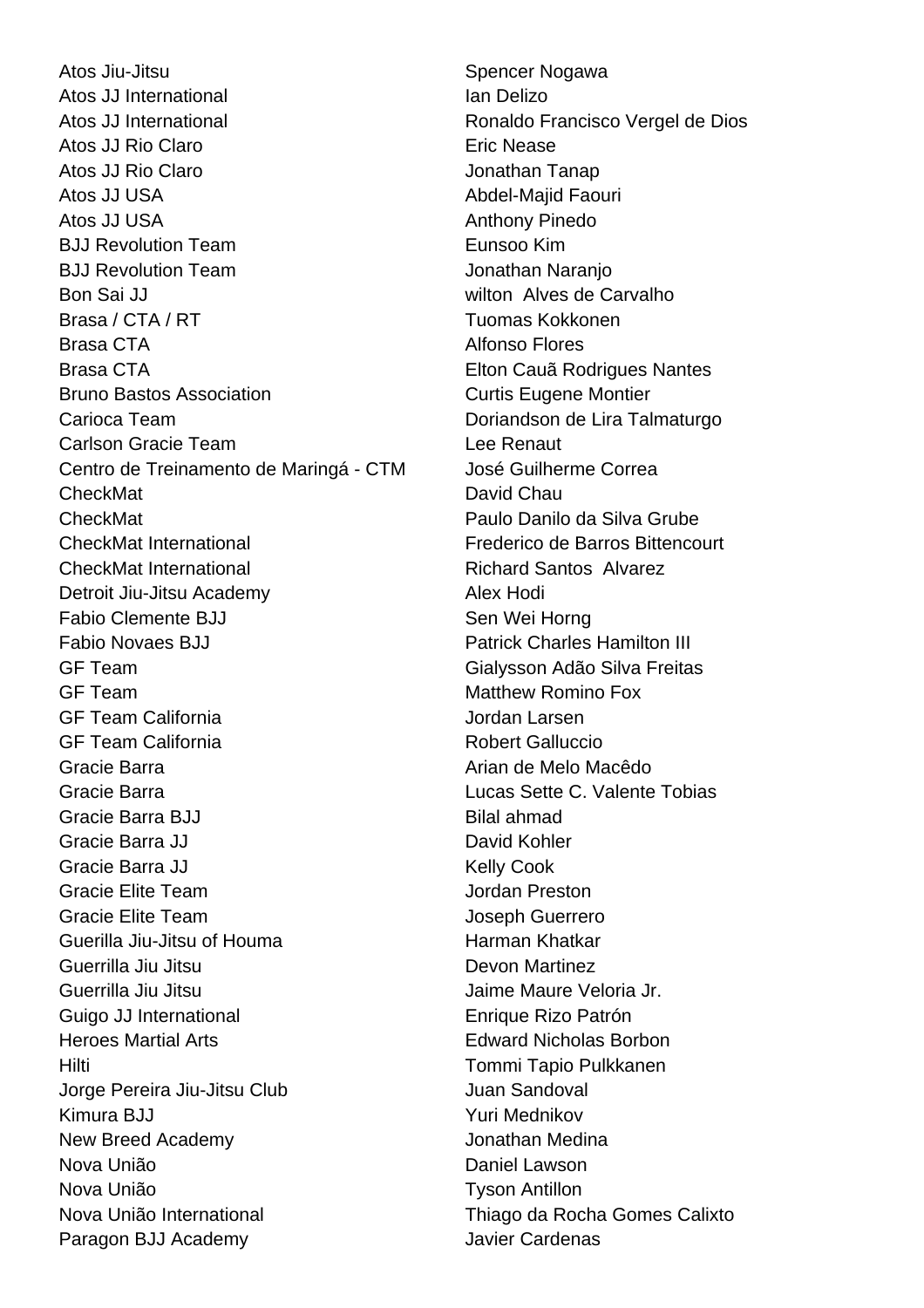Atos Jiu-Jitsu **Spencer Nogawa** Atos JJ International **Ian Delizo** Atos JJ International **Atos 3** Ronaldo Francisco Vergel de Dios Atos JJ Rio Claro **Eric Nease** Atos JJ Rio Claro **Jonathan Tanap** Atos JJ USA **Abdel-Majid Faouri Abdel-Majid Faouri** Atos JJ USA **Anthony Pinedo** BJJ Revolution Team **Eunsoo Kim** BJJ Revolution Team Jonathan Naranio Bon Sai JJ wilton Alves de Carvalho Brasa / CTA / RT **Tuomas Kokkonen** Brasa CTA **Alfonso Flores** Brasa CTA **Elton Cauã Rodrigues Nantes** Bruno Bastos Association **Curtis Eugene Montier** Carioca Team Doriandson de Lira Talmaturgo Carlson Gracie Team Lee Renaut Centro de Treinamento de Maringá - CTM José Guilherme Correa CheckMat David Chau CheckMat Paulo Danilo da Silva Grube CheckMat International Frederico de Barros Bittencourt CheckMat International Richard Santos Alvarez Detroit Jiu-Jitsu Academy **Alex Hodi** Fabio Clemente BJJ Sen Wei Horng Fabio Novaes BJJ **Patrick Charles Hamilton III** GF Team Gialysson Adão Silva Freitas GF Team Matthew Romino Fox GF Team California and a study of the Jordan Larsen GF Team California **Robert Galluccio** Gracie Barra **Arian de Melo Macêdo** Arian de Melo Macêdo Gracie Barra Lucas Sette C. Valente Tobias Gracie Barra BJJ Bilal ahmad Gracie Barra JJ David Kohler Gracie Barra JJ Kelly Cook Gracie Elite Team **Jordan Preston** Gracie Elite Team Joseph Guerrero Guerilla Jiu-Jitsu of Houma **Harman Khatkar** Guerrilla Jiu Jitsu Devon Martinez Guerrilla Jiu Jitsu Jaime Maure Veloria Jr. Guigo JJ International Enrique Rizo Patrón Heroes Martial Arts Edward Nicholas Borbon Hilti Tommi Tapio Pulkkanen Jorge Pereira Jiu-Jitsu Club Juan Sandoval Kimura BJJ **Xaryova American State According State According State According State According State According St** New Breed Academy **Construction** Jonathan Medina Nova União **Nova União** Daniel Lawson Nova União Tyson Antillon Nova União International Thiago da Rocha Gomes Calixto Paragon BJJ Academy Javier Cardenas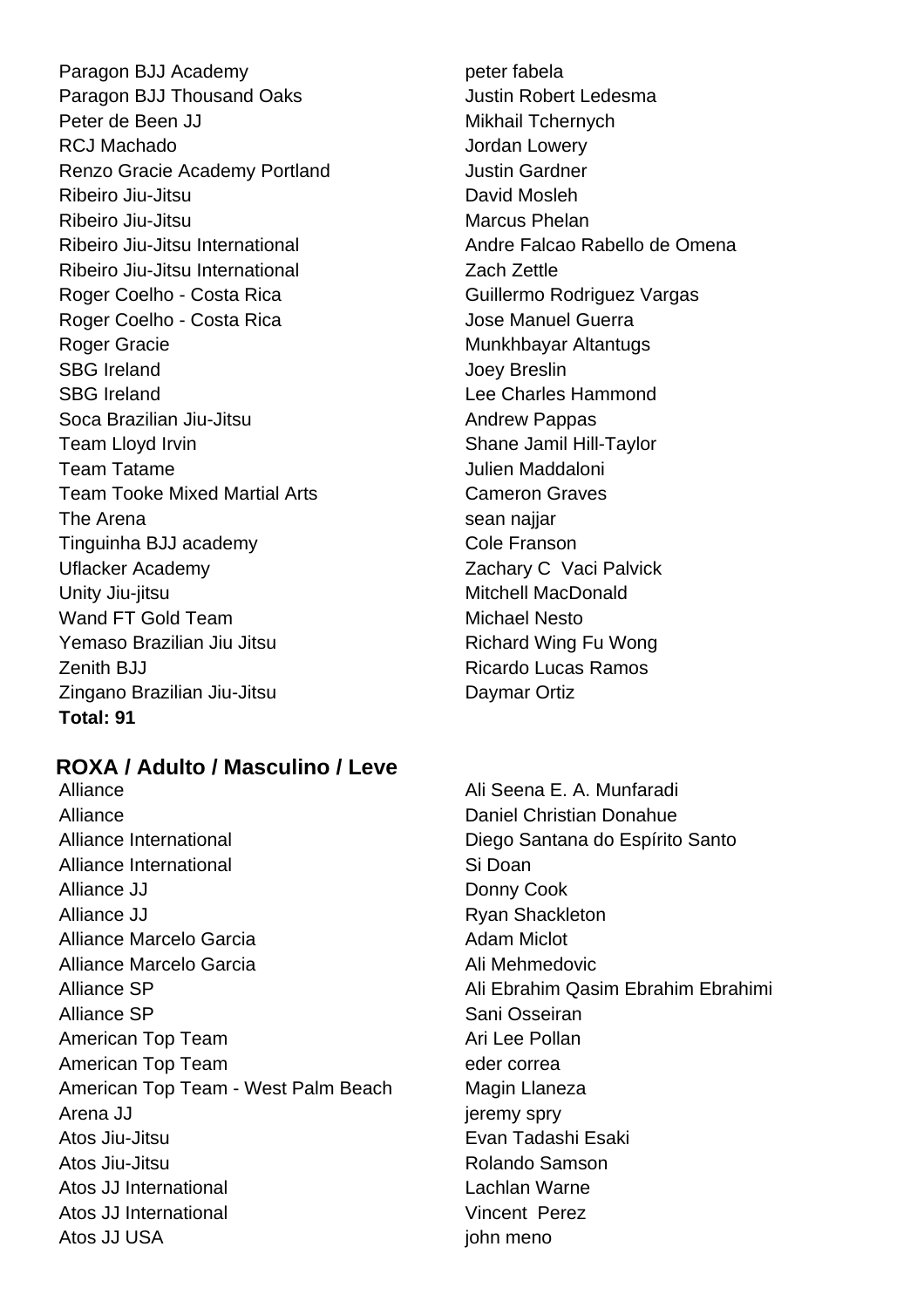Paragon BJJ Academy peter fabela Paragon BJJ Thousand Oaks **Justin Robert Ledesma** Peter de Been JJ Mikhail Tchernych RCJ Machado **International Community** Contract and *Jordan Lowery* Renzo Gracie Academy Portland **Francisco Gracie Academy Portland** Ribeiro Jiu-Jitsu **David Mosleh** Ribeiro Jiu-Jitsu **Marcus Phelan** Ribeiro Jiu-Jitsu International Andre Falcao Rabello de Omena Ribeiro Jiu-Jitsu International Zach Zettle Roger Coelho - Costa Rica Guillermo Rodriguez Vargas Roger Coelho - Costa Rica **Guerra** Jose Manuel Guerra Roger Gracie **Munkhbayar Altantugs** Munkhbayar Altantugs SBG Ireland SBG Ireland SBG Ireland Accounts the United SBG Ireland Accounts Accounts Joev Breslin SBG Ireland **Lee Charles Hammond** Soca Brazilian Jiu-Jitsu **Andrew Pappas** Team Lloyd Irvin Shane Jamil Hill-Taylor Team Tatame Julien Maddaloni Team Tooke Mixed Martial Arts Cameron Graves The Arena sean najjar Tinguinha BJJ academy Cole Franson Uflacker Academy **Zachary C** Vaci Palvick Unity Jiu-jitsu **Mitchell MacDonald** Wand FT Gold Team Michael Nesto Yemaso Brazilian Jiu Jitsu **Richard Wing Fu Wong** Zenith BJJ Ricardo Lucas Ramos Zingano Brazilian Jiu-Jitsu Daymar Ortiz **Total: 91**

# **ROXA / Adulto / Masculino / Leve**

Alliance Daniel Christian Donahue Alliance International Diego Santana do Espírito Santo Alliance International and Si Doan Alliance JJ Donny Cook Alliance JJ Ryan Shackleton Alliance Marcelo Garcia **Adam Miclot** Adam Miclot Alliance Marcelo Garcia **Alliance Marcelo Garcia** Alliance SP Ali Ebrahim Qasim Ebrahim Ebrahimi Alliance SP Sani Osseiran American Top Team Ari Lee Pollan American Top Team eder correa American Top Team - West Palm Beach Magin Llaneza Arena JJ jeremy spry Atos Jiu-Jitsu Evan Tadashi Esaki Atos Jiu-Jitsu Rolando Samson Atos JJ International **Lachlan Warne** Atos JJ International **Vincent Perez** Atos JJ USA john meno

Alliance **Alliance Alliance Alliance Alliance Alliance Alliance Alliance Alliance Alliance Alliance Alliance Alliance Alliance Alliance Alliance Alliance Alliance Alliance Alliance All**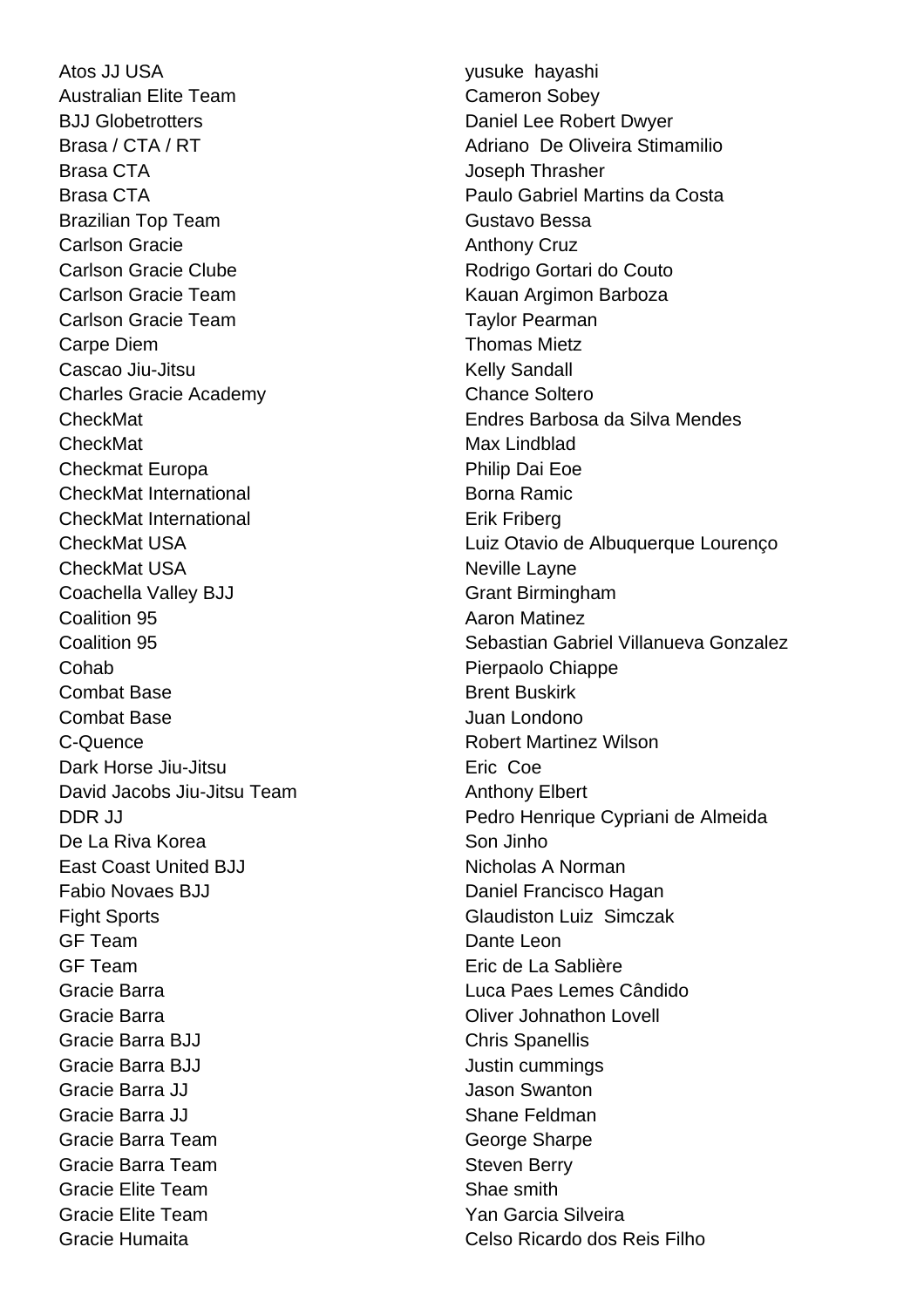Atos JJ USA yusuke hayashi Australian Elite Team Cameron Sobey BJJ Globetrotters **Daniel Lee Robert Dwyer** Brasa CTA **Internal CTA** Joseph Thrasher Brazilian Top Team Gustavo Bessa Carlson Gracie **Anthony Cruz** Carlson Gracie Clube **Carlson Gracie Clube** Rodrigo Gortari do Couto Carlson Gracie Team **Kauan Argimon Barboza** Carlson Gracie Team Taylor Pearman Carpe Diem **Thomas Mietz** Cascao Jiu-Jitsu **Kelly Sandall** Charles Gracie Academy Chance Soltero CheckMat Max Lindblad Checkmat Europa **Philip Dai Eoe** CheckMat International Borna Ramic CheckMat International **Example 2018** Erik Friberg CheckMat USA Neville Layne Coachella Valley BJJ Grant Birmingham **Coalition 95 Aaron Matinez** Cohab Pierpaolo Chiappe Combat Base **Brent Buskirk** Combat Base Juan Londono C-Quence **C-Quence Robert Martinez Wilson** Dark Horse Jiu-Jitsu **Eric Coe** David Jacobs Jiu-Jitsu Team Anthony Elbert De La Riva Korea  $\sim$  Son Jinho East Coast United BJJ Nicholas A Norman Fabio Novaes BJJ **Daniel Francisco Hagan** Fight Sports **Glaudiston Luiz Simczak** GF Team Dante Leon GF Team Eric de La Sablière Gracie Barra Luca Paes Lemes Cândido Gracie Barra Oliver Johnathon Lovell Gracie Barra BJJ Chris Spanellis Gracie Barra BJJ **Justin cummings** Gracie Barra JJ Jason Swanton Gracie Barra JJ Shane Feldman Gracie Barra Team Gracie Sharpe Gracie Barra Team Steven Berry Gracie Elite Team Shae smith Gracie Elite Team **Yan Garcia Silveira** 

Brasa / CTA / RT **Adriano De Oliveira Stimamilio** Brasa CTA Paulo Gabriel Martins da Costa CheckMat Endres Barbosa da Silva Mendes CheckMat USA Luiz Otavio de Albuquerque Lourenço Coalition 95 Sebastian Gabriel Villanueva Gonzalez DDR JJ Pedro Henrique Cypriani de Almeida Gracie Humaita Celso Ricardo dos Reis Filho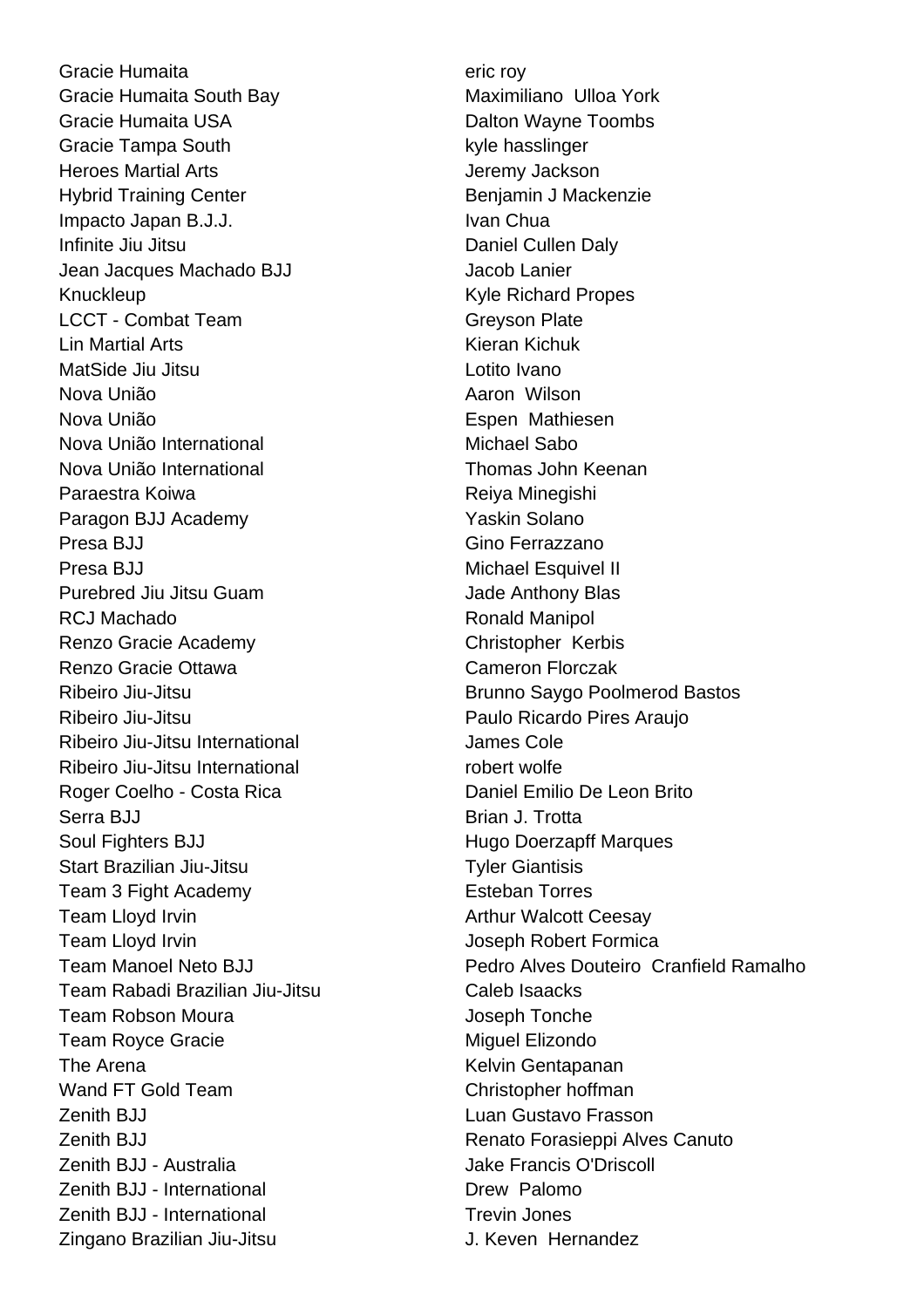Gracie Humaita eric roy Gracie Humaita South Bay **Maximiliano** Ulloa York Gracie Humaita USA Dalton Wayne Toombs Gracie Tampa South **Kyle hasslinger** kyle hasslinger Heroes Martial Arts **Article State State Article Article Article Article Article Article Article Article Article Article Article Article Article Article Article Article Article Article Article Article Article Article Artic** Hybrid Training Center **Benjamin J Mackenzie** Impacto Japan B.J.J. **IVAN Chua** Infinite Jiu Jitsu **Daniel Cullen Daly** Jean Jacques Machado BJJ Jacob Lanier Knuckleup Kyle Richard Propes LCCT - Combat Team Greyson Plate Lin Martial Arts Kieran Kichuk MatSide Jiu Jitsu Lotito Ivano Nova União **Aaron Wilson** Aaron Wilson Nova União **Espen Mathiesen** Nova União International Michael Sabo Nova União International Thomas John Keenan Paraestra Koiwa **Reiya Minegishi** Paragon BJJ Academy Yaskin Solano Presa BJJ Gino Ferrazzano Presa BJJ Nichael Esquivel II Purebred Jiu Jitsu Guam Jade Anthony Blas RCJ Machado **Ronald Manipol** Renzo Gracie Academy Christopher Kerbis Renzo Gracie Ottawa Cameron Florczak Ribeiro Jiu-Jitsu Paulo Ricardo Pires Araujo Ribeiro Jiu-Jitsu International James Cole Ribeiro Jiu-Jitsu International robert wolfe Roger Coelho - Costa Rica **Daniel Emilio De Leon Brito** Serra BJJ Brian J. Trotta Soul Fighters BJJ **Hugo Doerzapff Marques** Start Brazilian Jiu-Jitsu **Tyler Giantisis** Team 3 Fight Academy **Esteban Torres** Team Lloyd Irvin **Arthur Walcott Ceesay** Team Lloyd Irvin **Team Lloyd Irvin** Controller Controller Controller Joseph Robert Formica Team Rabadi Brazilian Jiu-Jitsu Caleb Isaacks Team Robson Moura **International Contract Contract Contract Contract Contract Contract Contract Contract Contract Contract Contract Contract Contract Contract Contract Contract Contract Contract Contract Contract Contract** Team Royce Gracie **Miguel Elizondo** The Arena **Kelvin Gentapanan** Wand FT Gold Team Christopher hoffman Zenith BJJ Luan Gustavo Frasson Zenith BJJ - Australia Jake Francis O'Driscoll Zenith BJJ - International **Dividends** Drew Palomo Zenith BJJ - International Trevin Jones Zingano Brazilian Jiu-Jitsu J. Keven Hernandez

Ribeiro Jiu-Jitsu **Brunno Saygo Poolmerod Bastos** Team Manoel Neto BJJ Pedro Alves Douteiro Cranfield Ramalho Zenith BJJ Renato Forasieppi Alves Canuto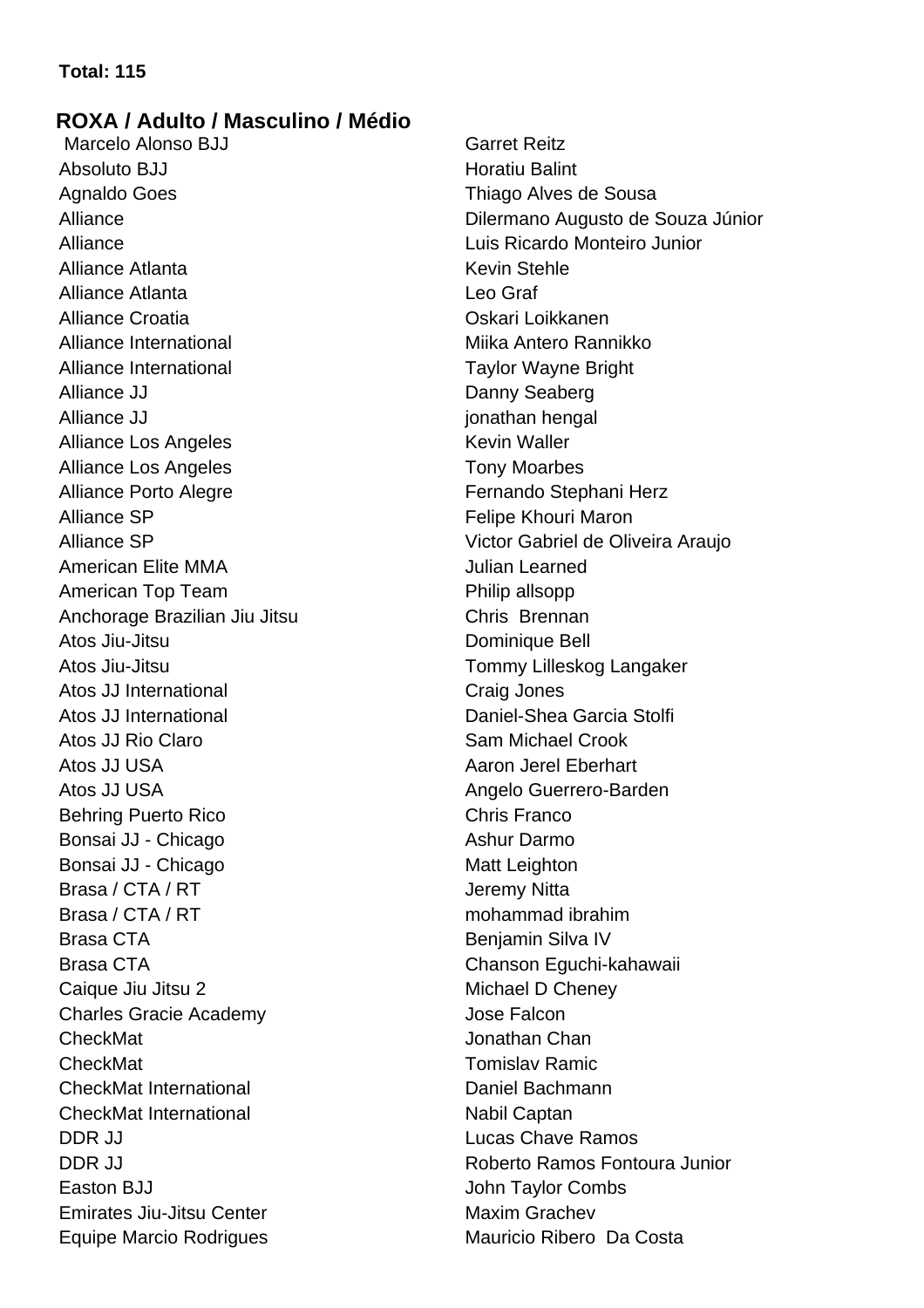# **Total: 115**

# **ROXA / Adulto / Masculino / Médio**

Marcelo Alonso BJJ Garret Reitz Absoluto BJJ **Horatiu Balint** Agnaldo Goes **Thiago Alves de Sousa** Alliance Luis Ricardo Monteiro Junior Alliance Atlanta **Kevin Stehle** Alliance Atlanta Leo Graf Alliance Croatia Oskari Loikkanen Alliance International Milliance International Milliance International Milliance International Milliance International Milliance International Milliance International Milliance International Milliance International Millian Alliance International **Taylor Wayne Bright** Alliance JJ Danny Seaberg Alliance JJ jonathan hengal Alliance Los Angeles **Kevin Waller** Alliance Los Angeles **Tony Moarbes** Alliance Porto Alegre **Fernando** Stephani Herz Alliance SP **Felipe Khouri Maron** Felipe Khouri Maron American Elite MMA **Julian Learned** American Top Team **Philip allsopp** Anchorage Brazilian Jiu Jitsu Chris Brennan Atos Jiu-Jitsu Dominique Bell Atos Jiu-Jitsu **Tommy Lilleskog Langaker** Atos JJ International **Craig Jones** Atos JJ International **Daniel-Shea Garcia Stolfi** Atos JJ Rio Claro **Sam Michael Crook** Sam Michael Crook Atos JJ USA **Aaron Jerel Eberhart** Aaron Jerel Eberhart Atos JJ USA **Angelo** Guerrero-Barden Behring Puerto Rico **Chris Franco** Chris Franco Bonsai JJ - Chicago Ashur Darmo Bonsai JJ - Chicago Matt Leighton Brasa / CTA / RT Jeremy Nitta Brasa / CTA / RT mohammad ibrahim Brasa CTA Benjamin Silva IV Brasa CTA Chanson Eguchi-kahawaii Caique Jiu Jitsu 2 Michael D Cheney Charles Gracie Academy Jose Falcon CheckMat Jonathan Chan CheckMat Tomislav Ramic CheckMat International Daniel Bachmann CheckMat International Nabil Captan DDR JJ Lucas Chave Ramos Easton BJJ **John Taylor Combs Emirates Jiu-Jitsu Center Maxim Grachev** Equipe Marcio Rodrigues Mauricio Ribero Da Costa

Alliance Dilermano Augusto de Souza Júnior Alliance SP Victor Gabriel de Oliveira Araujo DDR JJ Roberto Ramos Fontoura Junior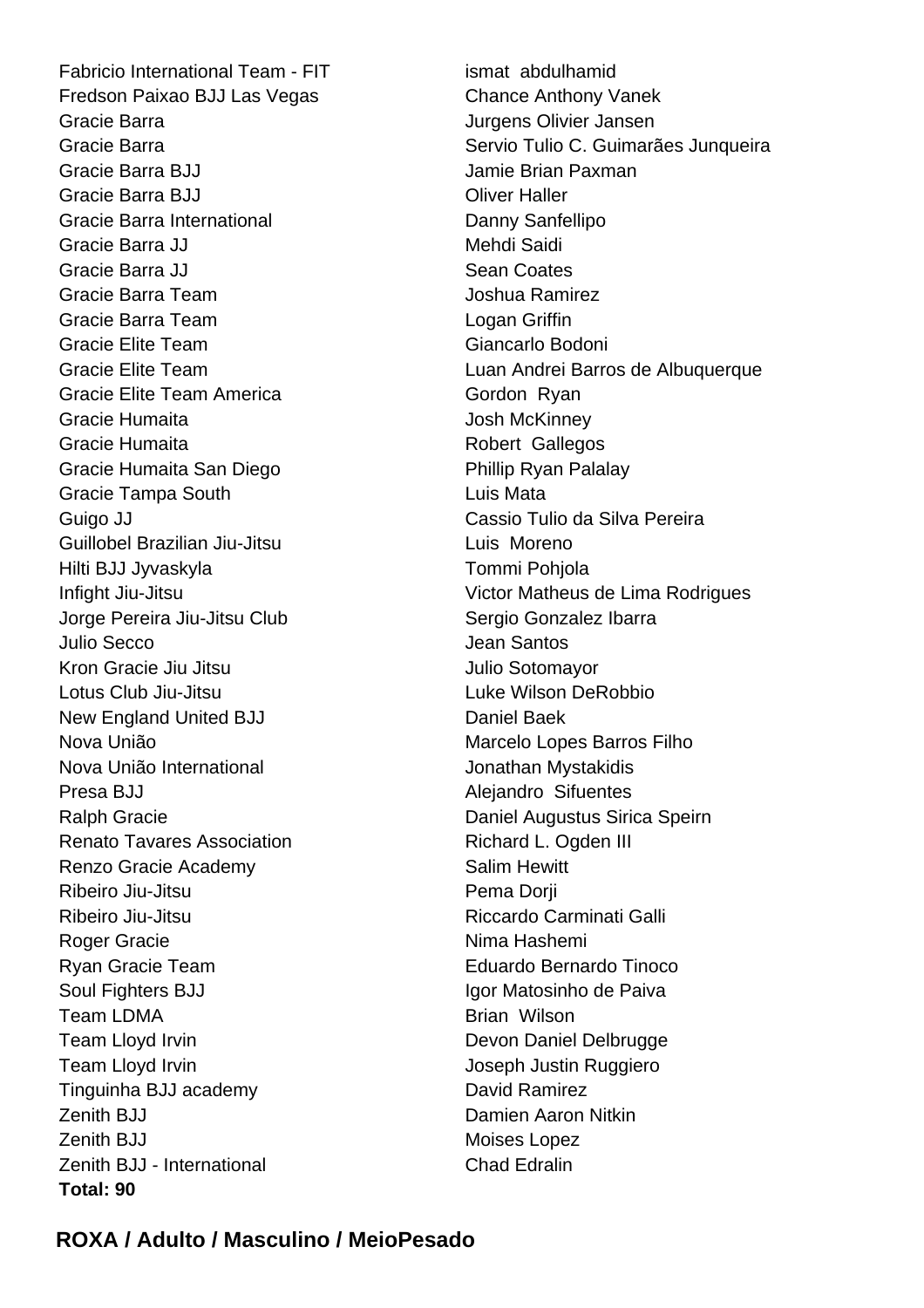Fabricio International Team - FIT ismat abdulhamid Fredson Paixao BJJ Las Vegas Chance Anthony Vanek Gracie Barra **Gracia** Gracie Barra Jurgens Olivier Jansen Gracie Barra BJJ **Jamie Brian Paxman** Gracie Barra BJJ Oliver Haller Gracie Barra International **Danny Sanfellipo** Gracie Barra JJ Mehdi Saidi Gracie Barra JJ Sean Coates Gracie Barra Team **Joshua Ramirez** Gracie Barra Team **Logan Griffin** Gracie Elite Team Giancarlo Bodoni Gracie Elite Team America Gordon Ryan Gracie Humaita **Gracia** Josh McKinney Gracie Humaita **Robert Gallegos** Robert Gallegos Gracie Humaita San Diego **Phillip Ryan Palalay** Gracie Tampa South **Luis Mata** Guigo JJ Cassio Tulio da Silva Pereira Guillobel Brazilian Jiu-Jitsu **Luis Moreno** Hilti BJJ Jyvaskyla Tommi Pohjola Jorge Pereira Jiu-Jitsu Club Sergio Gonzalez Ibarra Julio Secco **Accessity** Jean Santos Kron Gracie Jiu Jitsu Julio Sotomayor Lotus Club Jiu-Jitsu Luke Wilson DeRobbio New England United BJJ Daniel Baek Nova União **Marcelo Lopes Barros Filho** Nova União International values and versions de Jonathan Mystakidis Presa BJJ **Alejandro Sifuentes** Ralph Gracie Daniel Augustus Sirica Speirn Renato Tavares Association **Richard L. Ogden III** Renzo Gracie Academy Salim Hewitt Ribeiro Jiu-Jitsu **Pema Dorji** Ribeiro Jiu-Jitsu **Ribeiro III e a contra contra e a contra contra contra contra contra contra contra contra contra contra contra contra contra contra contra contra contra contra contra contra contra contra contra contra c** Roger Gracie Nima Hashemi Ryan Gracie Team **Eduardo Bernardo Tinoco** Soul Fighters BJJ **Igor Matosinho de Paiva** Team LDMA Brian Wilson Team Lloyd Irvin **Devon Daniel Delbrugge** Team Lloyd Irvin **Team Lloyd Irvin Joseph Justin Ruggiero** Tinguinha BJJ academy David Ramirez Zenith BJJ Damien Aaron Nitkin **Zenith BJJ** Moises Lopez Zenith BJJ - International Chad Edralin **Total: 90**

Gracie Barra **Servio Tulio C. Guimarães Junqueira** Servio Tulio C. Guimarães Junqueira Gracie Elite Team Luan Andrei Barros de Albuquerque Infight Jiu-Jitsu Victor Matheus de Lima Rodrigues

# **ROXA / Adulto / Masculino / MeioPesado**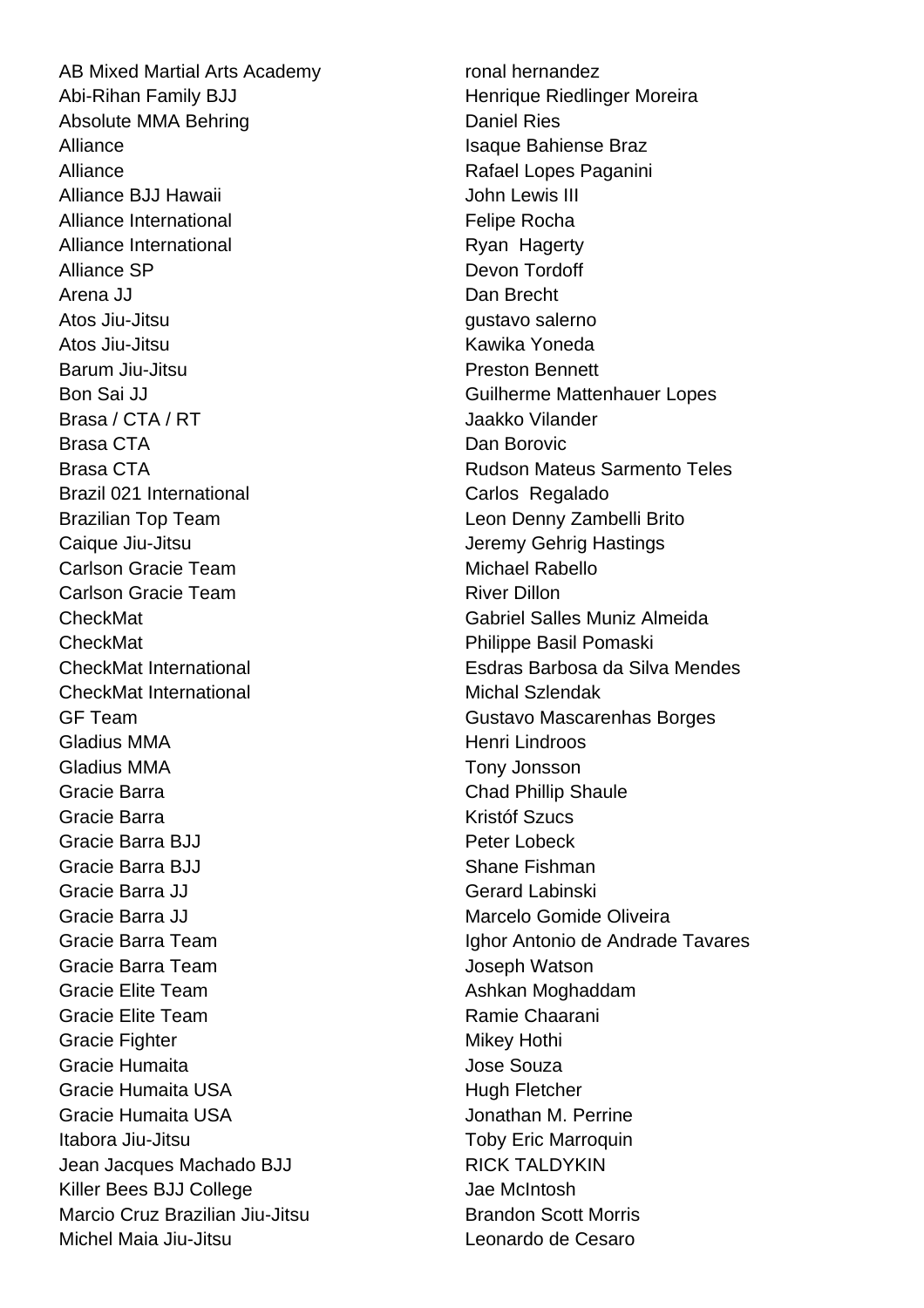AB Mixed Martial Arts Academy ronal hernandez Abi-Rihan Family BJJ **Henrique Riedlinger Moreira** Absolute MMA Behring **Daniel Ries** Daniel Ries Alliance **Islamical Exception Contract Contract Contract Contract Contract Contract Contract Contract Contract Contract Contract Contract Contract Contract Contract Contract Contract Contract Contract Contract Contract Con** Alliance **Rafael Lopes Paganini** Alliance BJJ Hawaii **Alliance BJJ** Hawaii **John Lewis III** Alliance International **Felipe Rocha** Felipe Rocha Alliance International **Ryan Hagerty** Alliance SP Devon Tordoff Arena JJ Dan Brecht Atos Jiu-Jitsu gustavo salerno Atos Jiu-Jitsu Kawika Yoneda Barum Jiu-Jitsu Preston Bennett Brasa / CTA / RT Jaakko Vilander Brasa CTA **Dan Borovic** Brazil 021 International **Carlos** Carlos Regalado Brazilian Top Team **Leon Denny Zambelli Brito** Caique Jiu-Jitsu **Caique Jiu-Jitsu** Jeremy Gehrig Hastings Carlson Gracie Team Michael Rabello Carlson Gracie Team River Dillon CheckMat Philippe Basil Pomaski CheckMat International Michal Szlendak Gladius MMA **Henri Lindroos** Gladius MMA Tony Jonsson Gracie Barra **Chad Phillip Shaule** Chad Phillip Shaule Gracie Barra **Kristóf Szucs** Gracie Barra BJJ **Peter Lobeck** Gracie Barra BJJ Shane Fishman Gracie Barra JJ Gerard Labinski Gracie Barra JJ Marcelo Gomide Oliveira Gracie Barra Team **Joseph Watson** Gracie Elite Team **Ashkan Moghaddam** Gracie Elite Team **Ramie Chaarani** Gracie Fighter Mikey Hothi Gracie Humaita Jose Souza Gracie Humaita USA **Hugh Fletcher** Hugh Fletcher Gracie Humaita USA Jonathan M. Perrine Itabora Jiu-Jitsu **Information Controllering Toby Eric Marroquin** Jean Jacques Machado BJJ RICK TALDYKIN Killer Bees BJJ College Jae McIntosh Marcio Cruz Brazilian Jiu-Jitsu **Brandon Scott Morris** Michel Maia Jiu-Jitsu Leonardo de Cesaro

Bon Sai JJ Guilherme Mattenhauer Lopes Brasa CTA Rudson Mateus Sarmento Teles CheckMat Gabriel Salles Muniz Almeida CheckMat International Esdras Barbosa da Silva Mendes GF Team Gustavo Mascarenhas Borges Gracie Barra Team **Ighor Antonio de Andrade Tavares**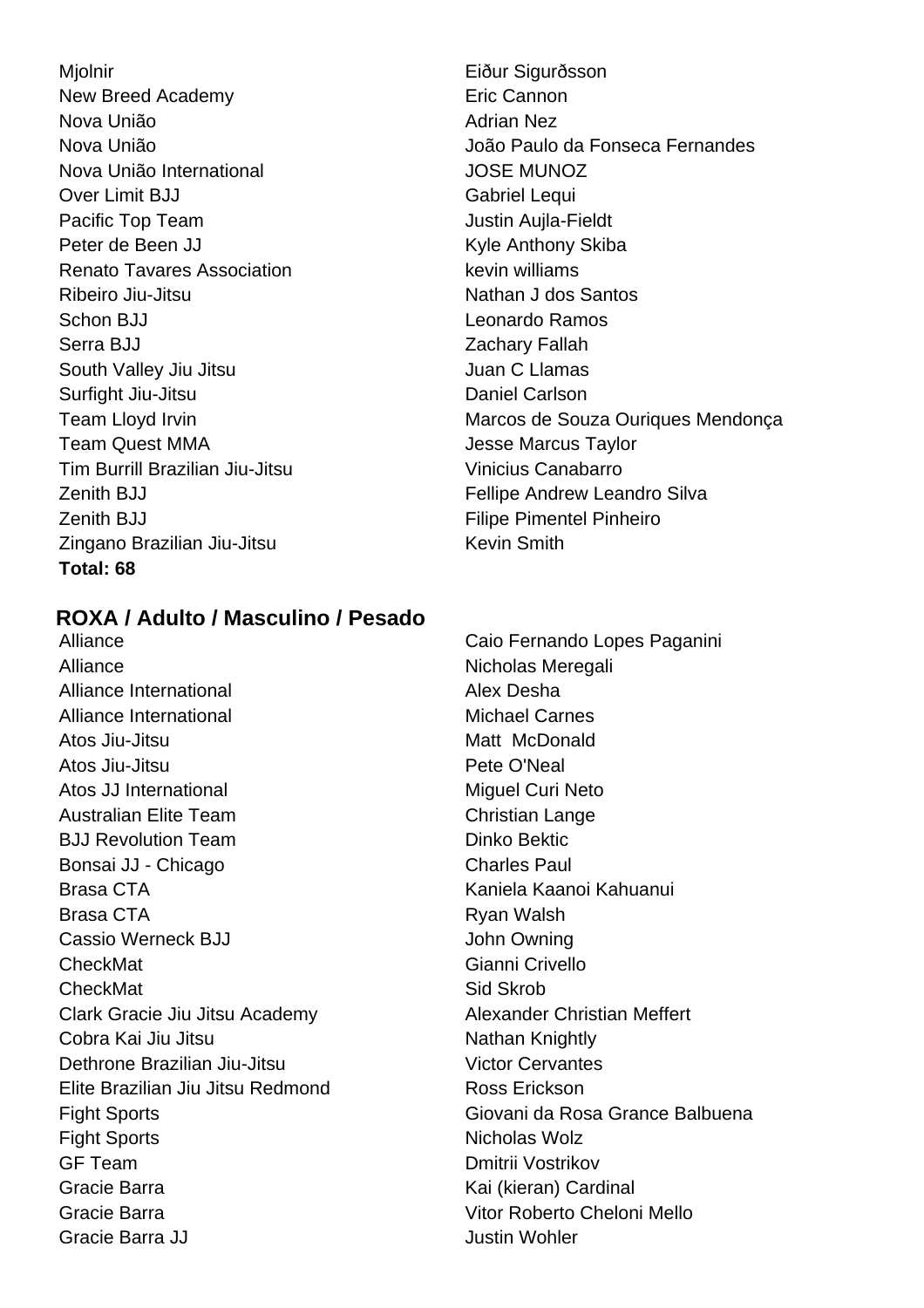Mjolnir **Eiður Sigurðsson** New Breed Academy **Example 20** Eric Cannon Nova União **Adrian Nez** Nova União International JOSE MUNOZ Over Limit BJJ Gabriel Lequi Pacific Top Team **Justin Aujla-Fieldt** Peter de Been JJ Kyle Anthony Skiba Renato Tavares Association **Key Key Library Renato Tavares Association** Ribeiro Jiu-Jitsu Nathan J dos Santos Schon BJJ Leonardo Ramos Serra BJJ Zachary Fallah South Valley Jiu Jitsu Juan C Llamas Surfight Jiu-Jitsu **Daniel Carlson Team Quest MMA** Jesse Marcus Taylor Tim Burrill Brazilian Jiu-Jitsu Vinicius Canabarro Zenith BJJ Fellipe Andrew Leandro Silva Zenith BJJ **Filipe Pimentel Pinheiro Filipe Pimentel Pinheiro** Zingano Brazilian Jiu-Jitsu Kevin Smith **Total: 68**

Nova União **Nova União** da Fonseca Fernandes Team Lloyd Irvin **Marcos** de Souza Ouriques Mendonça

# **ROXA / Adulto / Masculino / Pesado**

Alliance Nicholas Meregali Alliance International **Alex Desha** Alliance International **Michael Carnes** Atos Jiu-Jitsu **Matt** McDonald Atos Jiu-Jitsu **Pete O'Neal** Atos JJ International Miguel Curi Neto Australian Elite Team Christian Lange **BJJ Revolution Team Dinko Bektic** Bonsai JJ - Chicago Charles Paul Brasa CTA Kaniela Kaanoi Kahuanui Brasa CTA **Ryan Walsh** Cassio Werneck BJJ **John Owning** CheckMat Gianni Crivello CheckMat Sid Skrob Clark Gracie Jiu Jitsu Academy Alexander Christian Meffert Cobra Kai Jiu Jitsu Nathan Knightly Dethrone Brazilian Jiu-Jitsu Victor Cervantes Elite Brazilian Jiu Jitsu Redmond Ross Erickson Fight Sports **Nicholas Wolz** GF Team Dmitrii Vostrikov Gracie Barra **Kai (kieran)** Cardinal Gracie Barra Vitor Roberto Cheloni Mello Gracie Barra JJ Justin Wohler

Alliance **Caio Fernando Lopes Paganini** Fight Sports Giovani da Rosa Grance Balbuena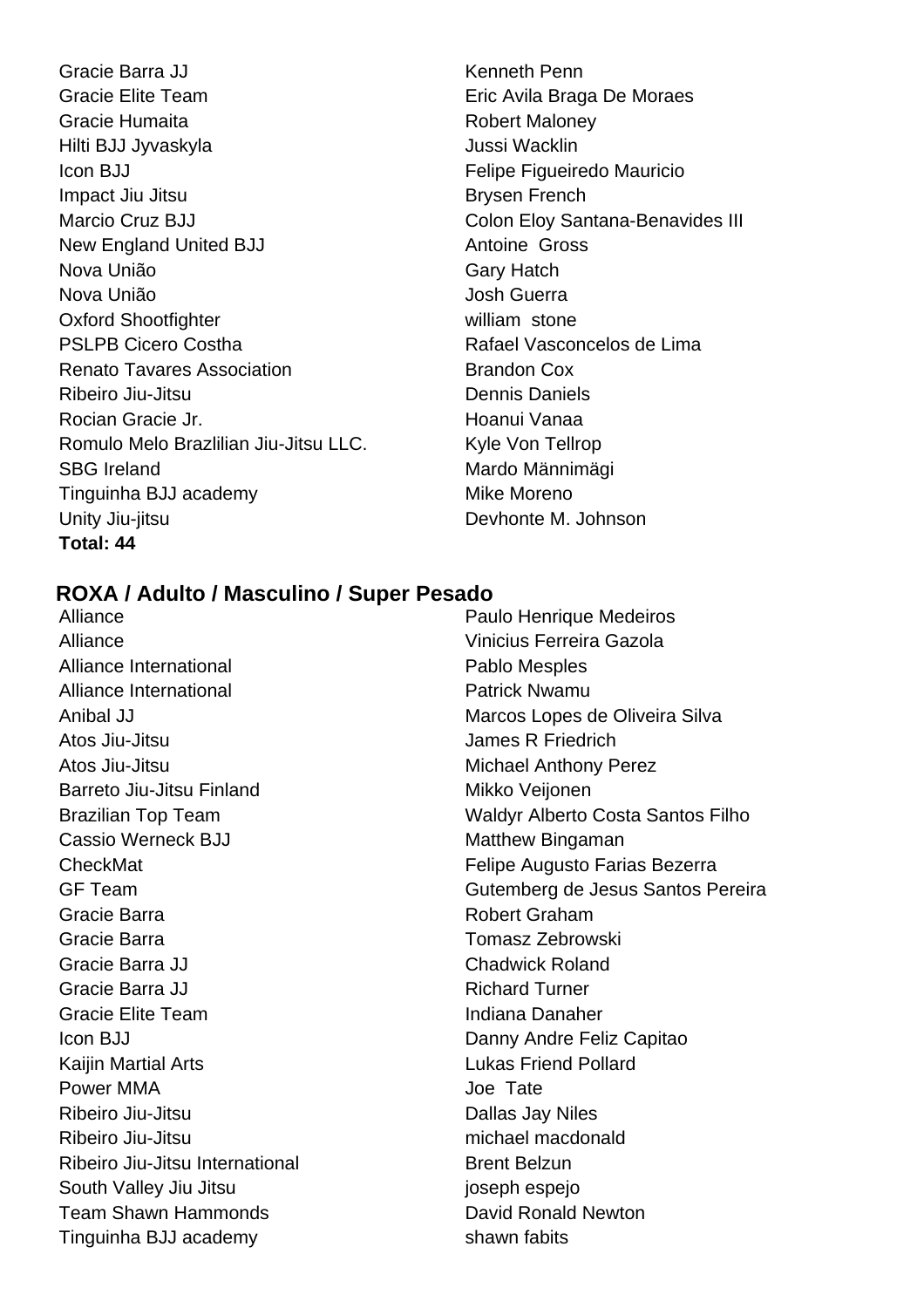Gracie Barra JJ **Kenneth Penn** Gracie Elite Team **Eric Avila Braga De Moraes** Gracie Humaita **Robert Maloney** Hilti BJJ Jyvaskyla Jussi Wacklin Icon BJJ **Felipe Figueiredo Mauricio** Impact Jiu Jitsu **Brysen French** Marcio Cruz BJJ **Marcio Cruz Bill** Colon Eloy Santana-Benavides III New England United BJJ Antoine Gross Nova União Gary Hatch Nova União **Nova União** de California e de California de California de California de California de California de C Oxford Shootfighter **William Stone** william stone PSLPB Cicero Costha Rafael Vasconcelos de Lima Renato Tavares Association **Brandon Cox** Ribeiro Jiu-Jitsu **Dennis Daniels** Rocian Gracie Jr. Hoanui Vanaa Romulo Melo Brazlilian Jiu-Jitsu LLC. Kyle Von Tellrop SBG Ireland Mardo Männimägi Tinguinha BJJ academy Mike Moreno Unity Jiu-jitsu **Devhonte M. Johnson Total: 44**

### **ROXA / Adulto / Masculino / Super Pesado**

Alliance **Paulo Henrique Medeiros Paulo Henrique Medeiros** Alliance Vinicius Ferreira Gazola Alliance International **Pablo Mesples** Alliance International **Patrick Nwamu** Atos Jiu-Jitsu **James R** Friedrich Atos Jiu-Jitsu **Michael Anthony Perez** Barreto Jiu-Jitsu Finland Mikko Veijonen Cassio Werneck BJJ Matthew Bingaman Gracie Barra **Robert Graham** Gracie Barra **Tomasz** Zebrowski Gracie Barra JJ Chadwick Roland Gracie Barra JJ **Richard Turner** Richard Turner Gracie Elite Team **Indiana Danaher** Icon BJJ Danny Andre Feliz Capitao Kaijin Martial Arts **Lukas Friend Pollard** Power MMA and the state of the United States of Tate Ribeiro Jiu-Jitsu **Dallas Jay Niles** Ribeiro Jiu-Jitsu michael macdonald Ribeiro Jiu-Jitsu International Brent Belzun South Valley Jiu Jitsu **intervalse and the set of the set of the set of the set of the set of the set of the set of the set of the set of the set of the set of the set of the set of the set of the set of the set of the set** Team Shawn Hammonds **David Ronald Newton** Tinguinha BJJ academy shawn fabits

Anibal JJ Marcos Lopes de Oliveira Silva Brazilian Top Team Waldyr Alberto Costa Santos Filho CheckMat **Felipe Augusto Farias Bezerra** Felipe Augusto Farias Bezerra GF Team Gutemberg de Jesus Santos Pereira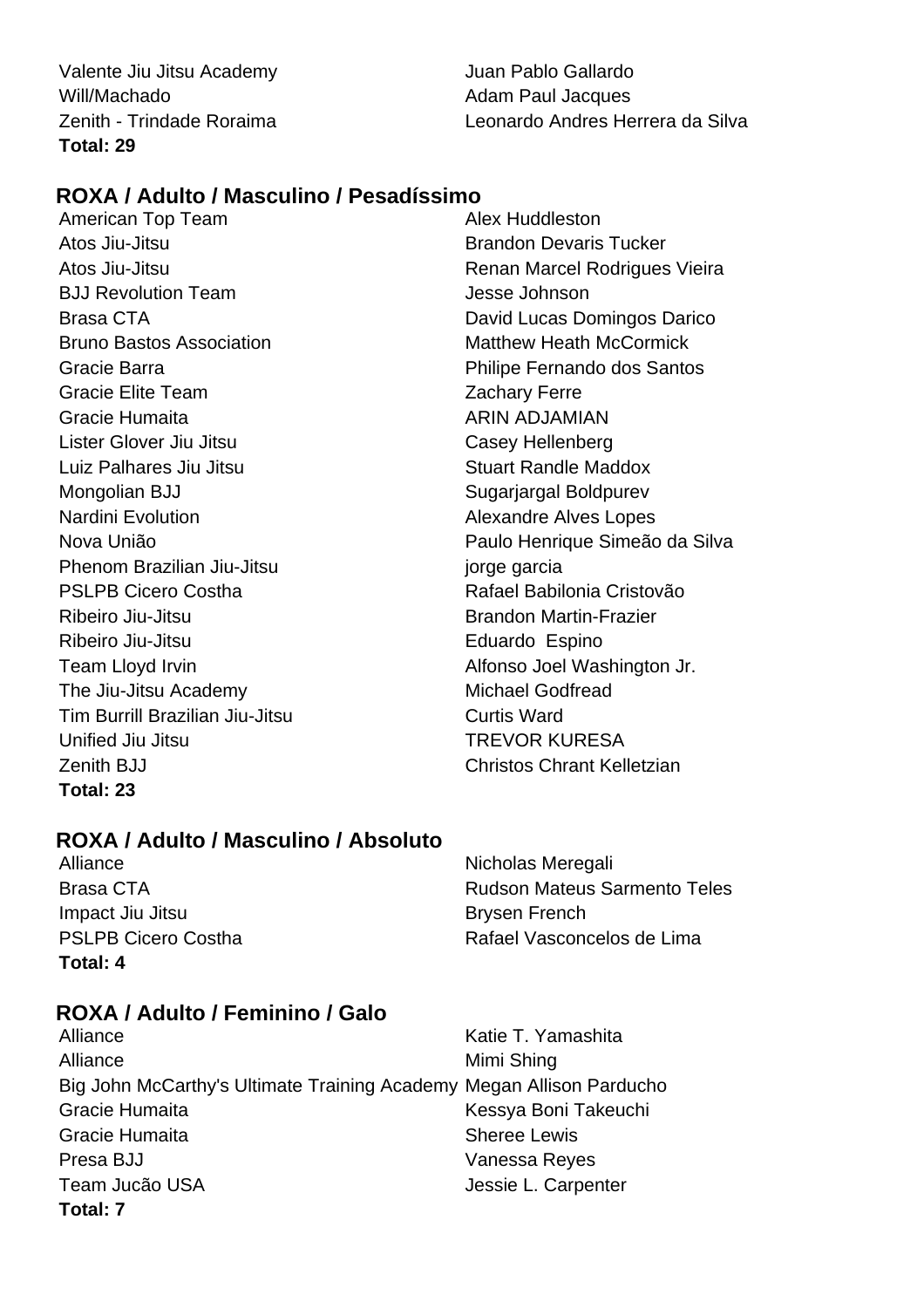Valente Jiu Jitsu Academy Juan Pablo Gallardo Will/Machado **Adam Paul Jacques Total: 29**

Zenith - Trindade Roraima Leonardo Andres Herrera da Silva

# **ROXA / Adulto / Masculino / Pesadíssimo**

American Top Team Atos Jiu-Jitsu Brandon Devaris Tucker BJJ Revolution Team and the state of the Jesse Johnson Brasa CTA **David Lucas Domingos Darico** Bruno Bastos Association **Matthew Heath McCormick** Gracie Barra Philipe Fernando dos Santos Gracie Elite Team **Zachary Ferre** Gracie Humaita **ARIN ADJAMIAN** Lister Glover Jiu Jitsu Casey Hellenberg Luiz Palhares Jiu Jitsu **Stuart Randle Maddox** Stuart Randle Maddox Mongolian BJJ Sugarjargal Boldpurev Nardini Evolution **Alexandre Alves Lopes** Phenom Brazilian Jiu-Jitsu **interval and the State of Theorem** jorge garcia PSLPB Cicero Costha Rafael Babilonia Cristovão Ribeiro Jiu-Jitsu **Brandon Martin-Frazier** Ribeiro Jiu-Jitsu **Eduardo** Espino Team Lloyd Irvin **Team Lloyd Irvin Alfonso Joel Washington Jr.** The Jiu-Jitsu Academy Michael Godfread Tim Burrill Brazilian Jiu-Jitsu Curtis Ward Unified Jiu Jitsu **TREVOR KURESA** Zenith BJJ Christos Chrant Kelletzian **Total: 23**

Atos Jiu-Jitsu Renan Marcel Rodrigues Vieira Nova União Paulo Henrique Simeão da Silva

# **ROXA / Adulto / Masculino / Absoluto**

Alliance Nicholas Meregali Impact Jiu Jitsu **Brysen French Total: 4**

Brasa CTA **Rudson Mateus Sarmento Teles** PSLPB Cicero Costha Rafael Vasconcelos de Lima

# **ROXA / Adulto / Feminino / Galo**

Alliance **Katie T. Yamashita** Alliance Mimi Shing Big John McCarthy's Ultimate Training Academy Megan Allison Parducho Gracie Humaita **Kessya Boni Takeuchi** Gracie Humaita **Sheree Lewis** Presa BJJ Vanessa Reyes Team Jucão USA **Jessie L. Carpenter Total: 7**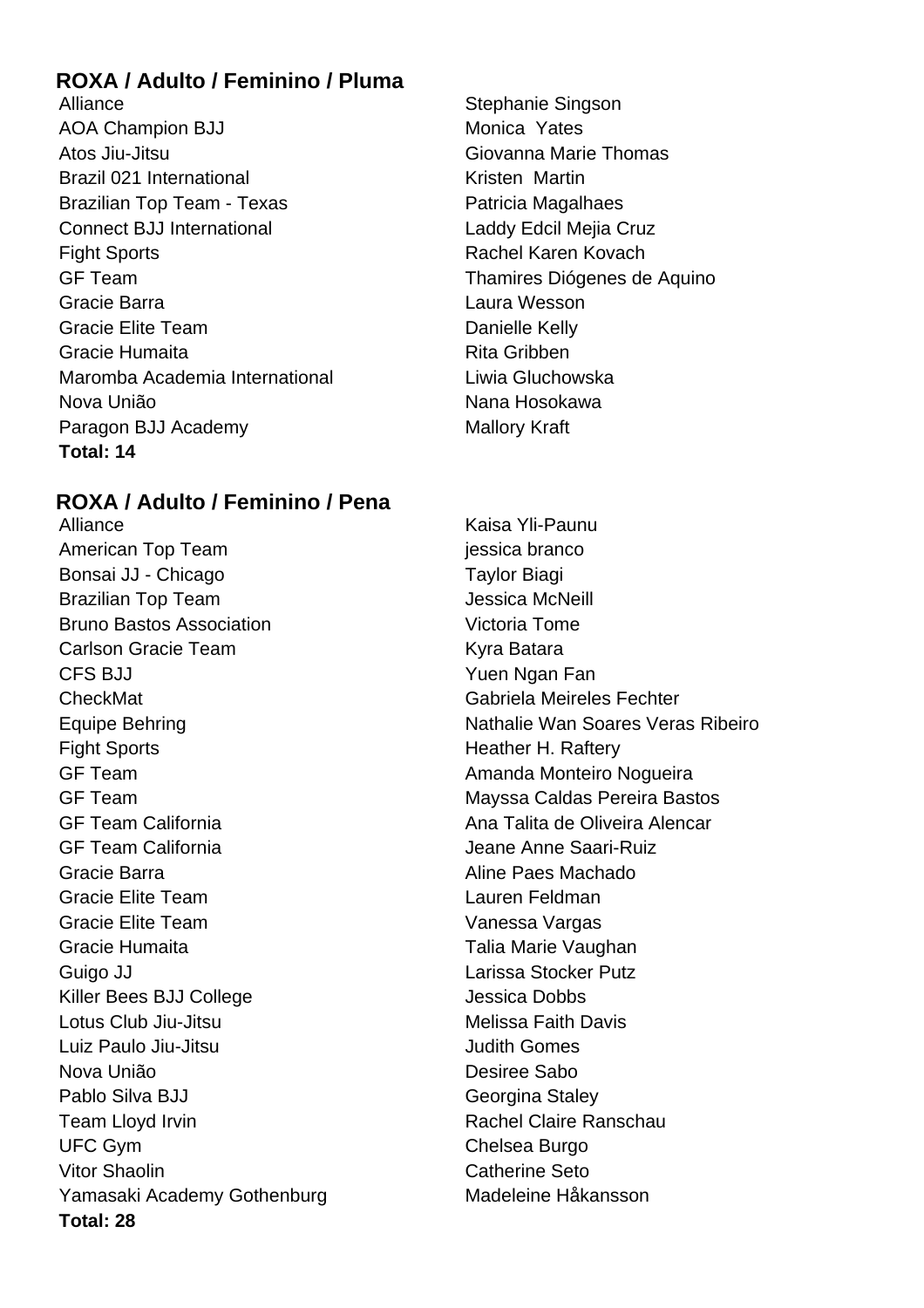# **ROXA / Adulto / Feminino / Pluma**

Alliance Stephanie Singson AOA Champion BJJ Monica Yates Atos Jiu-Jitsu Giovanna Marie Thomas Brazil 021 International **Example 2018** Kristen Martin Brazilian Top Team - Texas **Patricia Magalhaes** Connect BJJ International Laddy Edcil Mejia Cruz Fight Sports **Rachel Karen Kovach** GF Team Thamires Diógenes de Aquino Gracie Barra Laura Wesson Gracie Elite Team **Danielle Kelly** Gracie Humaita **Rita Gribben** Maromba Academia International **Liwia Gluchowska** Nova União Nana Hosokawa Paragon BJJ Academy Mallory Kraft **Total: 14**

# **ROXA / Adulto / Feminino / Pena**

Alliance **Kaisa Yli-Paunu** American Top Team jessica branco Bonsai JJ - Chicago Taylor Biagi Brazilian Top Team **Jessica McNeill** Bruno Bastos Association Victoria Tome Carlson Gracie Team North Carlson Batara CFS BJJ Yuen Ngan Fan CheckMat Gabriela Meireles Fechter Fight Sports **Heather H. Raftery** GF Team **Amanda Monteiro Nogueira** GF Team Mayssa Caldas Pereira Bastos GF Team California **Ana Talita de Oliveira Alencar** GF Team California Jeane Anne Saari-Ruiz Gracie Barra **Aline Paes Machado** Gracie Elite Team Lauren Feldman Gracie Elite Team Vanessa Vargas Gracie Humaita **Talia Marie Vaughan** Guigo JJ **Calculation Contract Contract Contract Contract Contract Contract Contract Contract Contract Contract Contract Contract Contract Contract Contract Contract Contract Contract Contract Contract Contract Contract Co** Killer Bees BJJ College Jessica Dobbs Lotus Club Jiu-Jitsu **Melissa Faith Davis** Luiz Paulo Jiu-Jitsu Judith Gomes Nova União **Nova União** Desiree Sabo Pablo Silva BJJ **Georgina** Staley Team Lloyd Irvin **Rachel Claire Ranschau** UFC Gym Chelsea Burgo Vitor Shaolin **Catherine Seto** Yamasaki Academy Gothenburg Madeleine Håkansson **Total: 28**

Equipe Behring Nathalie Wan Soares Veras Ribeiro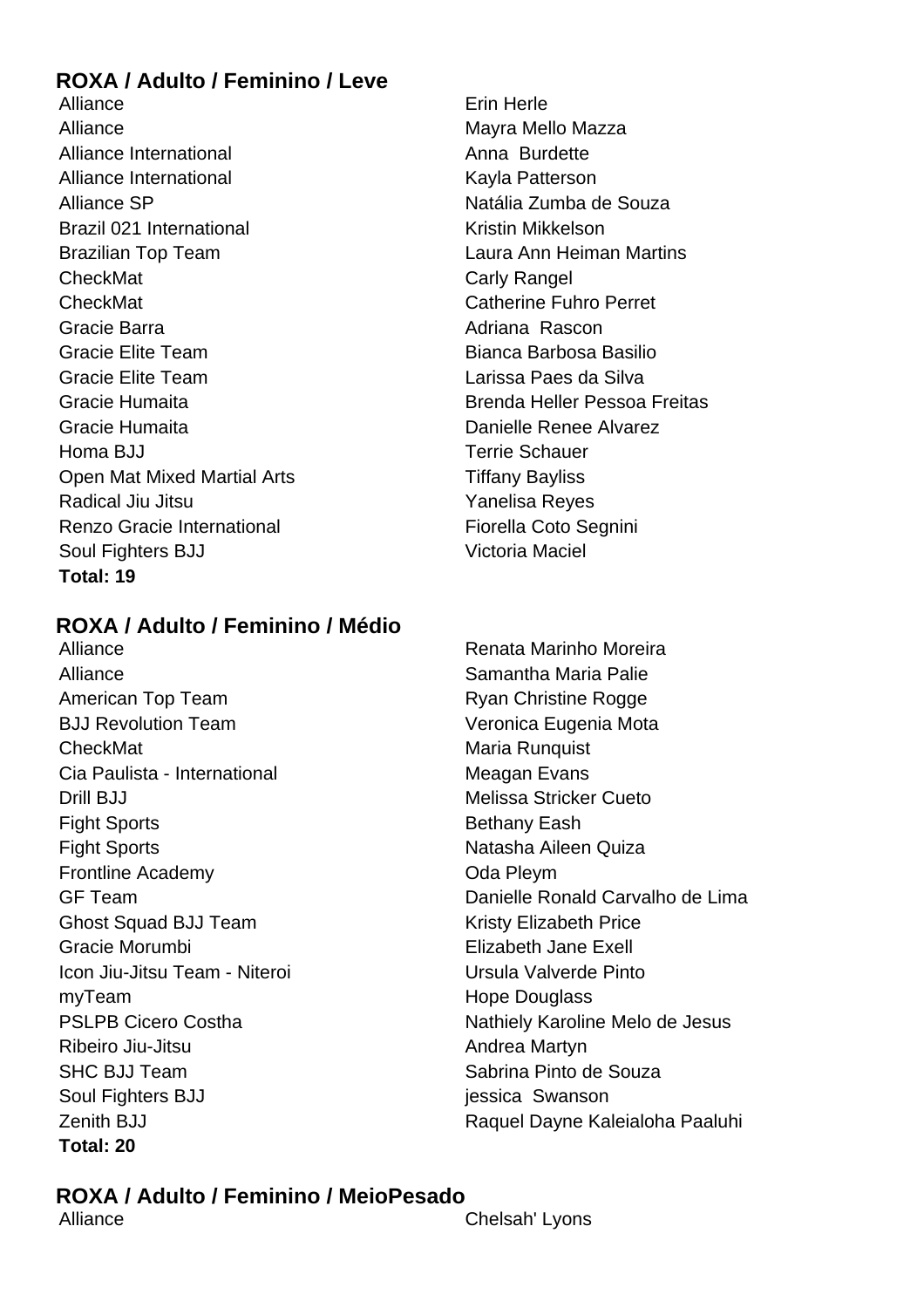# **ROXA / Adulto / Feminino / Leve**

Alliance **Example 2018** Erin Herle Alliance Mayra Mayra Mello Mazza Alliance International Alliance International Anna Burdette Alliance International New York Cayla Patterson Alliance SP Natália Zumba de Souza Brazil 021 International **Kristin Mikkelson** Brazilian Top Team Laura Ann Heiman Martins CheckMat CheckMat Carly Rangel CheckMat Catherine Fuhro Perret Gracie Barra **Adriana Rascon Adriana** Rascon Gracie Elite Team **Bianca Barbosa Basilio** Gracie Elite Team Larissa Paes da Silva Gracie Humaita Brenda Heller Pessoa Freitas Gracie Humaita **Danielle Renee Alvarez** Homa BJJ Terrie Schauer Open Mat Mixed Martial Arts **Tiffany Bayliss** Radical Jiu Jitsu **Xang Paradical Jiu Jitsu** Yanelisa Reyes Renzo Gracie International **Fiorella Coto Segnini** Soul Fighters BJJ Victoria Maciel **Total: 19**

# **ROXA / Adulto / Feminino / Médio**

Alliance Renata Marinho Moreira Alliance **Samantha Maria Palie** American Top Team **Ryan Christine Rogge** BJJ Revolution Team Veronica Eugenia Mota CheckMat Maria Runquist Cia Paulista - International **Meagan Evans Drill BJJ** Melissa Stricker Cueto Fight Sports **Bethany Eash** Fight Sports **Natasha Aileen Quiza** Frontline Academy **Constanting Constanting Constanting Constanting Constanting Constanting Constanting Constanting Constanting Constanting Constanting Constanting Constanting Constanting Constanting Constanting Constanting** Ghost Squad BJJ Team Kristy Elizabeth Price Gracie Morumbi Elizabeth Jane Exell Icon Jiu-Jitsu Team - Niteroi **Niteroi** Niteroi Ursula Valverde Pinto myTeam **Hope Douglass Hope Douglass** Ribeiro Jiu-Jitsu **Andrea Martyn** SHC BJJ Team SHC BJJ Team SHC BJJ Team Sabrina Pinto de Souza Soul Fighters BJJ jessica Swanson **Total: 20**

GF Team Danielle Ronald Carvalho de Lima PSLPB Cicero Costha Nathiely Karoline Melo de Jesus Zenith BJJ **Raquel Dayne Kaleialoha Paaluhi** 

# **ROXA / Adulto / Feminino / MeioPesado**

Alliance Chelsah' Lyons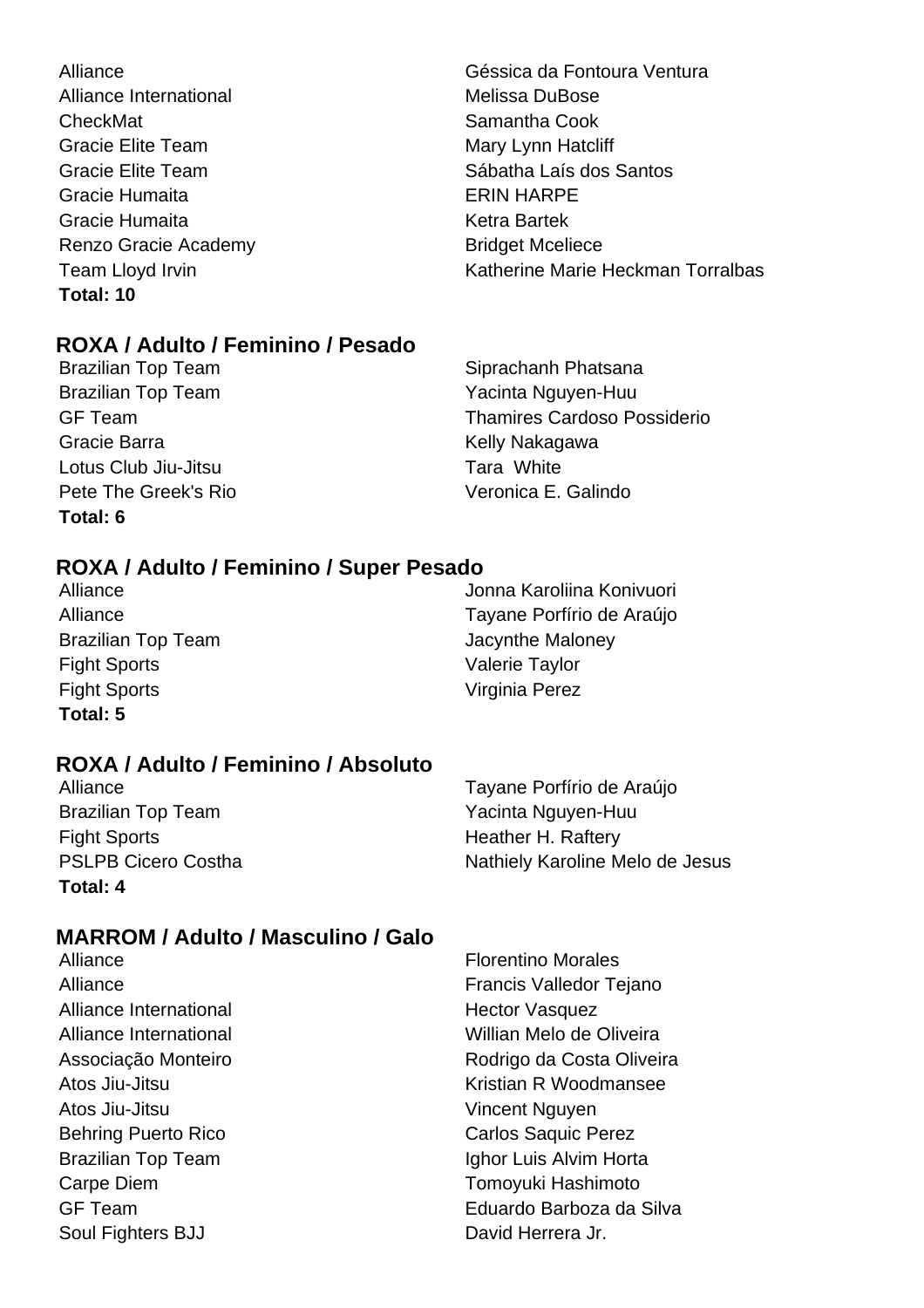Alliance Géssica da Fontoura Ventura Alliance International Melissa DuBose CheckMat Samantha Cook Gracie Elite Team Mary Lynn Hatcliff Gracie Humaita **ERIN HARPE** Gracie Humaita **Ketra Bartek** Ketra Bartek Renzo Gracie Academy **Bridget Mceliece Total: 10**

# **ROXA / Adulto / Feminino / Pesado**

Brazilian Top Team Yacinta Nguyen-Huu Gracie Barra **Kelly Nakagawa** Lotus Club Jiu-Jitsu **Tara White** Pete The Greek's Rio Veronica E. Galindo **Total: 6**

Gracie Elite Team Sábatha Laís dos Santos Team Lloyd Irvin **Team Lloyd Irvin Katherine Marie Heckman Torralbas** 

Brazilian Top Team Siprachanh Phatsana GF Team Thamires Cardoso Possiderio

# **ROXA / Adulto / Feminino / Super Pesado**

Brazilian Top Team **Jacynthe Maloney** Fight Sports Valerie Taylor Fight Sports Virginia Perez **Total: 5**

Alliance Jonna Karoliina Konivuori Alliance **Tayane Porfírio de Araújo** 

# **ROXA / Adulto / Feminino / Absoluto**

Brazilian Top Team Yacinta Nguyen-Huu Fight Sports **Heather H. Raftery Total: 4**

Alliance **Tayane Porfírio de Araújo** PSLPB Cicero Costha Nathiely Karoline Melo de Jesus

# **MARROM / Adulto / Masculino / Galo**

- Alliance **Francis Valledor Tejano** Alliance International Alliance International Alliance Business Hector Vasquez Alliance International Willian Melo de Oliveira Associação Monteiro **Rodrigo da Costa Oliveira** Atos Jiu-Jitsu **Kristian R** Woodmansee Atos Jiu-Jitsu **Vincent Nguyen** Behring Puerto Rico **Carlos Saquic Perez** Brazilian Top Team **Ighor Luis Alvim Horta** Carpe Diem **Tomoyuki Hashimoto** GF Team Eduardo Barboza da Silva Soul Fighters BJJ David Herrera Jr.
- Alliance **Florentino Morales**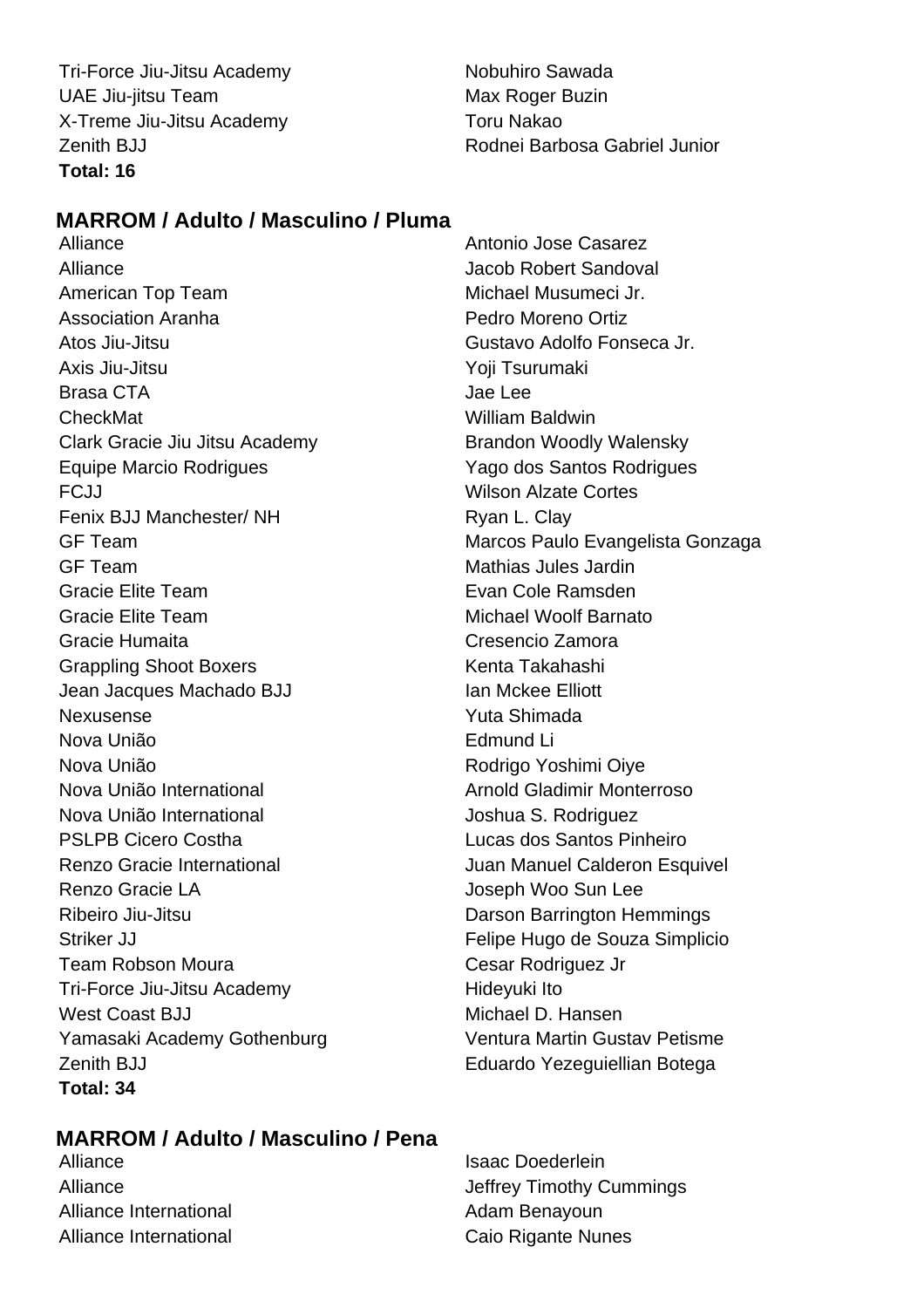Tri-Force Jiu-Jitsu Academy Nobuhiro Sawada UAE Jiu-jitsu Team Max Roger Buzin X-Treme Jiu-Jitsu Academy Toru Nakao **Total: 16**

# Zenith BJJ Rodnei Barbosa Gabriel Junior

# **MARROM / Adulto / Masculino / Pluma**

Alliance **Antonio Jose Casarez** Alliance Jacob Robert Sandoval American Top Team Michael Musumeci Jr. Association Aranha Pedro Moreno Ortiz Atos Jiu-Jitsu Gustavo Adolfo Fonseca Jr. Axis Jiu-Jitsu Yoji Tsurumaki Brasa CTA Jae Lee CheckMat William Baldwin Clark Gracie Jiu Jitsu Academy Brandon Woodly Walensky Equipe Marcio Rodrigues Yago dos Santos Rodrigues FCJJ Wilson Alzate Cortes Fenix BJJ Manchester/ NH Ryan L. Clay GF Team Marcos Paulo Evangelista Gonzaga GF Team **Mathias Jules Jardin** Gracie Elite Team **Evan Cole Ramsden** Gracie Elite Team Michael Woolf Barnato Gracie Humaita Cresencio Zamora Grappling Shoot Boxers **Kenta Takahashi** Jean Jacques Machado BJJ **Ian Mckee Elliott** Nexusense Yuta Shimada Nova União Edmund Li Nova União **Nova União** Rodrigo Yoshimi Oiye Nova União International **Arnold Gladimir Monterroso** Nova União International Joshua S. Rodriguez PSLPB Cicero Costha **Lucas dos Santos Pinheiro** Renzo Gracie International **Network** Juan Manuel Calderon Esquivel Renzo Gracie LA **International Contract Contract Contract Contract Contract Contract Contract Contract Contract Contract Contract Contract Contract Contract Contract Contract Contract Contract Contract Contract Contract Co** Ribeiro Jiu-Jitsu **Darson Barrington Hemmings** Striker JJ Felipe Hugo de Souza Simplicio Team Robson Moura **Cesar Rodriguez** Jr Tri-Force Jiu-Jitsu Academy Hideyuki Ito West Coast BJJ Michael D. Hansen Yamasaki Academy Gothenburg Ventura Martin Gustav Petisme Zenith BJJ Eduardo Yezeguiellian Botega **Total: 34**

# **MARROM / Adulto / Masculino / Pena**

Alliance **Islaming** Isaac Doederlein Alliance International and a series and adam Benayoun Alliance International **Caio Rigante Nunes** 

Alliance Jeffrey Timothy Cummings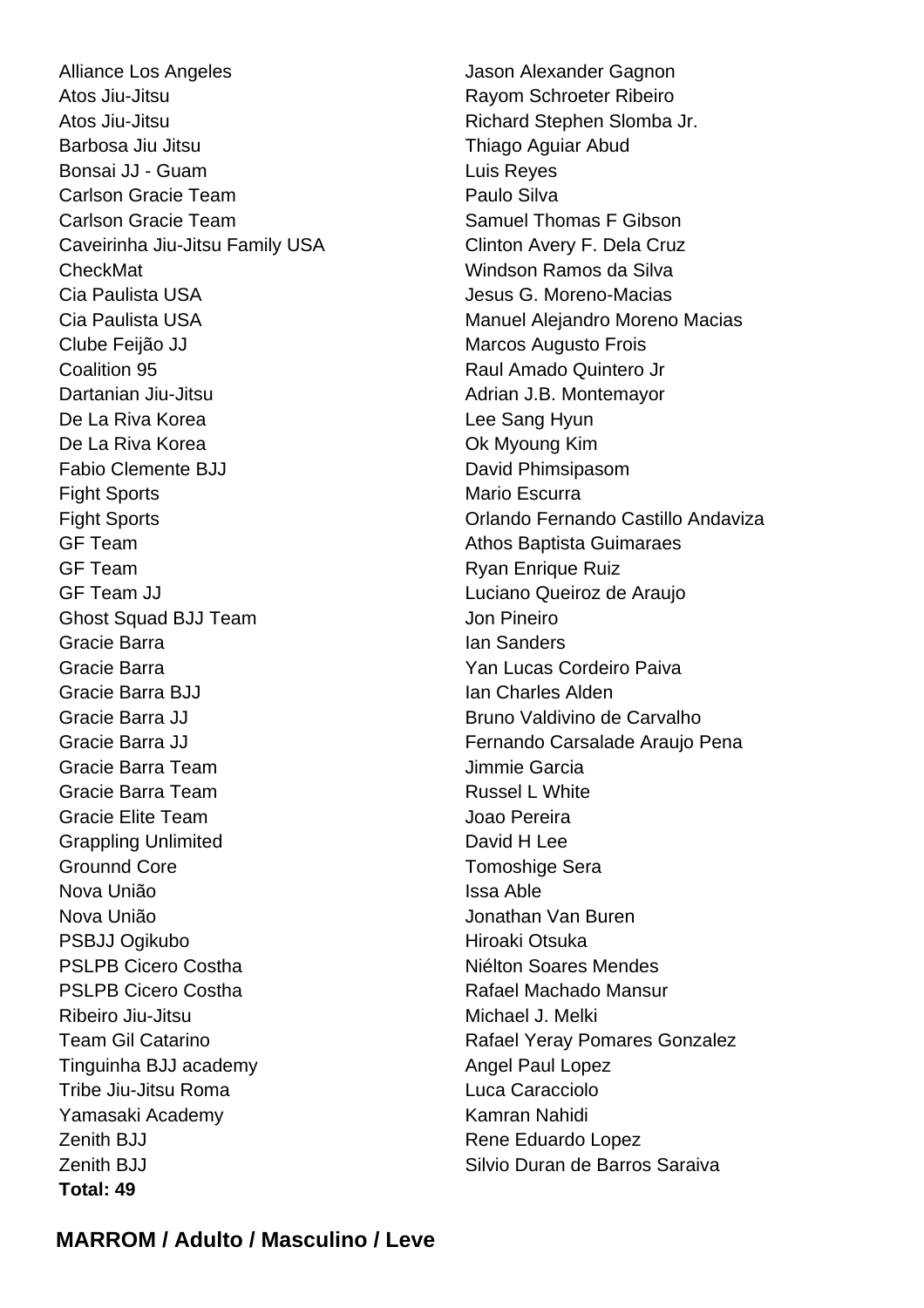Alliance Los Angeles **Jason Alexander Gagnon** Atos Jiu-Jitsu Rayom Schroeter Ribeiro Atos Jiu-Jitsu **Richard Stephen Slomba Jr.** Richard Stephen Slomba Jr. Barbosa Jiu Jitsu **Thiago Aguiar Abud** Bonsai JJ - Guam Luis Reyes Carlson Gracie Team **Paulo Silva** Carlson Gracie Team Samuel Thomas F Gibson Caveirinha Jiu-Jitsu Family USA Clinton Avery F. Dela Cruz CheckMat Windson Ramos da Silva Cia Paulista USA Jesus G. Moreno-Macias Clube Feijão JJ Marcos Augusto Frois Coalition 95 Raul Amado Quintero Jr Dartanian Jiu-Jitsu Adrian J.B. Montemayor De La Riva Korea **Lee Sang Hyun** De La Riva Korea **Ok Myoung Kim** Fabio Clemente BJJ David Phimsipasom Fight Sports **Mario Escurra** GF Team Athos Baptista Guimaraes GF Team **Ryan Enrique Ruiz** GF Team JJ Luciano Queiroz de Araujo Ghost Squad BJJ Team Jon Pineiro Gracie Barra **Ian Sanders** Gracie Barra Yan Lucas Cordeiro Paiva Gracie Barra BJJ **Ian Charles Alden** Gracie Barra JJ Bruno Valdivino de Carvalho Gracie Barra Team **Jimmie Garcia** Gracie Barra Team **Russel L White** Gracie Elite Team Joao Pereira Grappling Unlimited David H Lee Grounnd Core **Tomoshige** Sera Nova União **Issa Able** Nova União Jonathan Van Buren PSBJJ Ogikubo Hiroaki Otsuka PSLPB Cicero Costha Niélton Soares Mendes PSI PB Cicero Costha **Rafael Machado Mansur** Ribeiro Jiu-Jitsu **Michael J. Melki** Tinguinha BJJ academy Angel Paul Lopez Tribe Jiu-Jitsu Roma Luca Caracciolo Yamasaki Academy **Kamran Nahidi** Kamran Nahidi **Zenith BJJ Rene Eduardo Lopez** Zenith BJJ Silvio Duran de Barros Saraiva **Total: 49**

Cia Paulista USA Manuel Alejandro Moreno Macias Fight Sports Orlando Fernando Castillo Andaviza Gracie Barra JJ **Fernando Carsalade Araujo Pena** Team Gil Catarino **Team Gil Catarino Rafael Yeray Pomares Gonzalez** 

# **MARROM / Adulto / Masculino / Leve**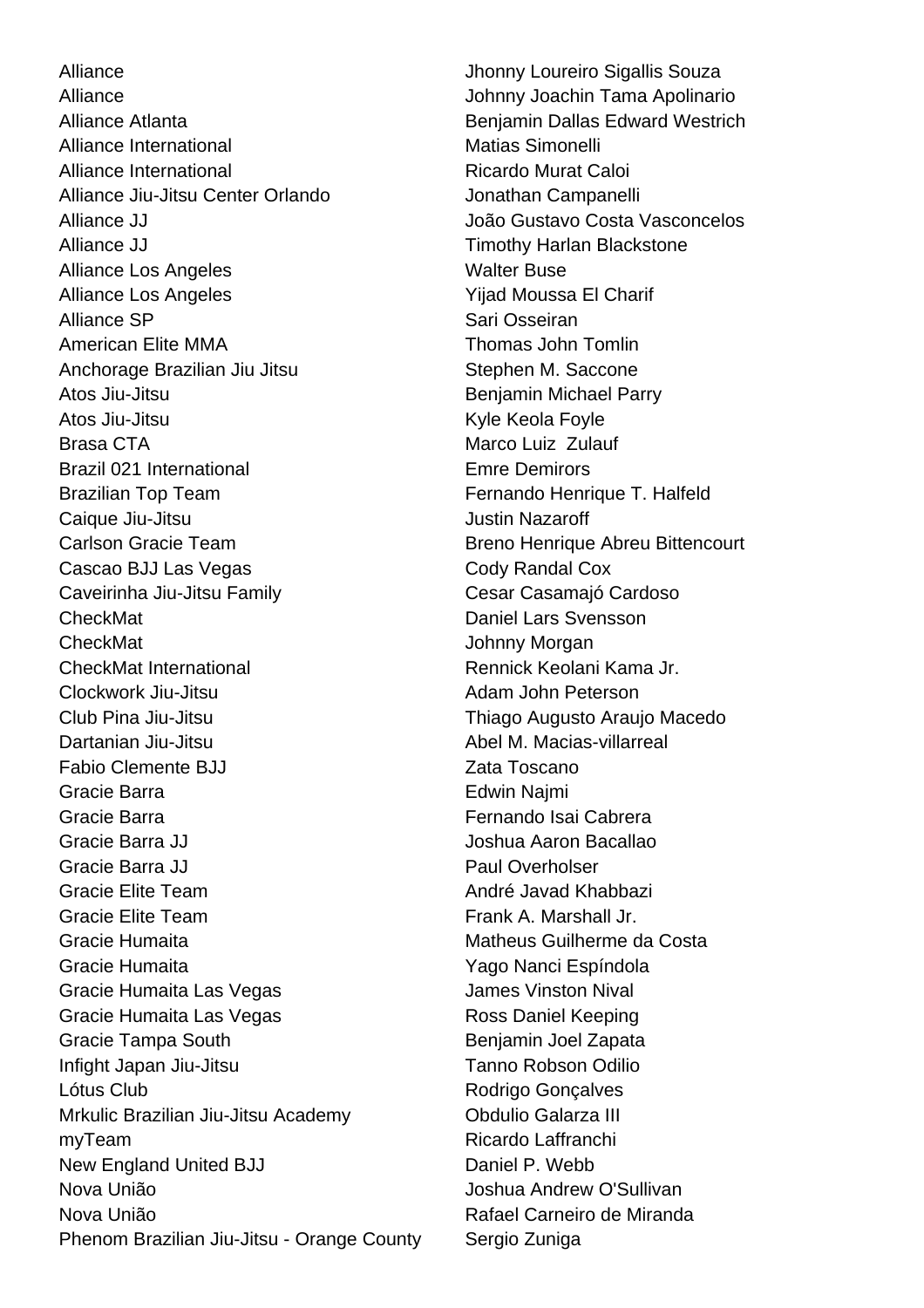Alliance **Alliance** Jhonny Loureiro Sigallis Souza Alliance **Alliance** Johnny Joachin Tama Apolinario Alliance Atlanta **Benjamin Dallas Edward Westrich** Alliance International Matias Simonelli Alliance International **Ricardo Murat Caloi** Alliance Jiu-Jitsu Center Orlando **Jonathan Campanelli** Alliance JJ **Alliance JJ** Alliance JJ **Alliance JJ** João Gustavo Costa Vasconcelos Alliance JJ **Timothy Harlan Blackstone** Alliance Los Angeles New York Walter Buse Alliance Los Angeles Yijad Moussa El Charif Alliance SP Sari Osseiran American Elite MMA Thomas John Tomlin Anchorage Brazilian Jiu Jitsu Stephen M. Saccone Atos Jiu-Jitsu **Benjamin Michael Parry** Benjamin Michael Parry Atos Jiu-Jitsu **Kyle Keola Foyle** Kyle Keola Foyle Brasa CTA **Marco Luiz Zulauf** Marco Luiz Zulauf Brazil 021 International **Emre Demirors** Brazilian Top Team Fernando Henrique T. Halfeld Caique Jiu-Jitsu **Justin Nazaroff** Carlson Gracie Team **Breno Henrique Abreu Bittencourt** Cascao BJJ Las Vegas Cody Randal Cox Caveirinha Jiu-Jitsu Family Cesar Casamajó Cardoso **CheckMat Daniel Lars Svensson** CheckMat **CheckMat** Johnny Morgan CheckMat International **Rennick Keolani Kama Jr.** Rennick Keolani Kama Jr. Clockwork Jiu-Jitsu **Adam John Peterson** Club Pina Jiu-Jitsu Thiago Augusto Araujo Macedo Dartanian Jiu-Jitsu Abel M. Macias-villarreal Fabio Clemente BJJ **Zata Toscano** Gracie Barra **Edwin Najmi** Edwin Najmi Gracie Barra Fernando Isai Cabrera Gracie Barra JJ Joshua Aaron Bacallao Gracie Barra JJ Paul Overholser Gracie Elite Team **André Javad Khabbazi** Gracie Elite Team **Frank A. Marshall Jr. Gracie** Elite Team Gracie Humaita **Matheus Guilherme da Costa** Gracie Humaita Yago Nanci Espíndola Gracie Humaita Las Vegas **James Vinston Nival** Gracie Humaita Las Vegas **Ross Daniel Keeping** Gracie Tampa South Benjamin Joel Zapata Infight Japan Jiu-Jitsu Tanno Robson Odilio Lótus Club **Club** Rodrigo Gonçalves Mrkulic Brazilian Jiu-Jitsu Academy **Canadia Constants Contains Calarza III** myTeam Ricardo Laffranchi New England United BJJ Daniel P. Webb Nova União Joshua Andrew O'Sullivan Nova União **Nova União** Rafael Carneiro de Miranda Phenom Brazilian Jiu-Jitsu - Orange County Sergio Zuniga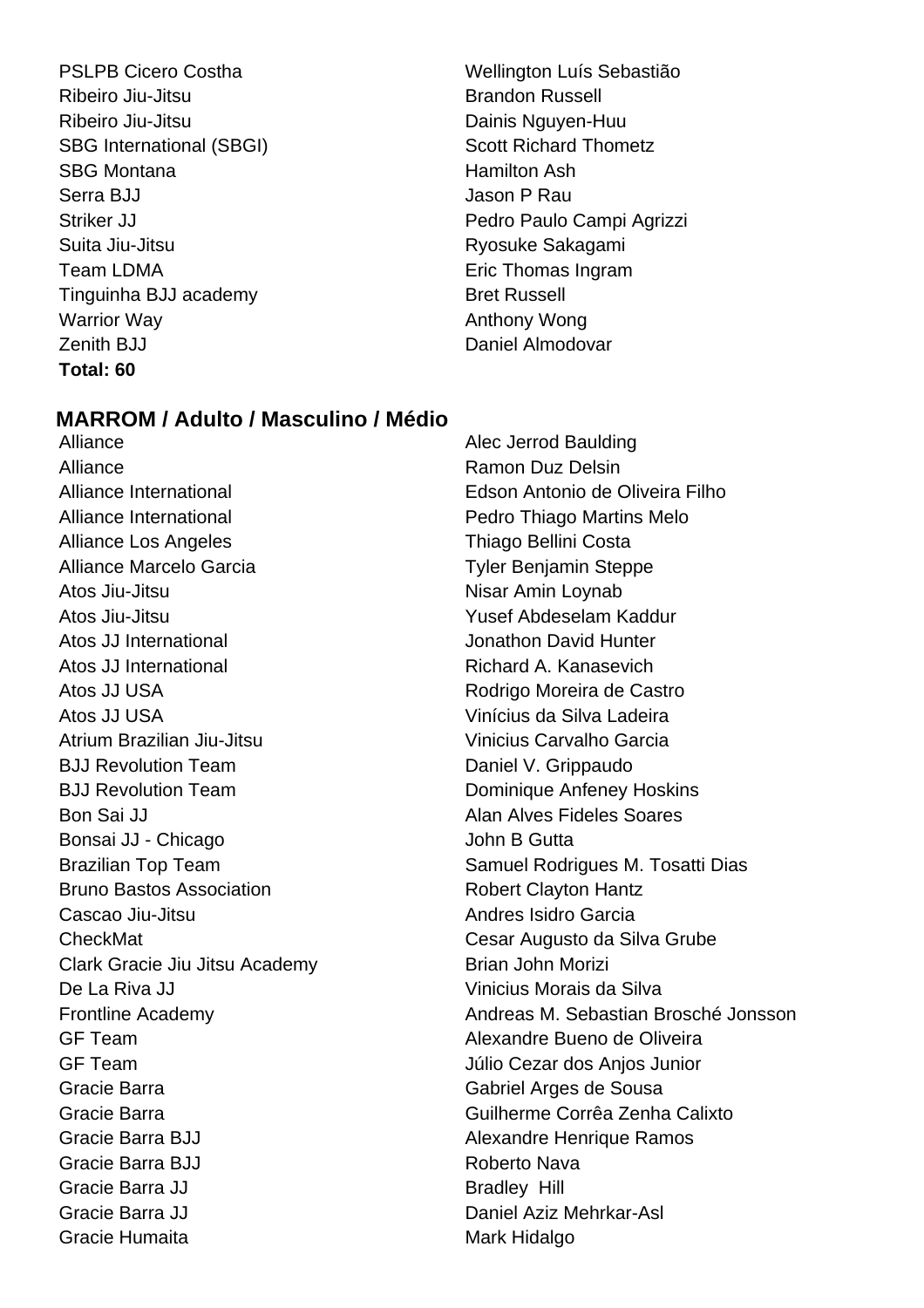- PSLPB Cicero Costha Wellington Luís Sebastião Ribeiro Jiu-Jitsu **Brandon Russell** Ribeiro Jiu-Jitsu **Dainis Nguyen-Huu** SBG International (SBGI) SECTED SCOTT Richard Thometz SBG Montana **Hamilton Ash** Serra BJJ Jason P Rau Suita Jiu-Jitsu **Ryosuke Sakagami** Team LDMA **Example 2** Eric Thomas Ingram Tinguinha BJJ academy Bret Russell Warrior Way **Anthony Wong Anthony Wong** Zenith BJJ Daniel Almodovar **Total: 60**
- Striker JJ **Pedro Paulo Campi Agrizzi**

### **MARROM / Adulto / Masculino / Médio**

Alliance Alliance Alec Jerrod Baulding Alliance **Ramon Duz Delsin** Alliance International Edson Antonio de Oliveira Filho Alliance International Pedro Thiago Martins Melo Alliance Los Angeles **Thiago Bellini** Costa Alliance Marcelo Garcia **Tyler Benjamin Steppe** Atos Jiu-Jitsu **Nisar Amin Loynab** Atos Jiu-Jitsu Yusef Abdeselam Kaddur Atos JJ International **Atos** Jonathon David Hunter Atos JJ International **Richard A. Kanasevich** Atos JJ USA **Rodrigo Moreira de Castro** Atos JJ USA Vinícius da Silva Ladeira Atrium Brazilian Jiu-Jitsu Vinicius Carvalho Garcia BJJ Revolution Team Daniel V. Grippaudo BJJ Revolution Team **Dominique Anfeney Hoskins** Bon Sai JJ **Alan Alves Fideles Soares** Bonsai JJ - Chicago John B Gutta Bruno Bastos Association **Robert Clayton Hantz** Cascao Jiu-Jitsu **Andres Isidro Garcia** CheckMat Cesar Augusto da Silva Grube Clark Gracie Jiu Jitsu Academy Brian John Morizi De La Riva JJ Vinicius Morais da Silva GF Team Alexandre Bueno de Oliveira GF Team Júlio Cezar dos Anjos Junior Gracie Barra Gabriel Arges de Sousa Gracie Barra Guilherme Corrêa Zenha Calixto Gracie Barra BJJ **Alexandre Henrique Ramos** Gracie Barra BJJ **Roberto Nava** Gracie Barra JJ Bradley Hill Gracie Barra JJ **Daniel Aziz Mehrkar-Asl** Gracie Humaita **Mark Hidalgo** Mark Hidalgo

Brazilian Top Team Samuel Rodrigues M. Tosatti Dias Frontline Academy **Andreas M. Sebastian Brosché Jonsson**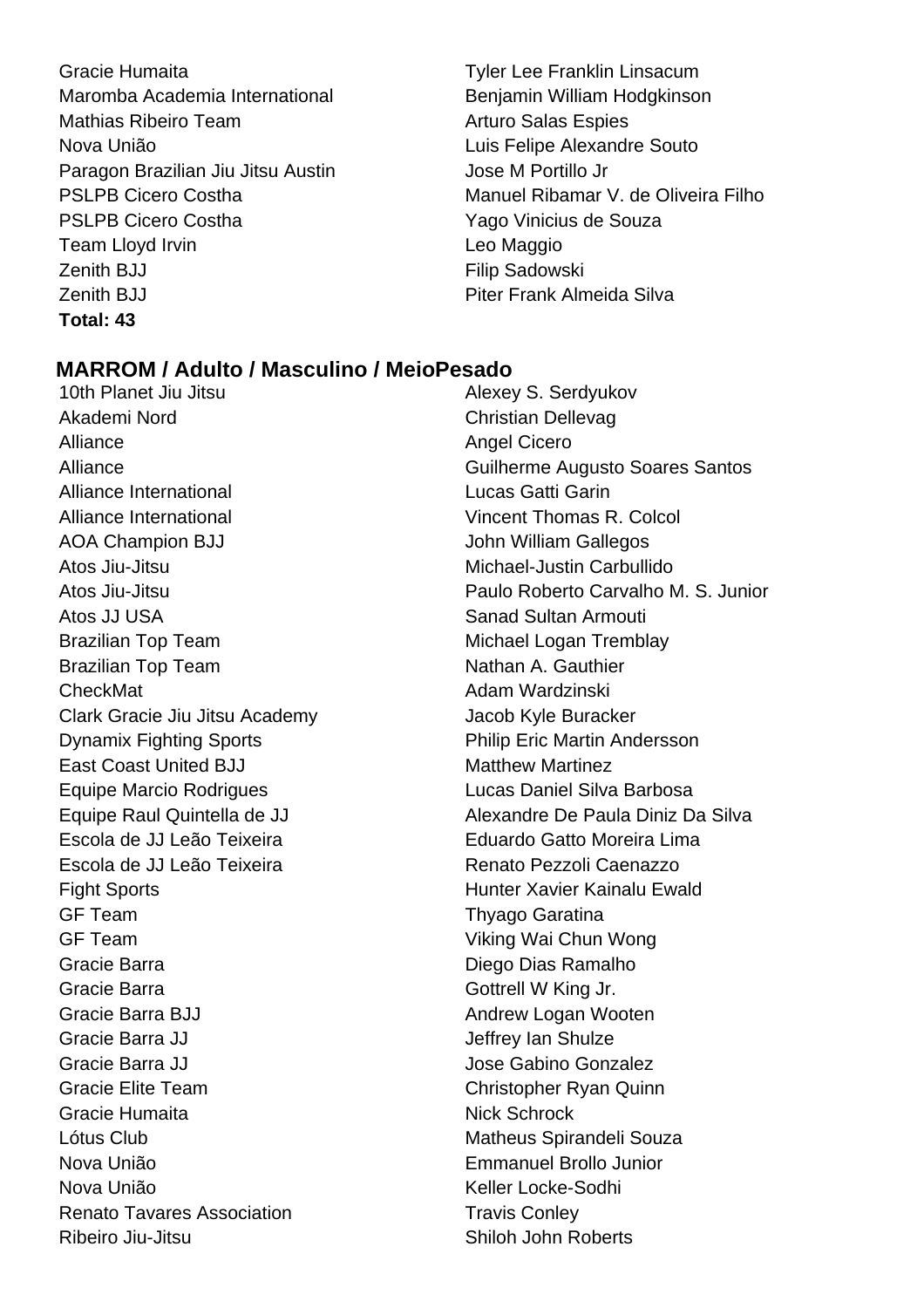Gracie Humaita **Tyler Lee Franklin Linsacum** Maromba Academia International **Benjamin William Hodgkinson** Mathias Ribeiro Team Arturo Salas Espies Nova União Luis Felipe Alexandre Souto Paragon Brazilian Jiu Jitsu Austin Jose M Portillo Jr PSLPB Cicero Costha Yago Vinicius de Souza Team Lloyd Irvin **Leo Maggio** Zenith BJJ **Filip Sadowski** Zenith BJJ **Piter Frank Almeida Silva Total: 43**

PSLPB Cicero Costha **Manuel Ribamar V. de Oliveira Filho** 

### **MARROM / Adulto / Masculino / MeioPesado**

10th Planet Jiu Jitsu **Alexey S. Serdyukov** Akademi Nord **Christian Dellevag** Alliance Alliance Angel Cicero Alliance International Lucas Gatti Garin Alliance International Vincent Thomas R. Colcol AOA Champion BJJ John William Gallegos Atos Jiu-Jitsu Michael-Justin Carbullido Atos JJ USA Sanad Sultan Armouti Brazilian Top Team Michael Logan Tremblay Brazilian Top Team Nathan A. Gauthier CheckMat Adam Wardzinski Clark Gracie Jiu Jitsu Academy Jacob Kyle Buracker Dynamix Fighting Sports Philip Eric Martin Andersson **East Coast United BJJ** Matthew Martinez Equipe Marcio Rodrigues Lucas Daniel Silva Barbosa Escola de JJ Leão Teixeira Eduardo Gatto Moreira Lima Escola de JJ Leão Teixeira  $\overline{\phantom{a}}$  Renato Pezzoli Caenazzo Fight Sports **Hunter Xavier Kainalu Ewald** GF Team Thyago Garatina GF Team Viking Wai Chun Wong Gracie Barra **Diego Dias Ramalho** Gracie Barra Gottrell W King Jr. Gracie Barra BJJ **Andrew Logan Wooten** Gracie Barra JJ **Gracia** Shulze Gracie Barra JJ **Gracie Barra Jose Gabino Gonzalez** Gracie Elite Team Christopher Ryan Quinn Gracie Humaita Nick Schrock Lótus Club Matheus Spirandeli Souza Nova União Emmanuel Brollo Junior Nova União **Keller Locke-Sodhi** Renato Tavares Association Travis Conley Ribeiro Jiu-Jitsu Shiloh John Roberts

Alliance Guilherme Augusto Soares Santos Atos Jiu-Jitsu Paulo Roberto Carvalho M. S. Junior Equipe Raul Quintella de JJ Alexandre De Paula Diniz Da Silva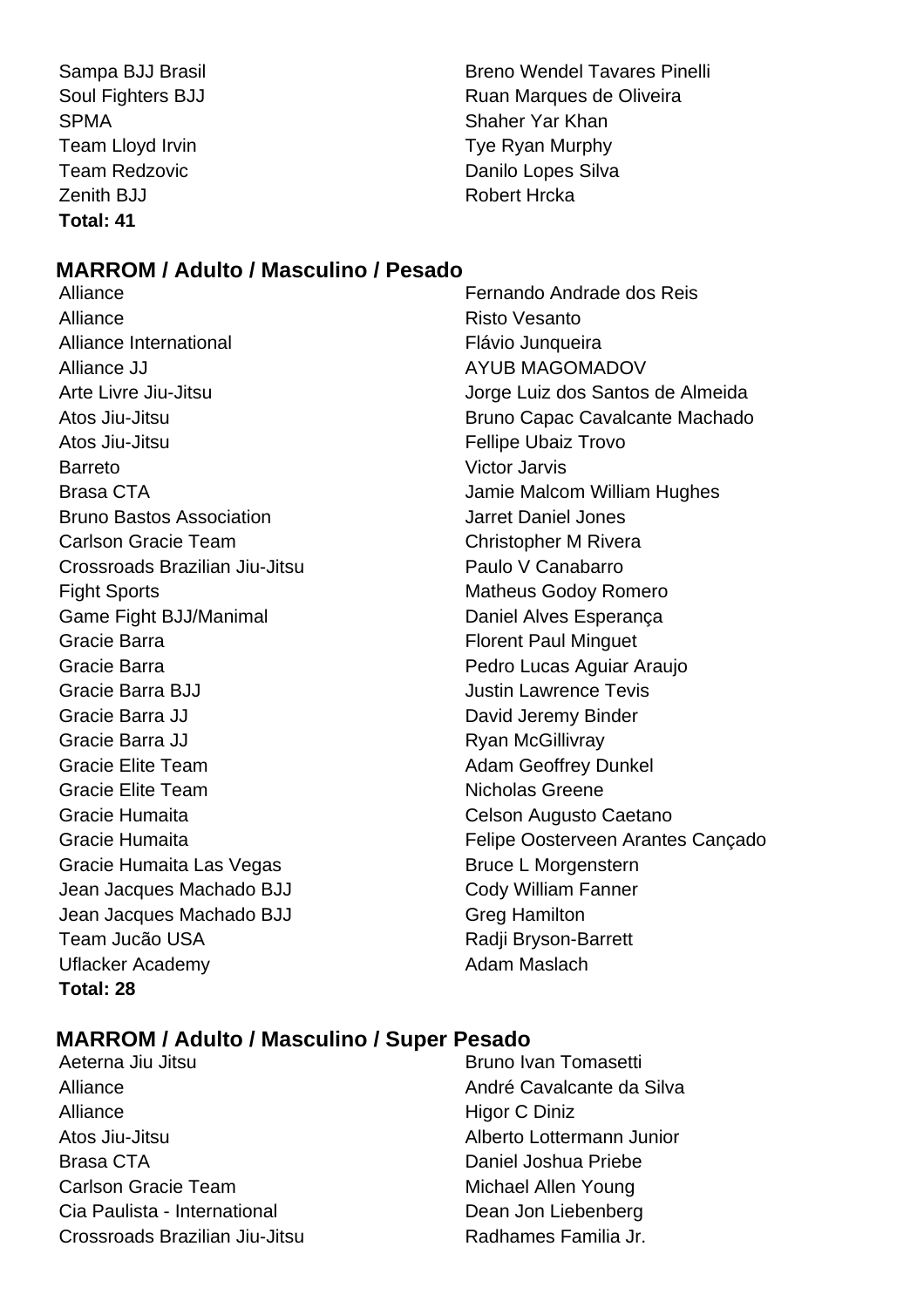SPMA SPMA Shaher Yar Khan Team Lloyd Irvin Team Cloud Irvin Tye Ryan Murphy Zenith BJJ Robert Hrcka **Total: 41**

Sampa BJJ Brasil Breno Wendel Tavares Pinelli Soul Fighters BJJ Ruan Marques de Oliveira Team Redzovic **Danilo Lopes** Silva

# **MARROM / Adulto / Masculino / Pesado**

Alliance Risto Vesanto Alliance International **Flávio** Junqueira Alliance JJ AYUB MAGOMADOV Atos Jiu-Jitsu **Fellipe Ubaiz Trovo** Barreto Victor Jarvis Brasa CTA Jamie Malcom William Hughes Bruno Bastos Association Jarret Daniel Jones Carlson Gracie Team Christopher M Rivera Crossroads Brazilian Jiu-Jitsu **Paulo V Canabarro** Fight Sports **Matheus Godov Romero** Matheus Godov Romero Game Fight BJJ/Manimal Daniel Alves Esperança Gracie Barra **Florent Paul Minguet Florent Paul Minguet** Gracie Barra **Pedro Lucas Aguiar Araujo** Pedro Lucas Aguiar Araujo Gracie Barra BJJ **Gracie Barra BJJ** Gracie Barra JJ **David Jeremy Binder** Gracie Barra JJ **Ryan McGillivray** Gracie Elite Team **Adam Geoffrey Dunkel** Gracie Elite Team Nicholas Greene Gracie Humaita Celson Augusto Caetano Gracie Humaita Las Vegas Bruce L Morgenstern Jean Jacques Machado BJJ Cody William Fanner Jean Jacques Machado BJJ Greg Hamilton Team Jucão USA Radji Bryson-Barrett Uflacker Academy **Adam Maslach** Adam Maslach **Total: 28**

Alliance Fernando Andrade dos Reis Arte Livre Jiu-Jitsu Jorge Luiz dos Santos de Almeida Atos Jiu-Jitsu Bruno Capac Cavalcante Machado Gracie Humaita Felipe Oosterveen Arantes Cançado

# **MARROM / Adulto / Masculino / Super Pesado**

- Alliance André Cavalcante da Silva Alliance Higor C Diniz Atos Jiu-Jitsu Alberto Lottermann Junior Brasa CTA **Daniel Joshua Priebe Carlson Gracie Team Michael Allen Young** Cia Paulista - International **Dean Jon Liebenberg** Crossroads Brazilian Jiu-Jitsu Radhames Familia Jr.
- Aeterna Jiu Jitsu **Bruno Ivan Tomasetti**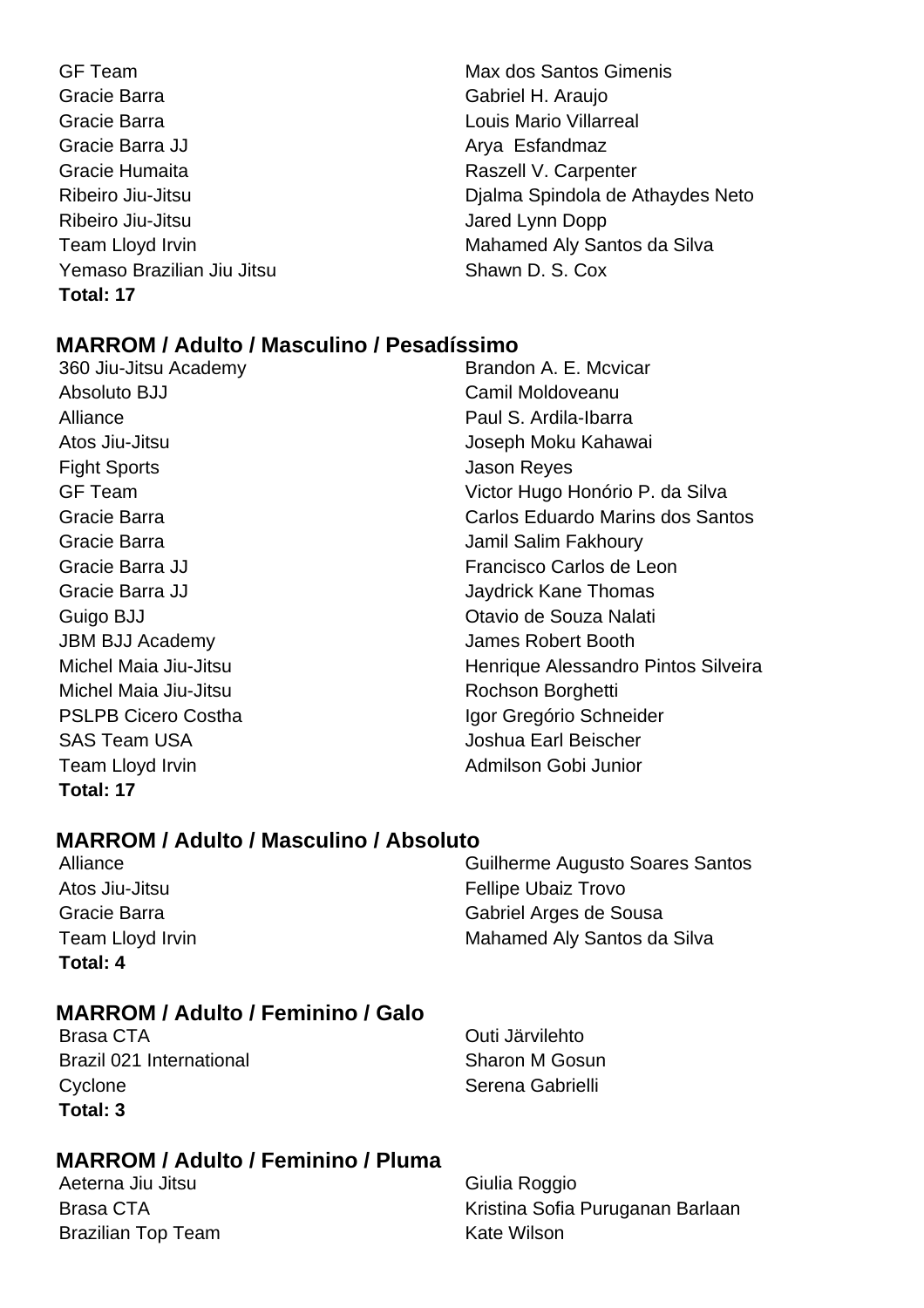- GF Team Max dos Santos Gimenis Gracie Barra Gabriel H. Araujo Gracie Barra **Carra Louis Mario Villarreal** Gracie Barra JJ Arya Esfandmaz Gracie Humaita **Raszell V. Carpenter** Ribeiro Jiu-Jitsu Jared Lynn Dopp Yemaso Brazilian Jiu Jitsu Shawn D. S. Cox **Total: 17**
- Ribeiro Jiu-Jitsu **Dialma Spindola de Athaydes Neto** Team Lloyd Irvin **Mahamed Aly Santos da Silva**

# **MARROM / Adulto / Masculino / Pesadíssimo**

- 360 Jiu-Jitsu Academy Absoluto BJJ Camil Moldoveanu Alliance **Paul S. Ardila-Ibarra** Fight Sports **Contract Contract Sports** Jason Reyes Gracie Barra **Jamil Salim Fakhoury** Jamil Salim Fakhoury JBM BJJ Academy James Robert Booth Michel Maia Jiu-Jitsu **Rochson Borghetti** SAS Team USA Joshua Earl Beischer Team Lloyd Irvin **Admiltion** Cobi Junior **Total: 17**
- Atos Jiu-Jitsu **Joseph Moku Kahawai** GF Team Victor Hugo Honório P. da Silva Gracie Barra Carlos Eduardo Marins dos Santos Gracie Barra JJ Francisco Carlos de Leon Gracie Barra JJ **Gracia** Christian Mateural Annual Mateural Davidrick Kane Thomas Guigo BJJ Otavio de Souza Nalati Michel Maia Jiu-Jitsu **Michel Maia Jiu-Jitsu** Henrique Alessandro Pintos Silveira PSLPB Cicero Costha Igor Gregório Schneider

# **MARROM / Adulto / Masculino / Absoluto**

**Total: 4**

Alliance Guilherme Augusto Soares Santos Atos Jiu-Jitsu **Fellipe Ubaiz Trovo** Gracie Barra Gabriel Arges de Sousa Team Lloyd Irvin **Mahamed Aly Santos da Silva** 

# **MARROM / Adulto / Feminino / Galo**

Brasa CTA Outi Järvilehto Brazil 021 International Sharon M Gosun Cyclone **Serena Gabrielli Total: 3**

# **MARROM / Adulto / Feminino / Pluma**

Aeterna Jiu Jitsu **Giulia Roggio** Brazilian Top Team New York Cate Wilson

Brasa CTA Kristina Sofia Puruganan Barlaan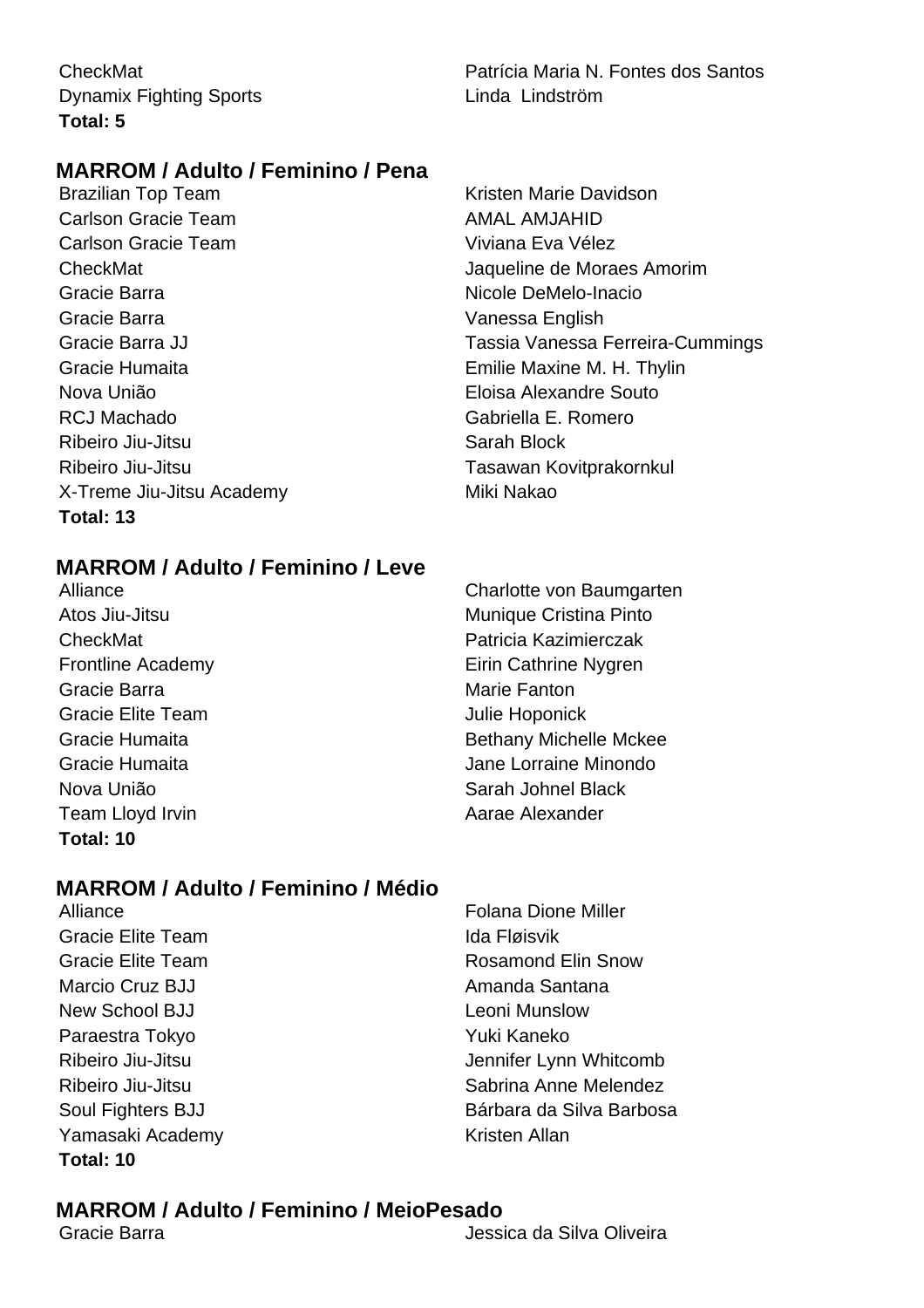Dynamix Fighting Sports **Linda Linda Lindström Total: 5**

CheckMat Patrícia Maria N. Fontes dos Santos

# **MARROM / Adulto / Feminino / Pena**

Brazilian Top Team **Kristen Marie Davidson** Carlson Gracie Team AMAL AMAL AMJAHID Carlson Gracie Team Viviana Eva Vélez Gracie Barra Nicole DeMelo-Inacio Gracie Barra **Vanessa English** Gracie Humaita Emilie Maxine M. H. Thylin Nova União Eloisa Alexandre Souto RCJ Machado **Gabriella E. Romero** Ribeiro Jiu-Jitsu **Sarah Block** Ribeiro Jiu-Jitsu Tasawan Kovitprakornkul X-Treme Jiu-Jitsu Academy Miki Nakao **Total: 13**

CheckMat Jaqueline de Moraes Amorim Gracie Barra JJ Tassia Vanessa Ferreira-Cummings

# **MARROM / Adulto / Feminino / Leve**

Alliance Charlotte von Baumgarten Gracie Barra **Marie Fanton** Marie Fanton Gracie Elite Team Julie Hoponick Team Lloyd Irvin **Aarae Alexander Total: 10**

# **MARROM / Adulto / Feminino / Médio**

Gracie Elite Team **Ida Fløisvik** Marcio Cruz BJJ Amanda Santana New School BJJ New School BJJ Paraestra Tokyo Yuki Kaneko Yamasaki Academy **Kristen Allan Total: 10**

Atos Jiu-Jitsu **Munique Cristina Pinto** Munique Cristina Pinto CheckMat Patricia Kazimierczak Frontline Academy **Eirin Cathrine Nygren** Gracie Humaita **Bethany Michelle Mckee** Gracie Humaita Jane Lorraine Minondo Nova União **Nova União** e a constructiva e Sarah Johnel Black

Alliance Folana Dione Miller Gracie Elite Team **Rosamond Elin Snow** Ribeiro Jiu-Jitsu Jennifer Lynn Whitcomb Ribeiro Jiu-Jitsu Sabrina Anne Melendez Soul Fighters BJJ Bárbara da Silva Barbosa

# **MARROM / Adulto / Feminino / MeioPesado**

Gracie Barra Jessica da Silva Oliveira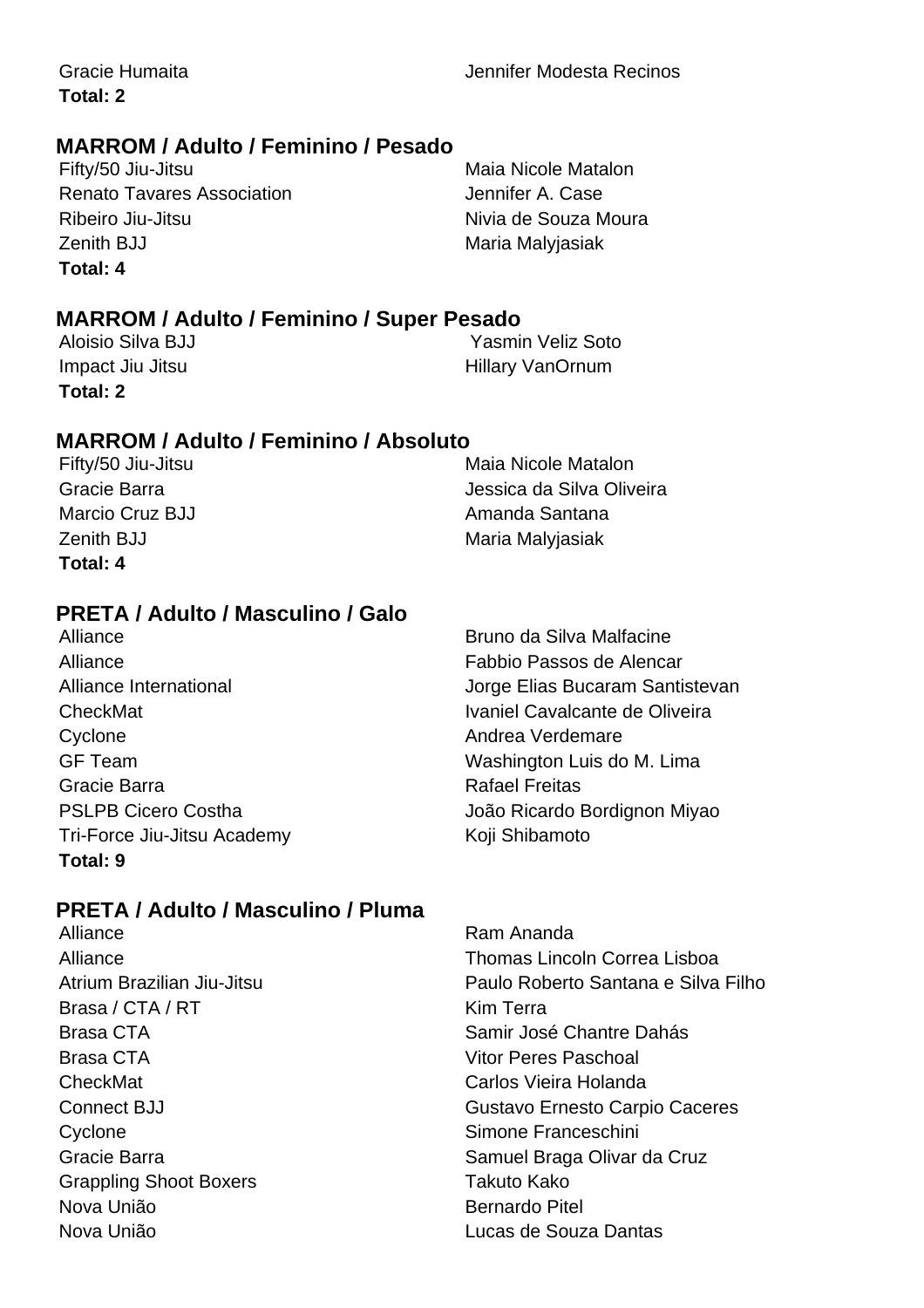**Total: 2**

# **MARROM / Adulto / Feminino / Pesado**

Fifty/50 Jiu-Jitsu **Maia Nicole Matalon** Renato Tavares Association **Fig. 10.13 Features** Jennifer A. Case Ribeiro Jiu-Jitsu **Nivia de Souza Moura** Zenith BJJ Maria Malyjasiak **Total: 4**

# **MARROM / Adulto / Feminino / Super Pesado**

**Total: 2**

Aloisio Silva BJJ **Xasmin Veliz Soto** Impact Jiu Jitsu **Hillary VanOrnum** 

# **MARROM / Adulto / Feminino / Absoluto**

Fifty/50 Jiu-Jitsu **Maia Nicole Matalon** Gracie Barra Jessica da Silva Oliveira Marcio Cruz BJJ **Amanda Santana** Zenith BJJ Maria Malyjasiak **Total: 4**

# **PRETA / Adulto / Masculino / Galo**

Alliance Bruno da Silva Malfacine Alliance Fabbio Passos de Alencar Cyclone **Andrea Verdemare** Gracie Barra **Rafael Freitas** Rafael Freitas Tri-Force Jiu-Jitsu Academy Koji Shibamoto **Total: 9**

# **PRETA / Adulto / Masculino / Pluma**

Brasa / CTA / RT Kim Terra Brasa CTA Vitor Peres Paschoal CheckMat Carlos Vieira Holanda Cyclone **Simone Franceschini** Grappling Shoot Boxers Takuto Kako Nova União **Bernardo Pitel** Nova União Lucas de Souza Dantas

Alliance International Jorge Elias Bucaram Santistevan CheckMat **Ivaniel Cavalcante de Oliveira** GF Team Washington Luis do M. Lima PSLPB Cicero Costha  $\sim$  João Ricardo Bordignon Miyao

Alliance **Ram Ananda** Alliance Thomas Lincoln Correa Lisboa Atrium Brazilian Jiu-Jitsu Paulo Roberto Santana e Silva Filho Brasa CTA Samir José Chantre Dahás Connect BJJ Gustavo Ernesto Carpio Caceres Gracie Barra **Samuel Braga Olivar da Cruz**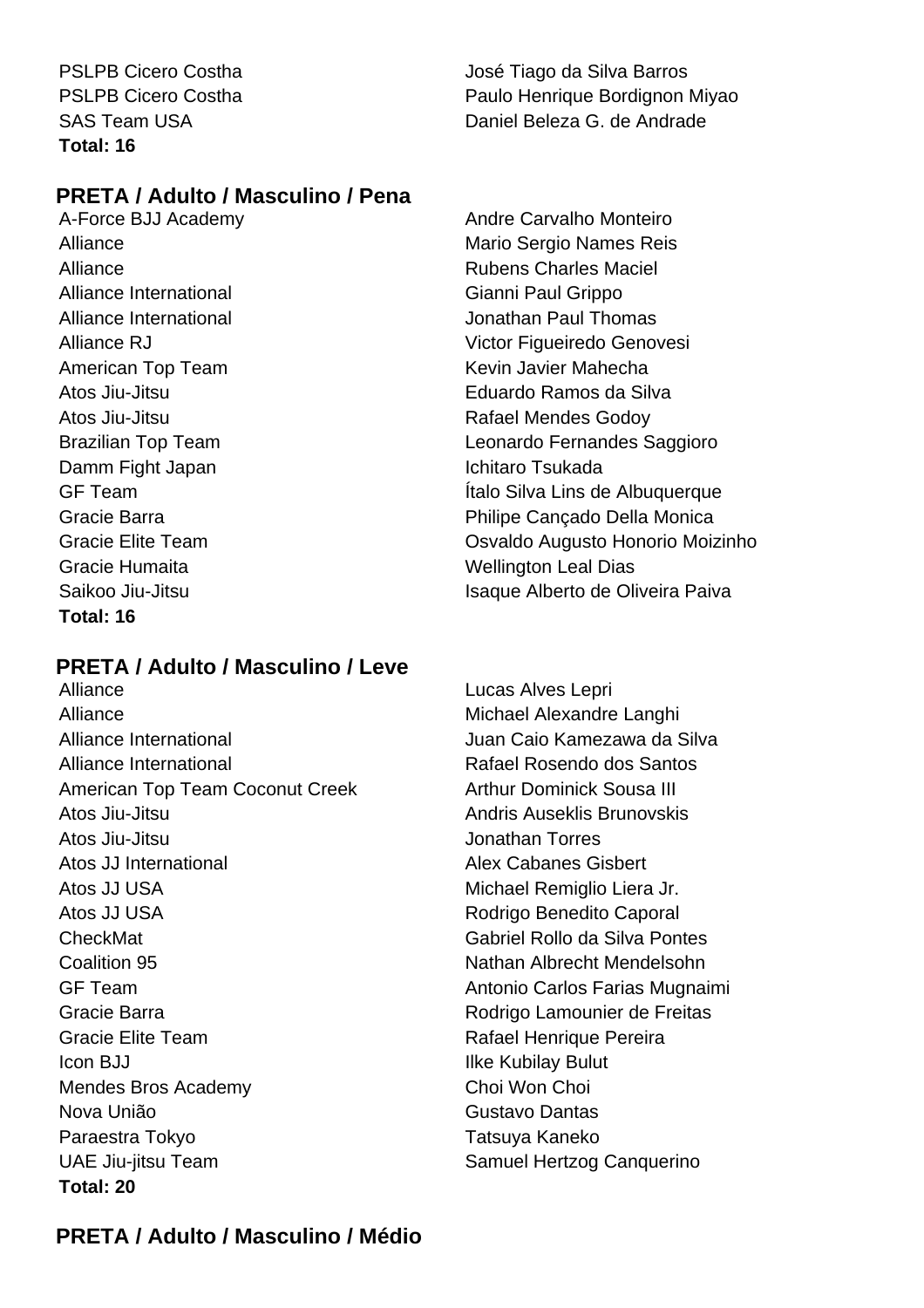**Total: 16**

PSLPB Cicero Costha José Tiago da Silva Barros PSLPB Cicero Costha **Paulo Henrique Bordignon Miyao** SAS Team USA Daniel Beleza G. de Andrade

# **PRETA / Adulto / Masculino / Pena**

Alliance International **Gianni Paul Grippo** American Top Team **Keyin Javier Mahecha** Atos Jiu-Jitsu **Atos Jiu-Jitsu Rafael Mendes Godoy** Damm Fight Japan **International International Ichitaro Tsukada** Gracie Humaita **Material Contract Contract Contract Contract Contract Contract Contract Contract Contract Contract Contract Contract Contract Contract Contract Contract Contract Contract Contract Contract Contract Contract Total: 16**

# **PRETA / Adulto / Masculino / Leve**

Alliance Michael Alexandre Langhi Alliance International **Alliance International** Juan Caio Kamezawa da Silva Alliance International Rafael Rosendo dos Santos American Top Team Coconut Creek Arthur Dominick Sousa III Atos Jiu-Jitsu Andris Auseklis Brunovskis Atos Jiu-Jitsu **Jonathan Torres** Atos JJ International Alex Cabanes Gisbert Atos JJ USA **Michael Remiglio Liera Jr.** Michael Remiglio Liera Jr. Atos JJ USA Rodrigo Benedito Caporal CheckMat Gabriel Rollo da Silva Pontes Coalition 95 Nathan Albrecht Mendelsohn GF Team **Antonio Carlos Farias Mugnaimi** Antonio Carlos Farias Mugnaimi Gracie Barra **Rodrigo Lamounier de Freitas** Gracie Elite Team **Rafael Henrique Pereira Icon BJJ** Ilke Kubilay Bulut Mendes Bros Academy Choi Won Choi Nova União **Gustavo Dantas** Paraestra Tokyo **Tatsuya Kaneko** UAE Jiu-jitsu Team Samuel Hertzog Canquerino **Total: 20**

A-Force BJJ Academy Andre Carvalho Monteiro Alliance Mario Sergio Names Reis Alliance **Alliance Rubens Charles Maciel** Alliance International Jonathan Paul Thomas Alliance RJ Victor Figueiredo Genovesi Atos Jiu-Jitsu Eduardo Ramos da Silva Brazilian Top Team Leonardo Fernandes Saggioro GF Team Ítalo Silva Lins de Albuquerque Gracie Barra **Philipe Cancado Della Monica** Gracie Elite Team Osvaldo Augusto Honorio Moizinho Saikoo Jiu-Jitsu Isaque Alberto de Oliveira Paiva

Alliance Lucas Alves Lepri

# **PRETA / Adulto / Masculino / Médio**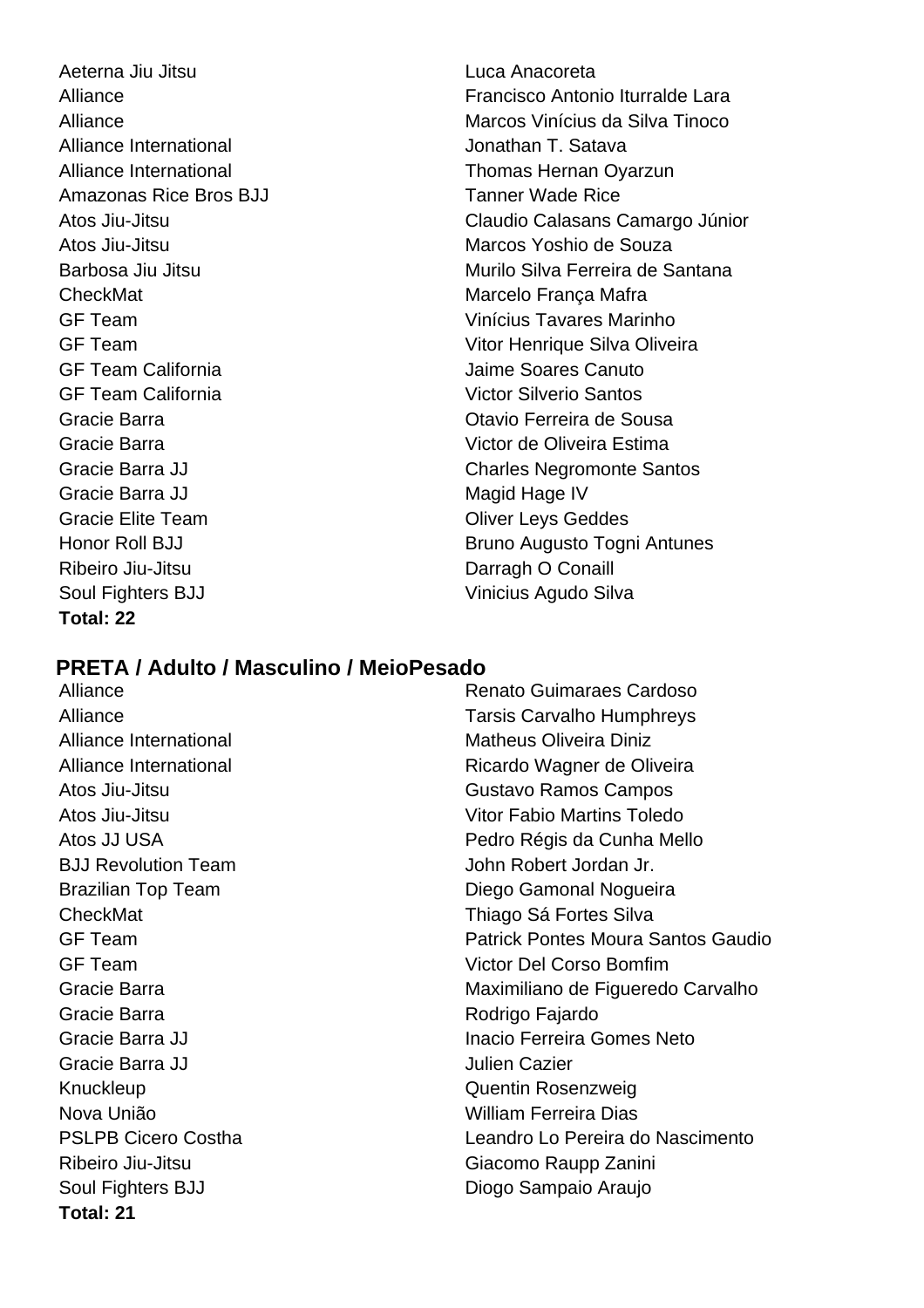Aeterna Jiu Jitsu Luca Anacoreta Alliance International and all all the Jonathan T. Satava Amazonas Rice Bros BJJ Tanner Wade Rice CheckMat **Marcelo França Mafra** GF Team California Jaime Soares Canuto GF Team California Victor Silverio Santos Gracie Barra JJ Magid Hage IV Gracie Elite Team **Contact Contact Contact Contact Contact Contact Contact Contact Contact Contact Contact Contact Contact Contact Contact Contact Contact Contact Contact Contact Contact Contact Contact Contact Contact Con** Ribeiro Jiu-Jitsu **Darragh O Conaill** Soul Fighters BJJ Vinicius Agudo Silva **Total: 22**

# Alliance Francisco Antonio Iturralde Lara Alliance Marcos Vinícius da Silva Tinoco Alliance International **Thomas Hernan Oyarzun** Atos Jiu-Jitsu Claudio Calasans Camargo Júnior Atos Jiu-Jitsu Marcos Yoshio de Souza Barbosa Jiu Jitsu **Murilo Silva Ferreira de Santana** GF Team Vinícius Tavares Marinho GF Team Vitor Henrique Silva Oliveira Gracie Barra Otavio Ferreira de Sousa Gracie Barra Victor de Oliveira Estima Gracie Barra JJ Charles Negromonte Santos Honor Roll BJJ Bruno Augusto Togni Antunes

# **PRETA / Adulto / Masculino / MeioPesado**

Alliance **Alliance** Renato Guimaraes Cardoso Alliance Tarsis Carvalho Humphreys Alliance International Matheus Oliveira Diniz Alliance International **Ricardo Wagner de Oliveira** Atos Jiu-Jitsu Gustavo Ramos Campos Atos Jiu-Jitsu Vitor Fabio Martins Toledo Atos JJ USA Pedro Régis da Cunha Mello BJJ Revolution Team **John Robert Jordan Jr.** Brazilian Top Team **Diego Gamonal Nogueira** CheckMat Thiago Sá Fortes Silva GF Team Patrick Pontes Moura Santos Gaudio GF Team Victor Del Corso Bomfim Gracie Barra **Maximiliano de Figueredo Carvalho** Gracie Barra **Rodrigo Fajardo** Rodrigo Fajardo Gracie Barra JJ Inacio Ferreira Gomes Neto Gracie Barra JJ Julien Cazier Knuckleup **Communist Communist Communist Communist Communist Communist Communist Communist Communist Communist Communist Communist Communist Communist Communist Communist Communist Communist Communist Communist Communist C** Nova União William Ferreira Dias PSLPB Cicero Costha Leandro Lo Pereira do Nascimento Ribeiro Jiu-Jitsu Giacomo Raupp Zanini Soul Fighters BJJ Diogo Sampaio Araujo **Total: 21**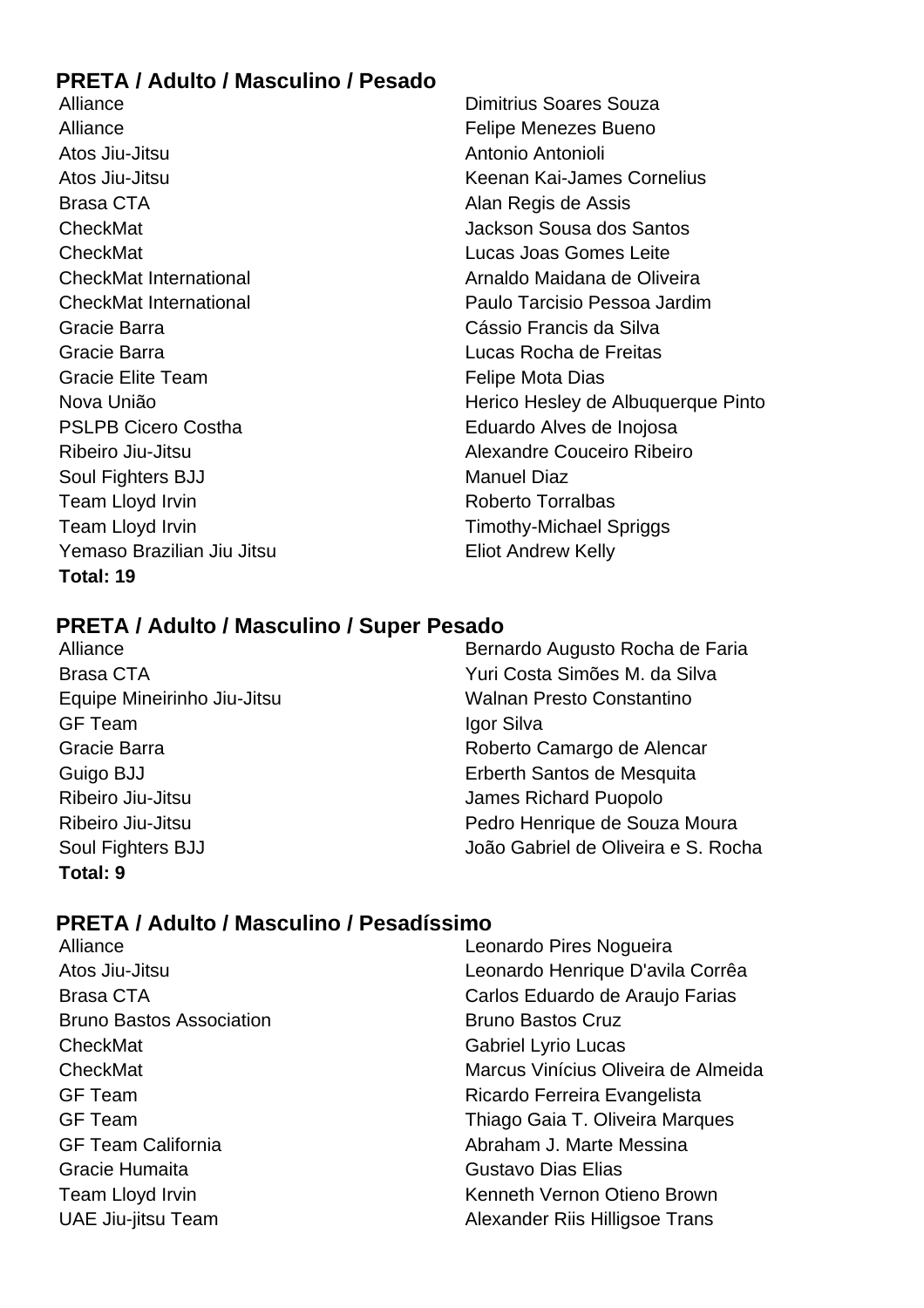# **PRETA / Adulto / Masculino / Pesado**

Alliance **Dimitrius Soares Souza** Alliance **Felipe Menezes** Bueno Atos Jiu-Jitsu Antonio Antonioli Atos Jiu-Jitsu Keenan Kai-James Cornelius Brasa CTA **Alan Regis de Assis** CheckMat Jackson Sousa dos Santos CheckMat Lucas Joas Gomes Leite CheckMat International Arnaldo Maidana de Oliveira CheckMat International Paulo Tarcisio Pessoa Jardim Gracie Barra Cássio Francis da Silva Gracie Barra Lucas Rocha de Freitas Gracie Elite Team **Felipe Mota Dias** Nova União **Nova União** e a constructiva de Herico Hesley de Albuquerque Pinto PSLPB Cicero Costha **Eduardo Alves de Inojosa** Ribeiro Jiu-Jitsu **Alexandre Couceiro Ribeiro** Soul Fighters BJJ Manuel Diaz Team Lloyd Irvin **Roberto Torralbas** Team Lloyd Irvin Team Cloud Irvin Timothy-Michael Spriggs Yemaso Brazilian Jiu Jitsu **Eliot Andrew Kelly Total: 19**

# **PRETA / Adulto / Masculino / Super Pesado**

GF Team and the state of the state of the local device in the local state of the local state of the local state of the local state of the local state of the local state of the local state of the local state of the local st Ribeiro Jiu-Jitsu **Internationalista de la contrata de la contrata de la contrata de la contrata de la contrata de la contrata de la contrata de la contrata de la contrata de la contrata de la contrata de la contrata de la Total: 9**

Alliance Bernardo Augusto Rocha de Faria Brasa CTA Yuri Costa Simões M. da Silva Equipe Mineirinho Jiu-Jitsu Walnan Presto Constantino Gracie Barra **Roberto Camargo de Alencar** Guigo BJJ Erberth Santos de Mesquita Ribeiro Jiu-Jitsu Pedro Henrique de Souza Moura Soul Fighters BJJ João Gabriel de Oliveira e S. Rocha

# **PRETA / Adulto / Masculino / Pesadíssimo**

| Alliance                        | Leonardo Pires Nogueira             |
|---------------------------------|-------------------------------------|
| Atos Jiu-Jitsu                  | Leonardo Henrique D'avila Corrêa    |
| <b>Brasa CTA</b>                | Carlos Eduardo de Araujo Farias     |
| <b>Bruno Bastos Association</b> | <b>Bruno Bastos Cruz</b>            |
| CheckMat                        | <b>Gabriel Lyrio Lucas</b>          |
| CheckMat                        | Marcus Vinícius Oliveira de Almeida |
| <b>GF</b> Team                  | Ricardo Ferreira Evangelista        |
| <b>GF Team</b>                  | Thiago Gaia T. Oliveira Marques     |
| <b>GF Team California</b>       | Abraham J. Marte Messina            |
| Gracie Humaita                  | Gustavo Dias Elias                  |
| Team Lloyd Irvin                | Kenneth Vernon Otieno Brown         |
| <b>UAE Jiu-jitsu Team</b>       | Alexander Riis Hilligsoe Trans      |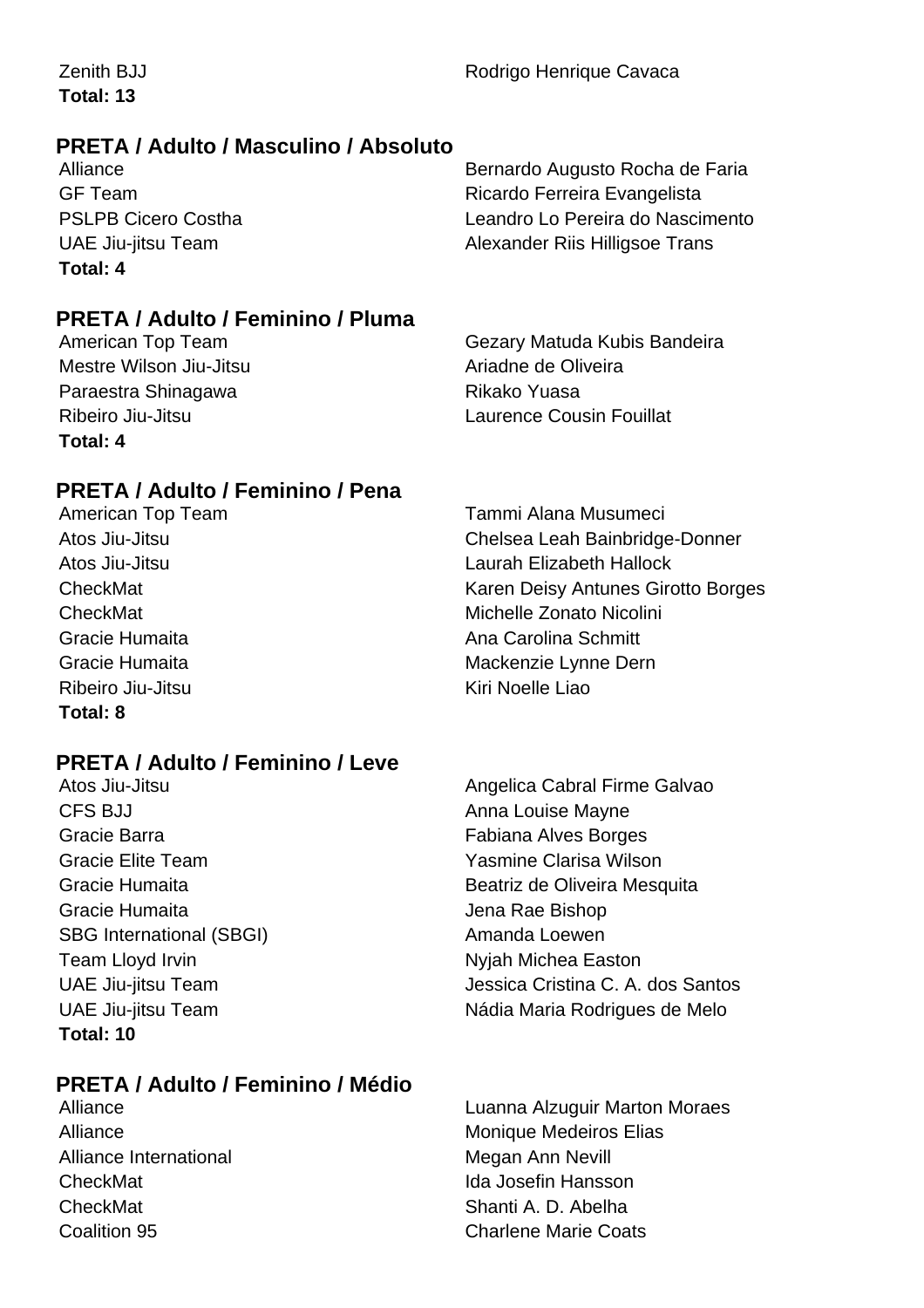**Total: 13**

# **PRETA / Adulto / Masculino / Absoluto**

**Total: 4**

Alliance Bernardo Augusto Rocha de Faria GF Team **Ricardo Ferreira Evangelista** PSLPB Cicero Costha Leandro Lo Pereira do Nascimento UAE Jiu-jitsu Team **Alexander Riis Hilligsoe Trans** 

# **PRETA / Adulto / Feminino / Pluma**

Mestre Wilson Jiu-Jitsu **Ariadne de Oliveira** Paraestra Shinagawa **Rikako Yuasa Total: 4**

American Top Team Gezary Matuda Kubis Bandeira Ribeiro Jiu-Jitsu **Laurence Cousin Fouillat** 

# **PRETA / Adulto / Feminino / Pena**

Ribeiro Jiu-Jitsu **Kiri Noelle Liao Total: 8**

# **PRETA / Adulto / Feminino / Leve**

CFS BJJ Anna Louise Mayne Gracie Barra Fabiana Alves Borges Gracie Elite Team Yasmine Clarisa Wilson Gracie Humaita **Gracie Humaita** Jena Rae Bishop SBG International (SBGI) Amanda Loewen Team Lloyd Irvin Nichea Easton **Total: 10**

# **PRETA / Adulto / Feminino / Médio**

Alliance International Megan Ann Nevill CheckMat Ida Josefin Hansson CheckMat Shanti A. D. Abelha

American Top Team Tammi Alana Musumeci Atos Jiu-Jitsu Chelsea Leah Bainbridge-Donner Atos Jiu-Jitsu Laurah Elizabeth Hallock CheckMat Karen Deisy Antunes Girotto Borges **CheckMat** Michelle Zonato Nicolini Gracie Humaita **Ana Carolina Schmitt** Gracie Humaita **Mackenzie Lynne Dern** 

Atos Jiu-Jitsu Angelica Cabral Firme Galvao Gracie Humaita **Beatriz de Oliveira Mesquita** UAE Jiu-jitsu Team Jessica Cristina C. A. dos Santos UAE Jiu-jitsu Team Nádia Maria Rodrigues de Melo

Alliance Luanna Alzuguir Marton Moraes Alliance Monique Medeiros Elias **Coalition 95 Charlene Marie Coats**